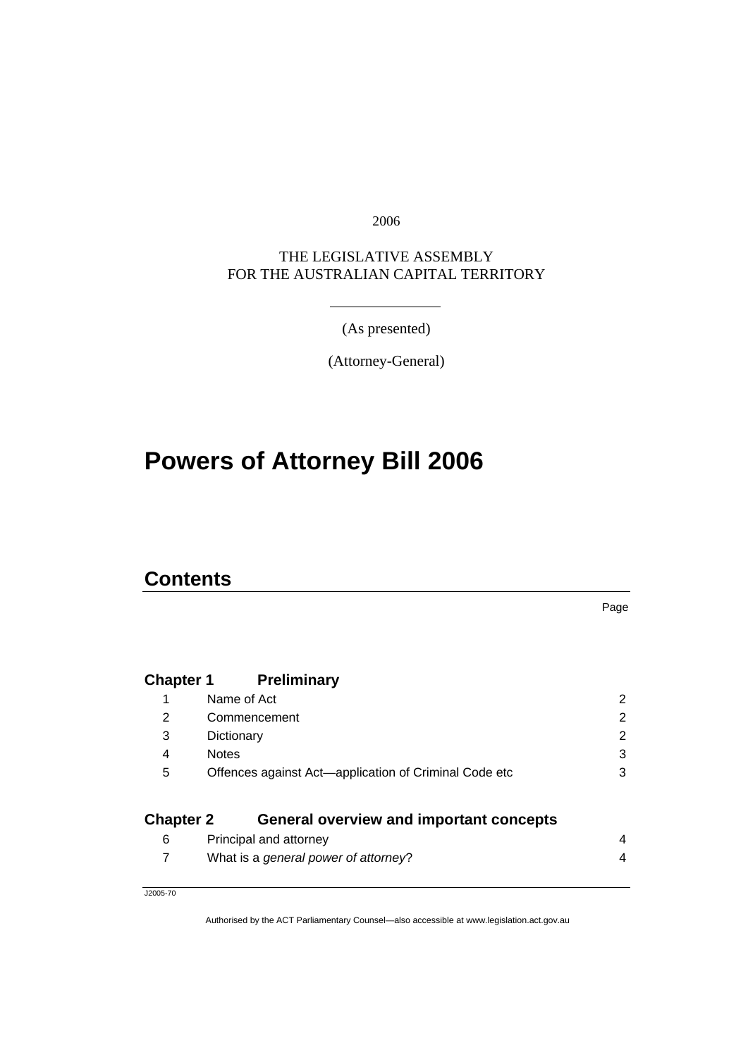2006

#### THE LEGISLATIVE ASSEMBLY FOR THE AUSTRALIAN CAPITAL TERRITORY

(As presented)

(Attorney-General)

# **Powers of Attorney Bill 2006**

#### **Contents**

### **Chapter 1 Preliminary**

|                  | Name of Act                                           | 2 |
|------------------|-------------------------------------------------------|---|
| 2                | Commencement                                          | 2 |
| 3                | Dictionary                                            | 2 |
| 4                | <b>Notes</b>                                          | 3 |
| 5                | Offences against Act-application of Criminal Code etc | 3 |
| <b>Chapter 2</b> | <b>General overview and important concepts</b>        |   |
| 6                | Principal and attorney                                | 4 |
|                  |                                                       |   |

|  | What is a general power of attorney? |  |
|--|--------------------------------------|--|
|  |                                      |  |

J2005-70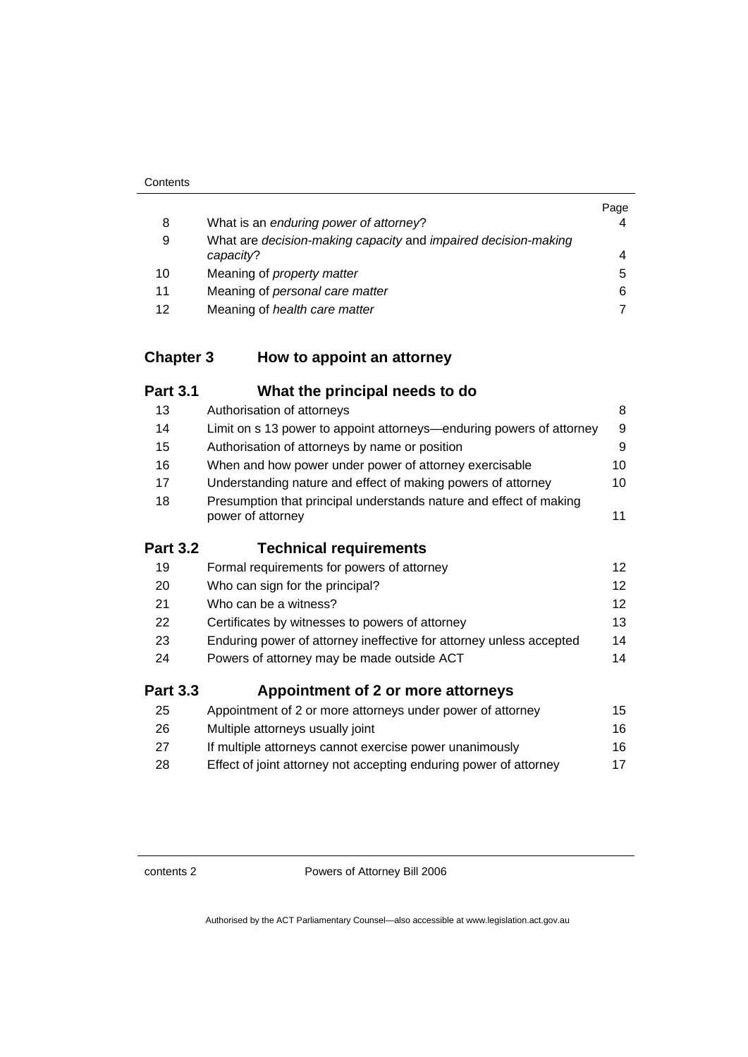|    |                                                                | Page |
|----|----------------------------------------------------------------|------|
| 8  | What is an enduring power of attorney?                         |      |
| 9  | What are decision-making capacity and impaired decision-making |      |
|    | capacity?                                                      | 4    |
| 10 | Meaning of <i>property matter</i>                              | 5.   |
| 11 | Meaning of personal care matter                                | 6    |
| 12 | Meaning of health care matter                                  |      |

## **Chapter 3 How to appoint an attorney**

| <b>Part 3.1</b> | What the principal needs to do                                                          |                   |
|-----------------|-----------------------------------------------------------------------------------------|-------------------|
| 13              | Authorisation of attorneys                                                              | 8                 |
| 14              | Limit on s 13 power to appoint attorneys—enduring powers of attorney                    | 9                 |
| 15              | Authorisation of attorneys by name or position                                          | 9                 |
| 16              | When and how power under power of attorney exercisable                                  | 10                |
| 17              | Understanding nature and effect of making powers of attorney                            | 10                |
| 18              | Presumption that principal understands nature and effect of making<br>power of attorney | 11                |
| <b>Part 3.2</b> | <b>Technical requirements</b>                                                           |                   |
| 19              | Formal requirements for powers of attorney                                              | $12 \overline{ }$ |
| 20              | Who can sign for the principal?                                                         | 12                |
| 21              | Who can be a witness?                                                                   | 12                |
| 22              | Certificates by witnesses to powers of attorney                                         | 13                |
| 23              | Enduring power of attorney ineffective for attorney unless accepted                     | 14                |
| 24              | Powers of attorney may be made outside ACT                                              | 14                |
| <b>Part 3.3</b> | Appointment of 2 or more attorneys                                                      |                   |
| 25              | Appointment of 2 or more attorneys under power of attorney                              | 15                |
| 26              | Multiple attorneys usually joint                                                        | 16                |
| 27              | If multiple attorneys cannot exercise power unanimously                                 | 16                |
| 28              | Effect of joint attorney not accepting enduring power of attorney                       | 17                |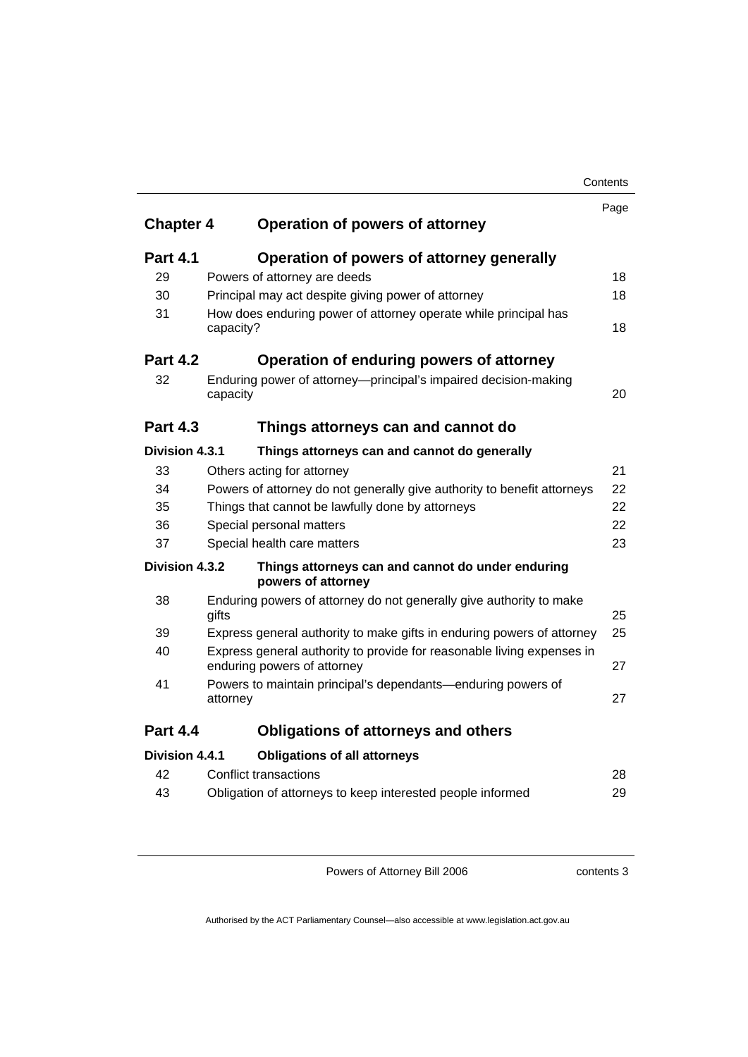|                                | Contents                                                                                              |      |
|--------------------------------|-------------------------------------------------------------------------------------------------------|------|
|                                |                                                                                                       | Page |
| <b>Chapter 4</b>               | <b>Operation of powers of attorney</b>                                                                |      |
| <b>Part 4.1</b>                | Operation of powers of attorney generally                                                             |      |
| 29                             | Powers of attorney are deeds                                                                          | 18   |
| 30                             | Principal may act despite giving power of attorney                                                    | 18   |
| 31                             | How does enduring power of attorney operate while principal has<br>capacity?                          | 18   |
| <b>Part 4.2</b>                | Operation of enduring powers of attorney                                                              |      |
| 32                             | Enduring power of attorney-principal's impaired decision-making<br>capacity                           | 20   |
| <b>Part 4.3</b>                | Things attorneys can and cannot do                                                                    |      |
| <b>Division 4.3.1</b>          | Things attorneys can and cannot do generally                                                          |      |
| 33                             | Others acting for attorney                                                                            | 21   |
| 34                             | Powers of attorney do not generally give authority to benefit attorneys                               | 22   |
| 35                             | Things that cannot be lawfully done by attorneys                                                      |      |
| 36<br>Special personal matters |                                                                                                       | 22   |
| 37                             | Special health care matters                                                                           | 23   |
| Division 4.3.2                 | Things attorneys can and cannot do under enduring<br>powers of attorney                               |      |
| 38                             | Enduring powers of attorney do not generally give authority to make<br>gifts                          | 25   |
| 39                             | Express general authority to make gifts in enduring powers of attorney                                | 25   |
| 40                             | Express general authority to provide for reasonable living expenses in<br>enduring powers of attorney | 27   |
| 41                             | Powers to maintain principal's dependants—enduring powers of<br>attorney                              | 27   |
| <b>Part 4.4</b>                | <b>Obligations of attorneys and others</b>                                                            |      |
| Division 4.4.1                 | <b>Obligations of all attorneys</b>                                                                   |      |
| 42                             | <b>Conflict transactions</b>                                                                          | 28   |
| 43                             | Obligation of attorneys to keep interested people informed                                            | 29   |

contents 3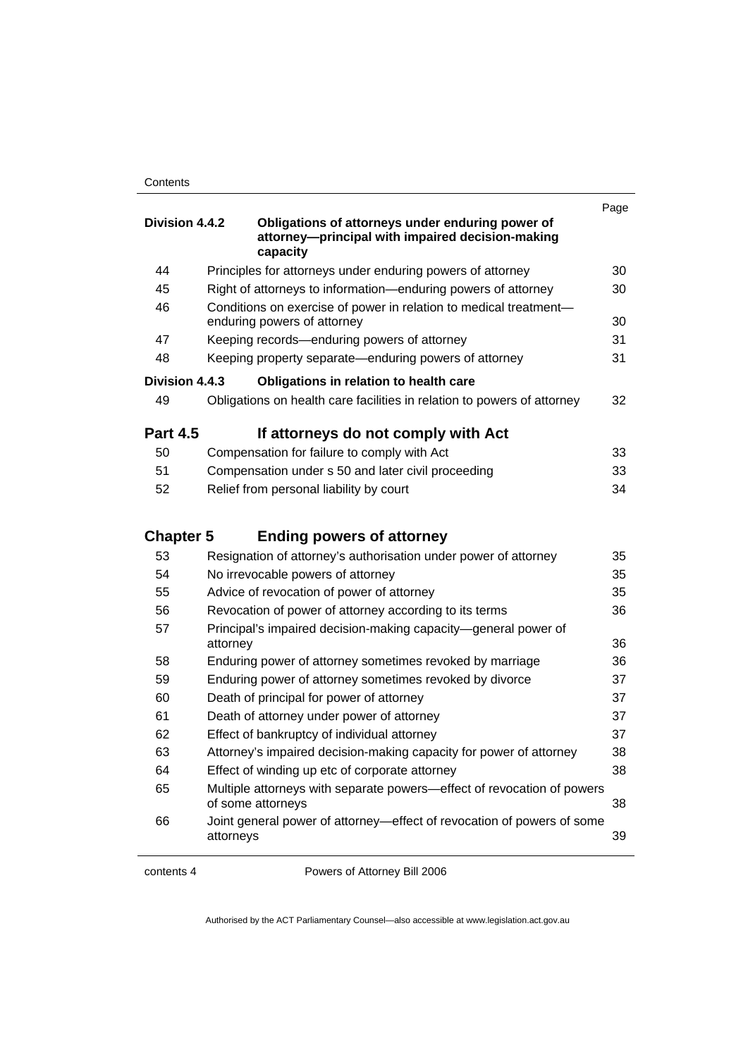|                  |                                                                                                                  | Page |
|------------------|------------------------------------------------------------------------------------------------------------------|------|
| Division 4.4.2   | Obligations of attorneys under enduring power of<br>attorney-principal with impaired decision-making<br>capacity |      |
| 44               | Principles for attorneys under enduring powers of attorney                                                       | 30   |
| 45               | Right of attorneys to information—enduring powers of attorney                                                    | 30   |
| 46               | Conditions on exercise of power in relation to medical treatment-<br>enduring powers of attorney                 | 30   |
| 47               | Keeping records-enduring powers of attorney                                                                      | 31   |
| 48               | Keeping property separate-enduring powers of attorney                                                            | 31   |
| Division 4.4.3   | Obligations in relation to health care                                                                           |      |
| 49               | Obligations on health care facilities in relation to powers of attorney                                          | 32   |
| <b>Part 4.5</b>  | If attorneys do not comply with Act                                                                              |      |
| 50               | Compensation for failure to comply with Act                                                                      | 33   |
| 51               | Compensation under s 50 and later civil proceeding                                                               | 33   |
| 52               | Relief from personal liability by court                                                                          | 34   |
| <b>Chapter 5</b> | <b>Ending powers of attorney</b>                                                                                 |      |
| 53               | Resignation of attorney's authorisation under power of attorney                                                  | 35   |
| 54               | No irrevocable powers of attorney                                                                                | 35   |
| 55               | Advice of revocation of power of attorney                                                                        | 35   |
| 56               | Revocation of power of attorney according to its terms<br>36                                                     |      |
| 57               | Principal's impaired decision-making capacity-general power of                                                   |      |
|                  | attorney                                                                                                         | 36   |
| 58               | Enduring power of attorney sometimes revoked by marriage                                                         | 36   |
| 59               | Enduring power of attorney sometimes revoked by divorce                                                          | 37   |
| 60               | Death of principal for power of attorney                                                                         | 37   |
| 61               | Death of attorney under power of attorney                                                                        | 37   |
| 62               | Effect of bankruptcy of individual attorney                                                                      | 37   |
| 63               | Attorney's impaired decision-making capacity for power of attorney                                               | 38   |
| 64               | Effect of winding up etc of corporate attorney                                                                   | 38   |
| 65               | Multiple attorneys with separate powers—effect of revocation of powers<br>of some attorneys                      | 38   |
| 66               | Joint general power of attorney—effect of revocation of powers of some<br>attorneys                              | 39   |

contents 4 Powers of Attorney Bill 2006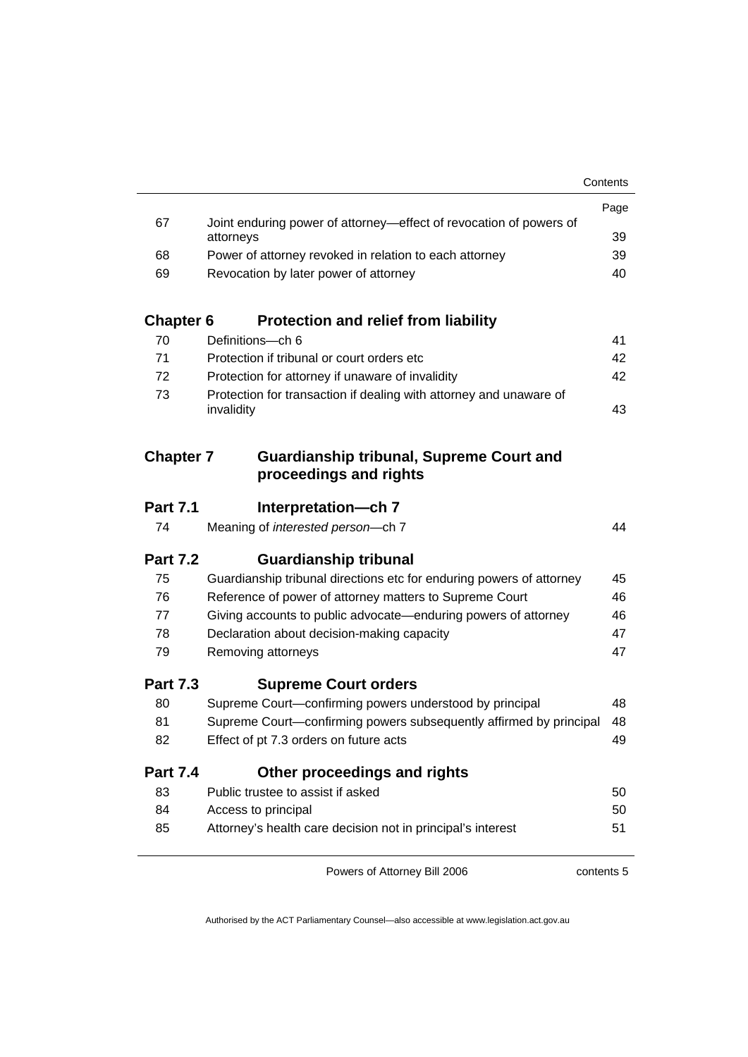|                  |                                                                                 | Page     |  |
|------------------|---------------------------------------------------------------------------------|----------|--|
| 67               | Joint enduring power of attorney—effect of revocation of powers of<br>attorneys |          |  |
| 68               | Power of attorney revoked in relation to each attorney                          | 39<br>39 |  |
| 69               | Revocation by later power of attorney                                           |          |  |
|                  |                                                                                 |          |  |
| <b>Chapter 6</b> | <b>Protection and relief from liability</b>                                     |          |  |
| 70               | Definitions-ch 6                                                                | 41       |  |
| 71               | Protection if tribunal or court orders etc.                                     | 42       |  |
| 72               | Protection for attorney if unaware of invalidity                                | 42       |  |
| 73               | Protection for transaction if dealing with attorney and unaware of              |          |  |
|                  | invalidity                                                                      | 43       |  |
|                  |                                                                                 |          |  |
| <b>Chapter 7</b> | <b>Guardianship tribunal, Supreme Court and</b><br>proceedings and rights       |          |  |
|                  |                                                                                 |          |  |
| <b>Part 7.1</b>  | Interpretation-ch 7                                                             |          |  |
| 74               | Meaning of interested person-ch 7                                               | 44       |  |
| <b>Part 7.2</b>  | <b>Guardianship tribunal</b>                                                    |          |  |
| 75               | Guardianship tribunal directions etc for enduring powers of attorney            | 45       |  |
| 76               | Reference of power of attorney matters to Supreme Court                         | 46       |  |
| 77               | Giving accounts to public advocate—enduring powers of attorney                  | 46       |  |
| 78               | Declaration about decision-making capacity                                      | 47       |  |
| 79               | Removing attorneys                                                              | 47       |  |
| <b>Part 7.3</b>  | <b>Supreme Court orders</b>                                                     |          |  |
| 80               | Supreme Court-confirming powers understood by principal                         | 48       |  |
| 81               | Supreme Court-confirming powers subsequently affirmed by principal              | 48       |  |
| 82               | Effect of pt 7.3 orders on future acts                                          | 49       |  |
| <b>Part 7.4</b>  | Other proceedings and rights                                                    |          |  |
| 83               | Public trustee to assist if asked                                               | 50       |  |
| 84               | Access to principal                                                             | 50       |  |
| 85               | Attorney's health care decision not in principal's interest                     | 51       |  |
|                  |                                                                                 |          |  |

contents 5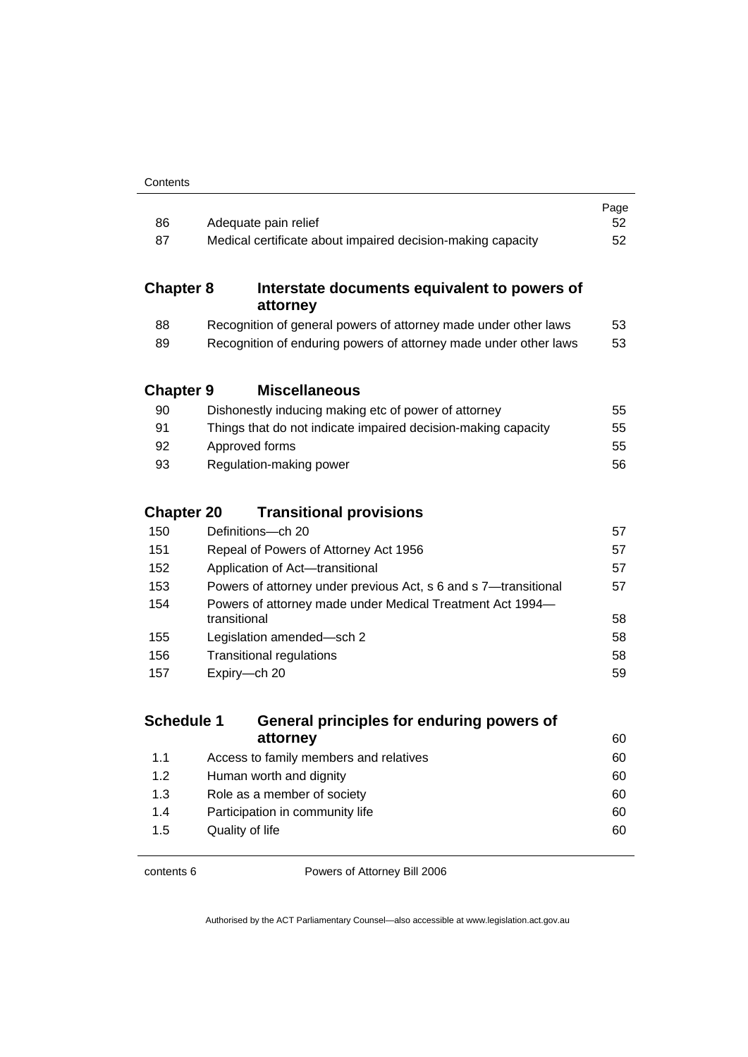| 86                | Adequate pain relief                                            |                                                                  |    |
|-------------------|-----------------------------------------------------------------|------------------------------------------------------------------|----|
| 87                | Medical certificate about impaired decision-making capacity     |                                                                  |    |
|                   |                                                                 |                                                                  | 52 |
| <b>Chapter 8</b>  |                                                                 | Interstate documents equivalent to powers of<br>attorney         |    |
| 88                | Recognition of general powers of attorney made under other laws |                                                                  |    |
| 89                |                                                                 | Recognition of enduring powers of attorney made under other laws | 53 |
| <b>Chapter 9</b>  |                                                                 | <b>Miscellaneous</b>                                             |    |
| 90                |                                                                 | Dishonestly inducing making etc of power of attorney             | 55 |
| 91                |                                                                 | Things that do not indicate impaired decision-making capacity    | 55 |
| 92                |                                                                 | Approved forms                                                   | 55 |
| 93                |                                                                 | Regulation-making power                                          | 56 |
|                   |                                                                 |                                                                  |    |
| <b>Chapter 20</b> |                                                                 | <b>Transitional provisions</b>                                   |    |
| 150               |                                                                 | Definitions-ch 20                                                | 57 |
| 151               |                                                                 | Repeal of Powers of Attorney Act 1956                            | 57 |
| 152               | Application of Act-transitional                                 |                                                                  | 57 |
| 153               | Powers of attorney under previous Act, s 6 and s 7-transitional |                                                                  | 57 |
| 154               | transitional                                                    | Powers of attorney made under Medical Treatment Act 1994-        | 58 |
| 155               |                                                                 | Legislation amended-sch 2                                        | 58 |
| 156               |                                                                 | <b>Transitional regulations</b>                                  | 58 |
| 157               | Expiry-ch 20                                                    |                                                                  | 59 |
|                   |                                                                 |                                                                  |    |
| <b>Schedule 1</b> |                                                                 | General principles for enduring powers of                        |    |
|                   |                                                                 | attorney                                                         | 60 |
| 1.1               |                                                                 | Access to family members and relatives                           | 60 |
| 1.2               |                                                                 | Human worth and dignity                                          | 60 |
| 1.3               |                                                                 | Role as a member of society                                      | 60 |
| 1.4               |                                                                 | Participation in community life                                  | 60 |
| 1.5               |                                                                 | Quality of life                                                  | 60 |

contents 6 Powers of Attorney Bill 2006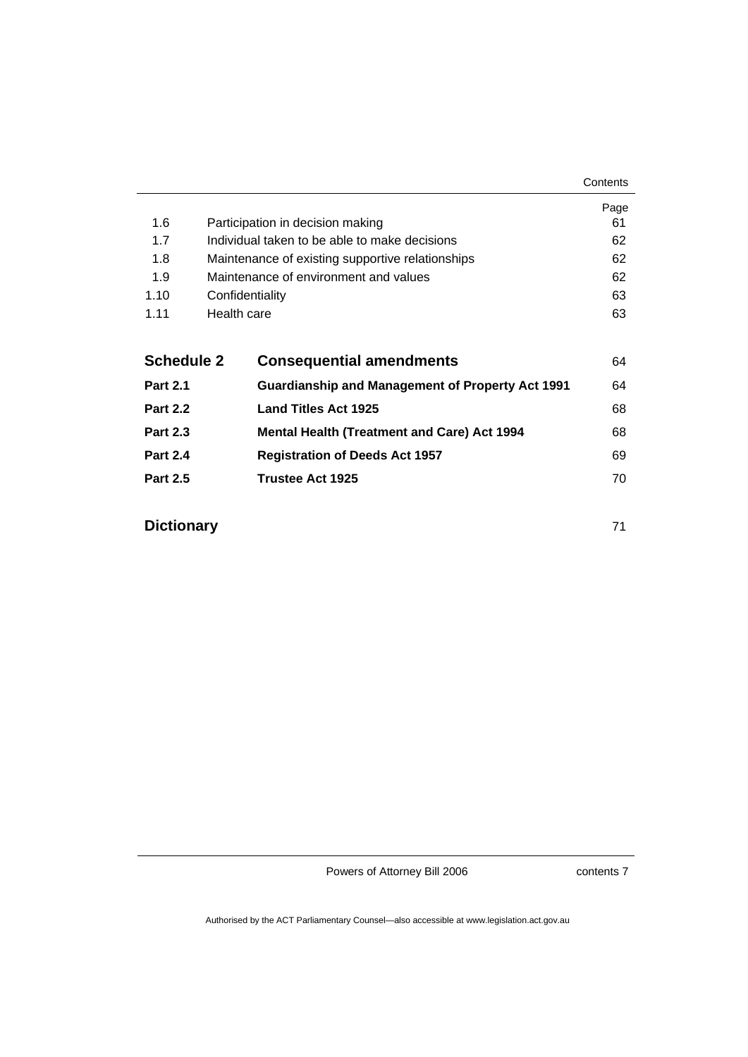|                   |                 |                                                         | Page |
|-------------------|-----------------|---------------------------------------------------------|------|
| 1.6               |                 | Participation in decision making                        | 61   |
| 1.7               |                 | Individual taken to be able to make decisions           | 62   |
| 1.8               |                 | Maintenance of existing supportive relationships        | 62   |
| 1.9               |                 | Maintenance of environment and values                   | 62   |
| 1.10              | Confidentiality |                                                         | 63   |
| 1.11              | Health care     |                                                         | 63   |
|                   |                 |                                                         |      |
| <b>Schedule 2</b> |                 | <b>Consequential amendments</b>                         | 64   |
| <b>Part 2.1</b>   |                 | <b>Guardianship and Management of Property Act 1991</b> | 64   |
| <b>Part 2.2</b>   |                 | <b>Land Titles Act 1925</b>                             | 68   |
| <b>Part 2.3</b>   |                 | <b>Mental Health (Treatment and Care) Act 1994</b>      | 68   |
| <b>Part 2.4</b>   |                 | <b>Registration of Deeds Act 1957</b>                   | 69   |
| <b>Part 2.5</b>   |                 | Trustee Act 1925                                        | 70   |
|                   |                 |                                                         |      |

| <b>Dictionary</b> |  |
|-------------------|--|
|                   |  |

contents 7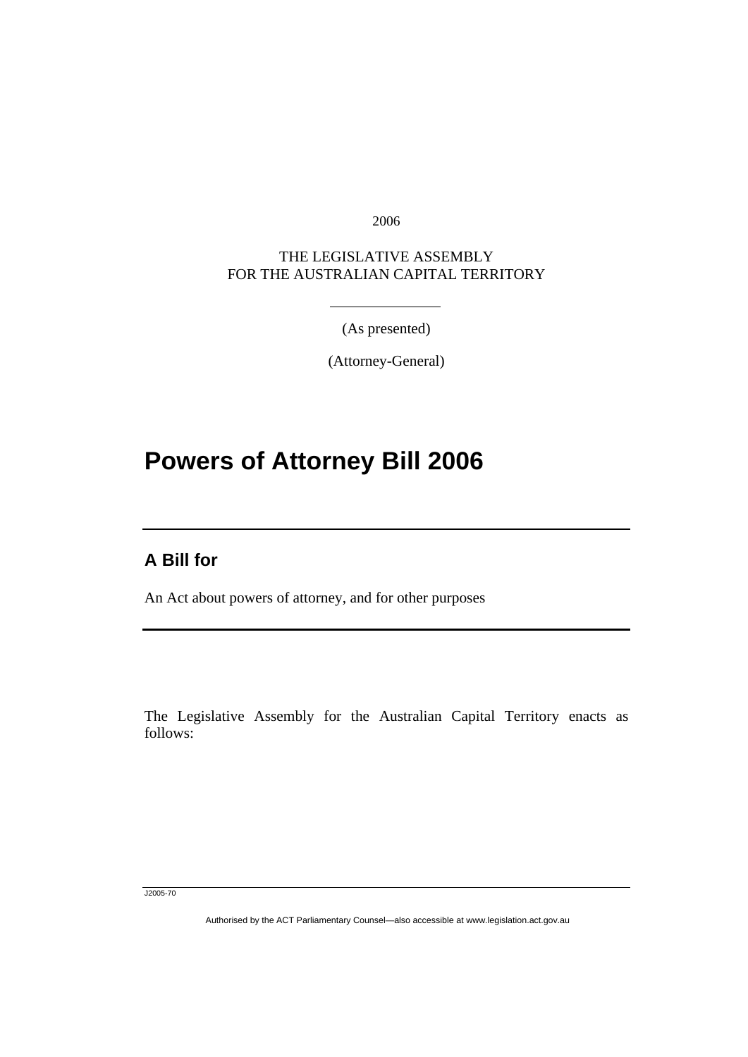2006

THE LEGISLATIVE ASSEMBLY FOR THE AUSTRALIAN CAPITAL TERRITORY

(As presented)

(Attorney-General)

# **Powers of Attorney Bill 2006**

### **A Bill for**

Ī

An Act about powers of attorney, and for other purposes

The Legislative Assembly for the Australian Capital Territory enacts as follows:

J2005-70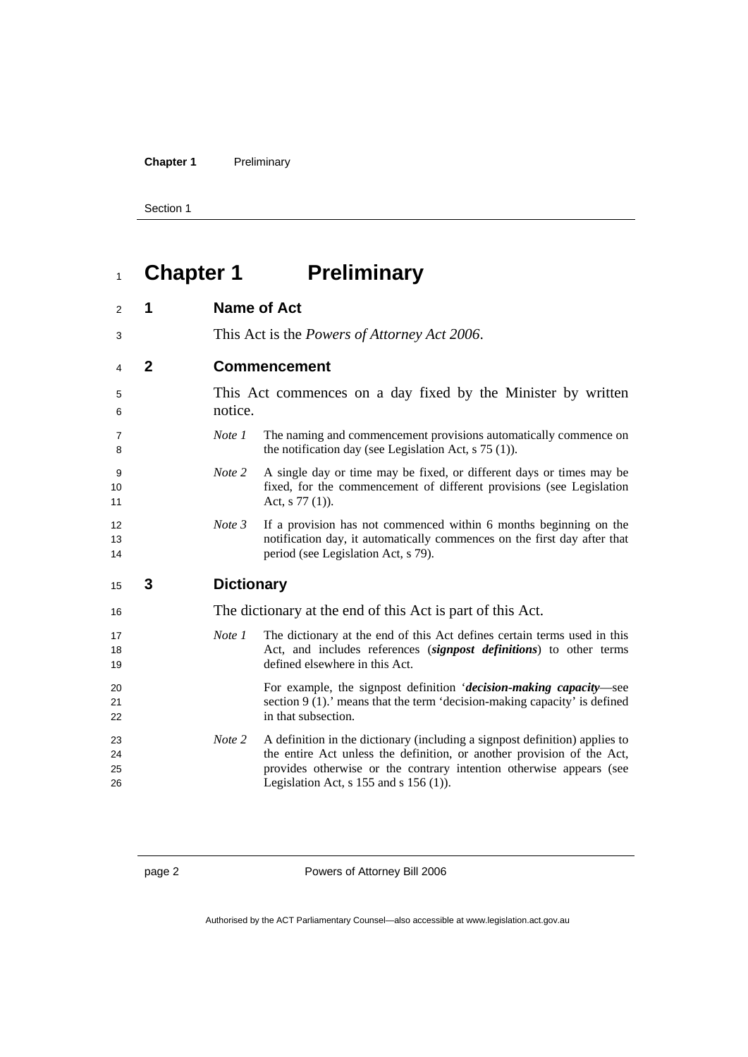**Chapter 1** Preliminary

Section 1

# **Chapter 1 Preliminary**

| 1            |                   | <b>Name of Act</b>                                                                                                                                                                   |
|--------------|-------------------|--------------------------------------------------------------------------------------------------------------------------------------------------------------------------------------|
|              |                   | This Act is the <i>Powers of Attorney Act 2006</i> .                                                                                                                                 |
| $\mathbf{2}$ |                   | <b>Commencement</b>                                                                                                                                                                  |
|              | notice.           | This Act commences on a day fixed by the Minister by written                                                                                                                         |
|              | Note 1            | The naming and commencement provisions automatically commence on<br>the notification day (see Legislation Act, $s$ 75 (1)).                                                          |
|              | Note 2            | A single day or time may be fixed, or different days or times may be<br>fixed, for the commencement of different provisions (see Legislation<br>Act, $s$ 77 (1)).                    |
|              |                   |                                                                                                                                                                                      |
|              | Note 3            | If a provision has not commenced within 6 months beginning on the<br>notification day, it automatically commences on the first day after that<br>period (see Legislation Act, s 79). |
| 3            | <b>Dictionary</b> |                                                                                                                                                                                      |
|              |                   | The dictionary at the end of this Act is part of this Act.                                                                                                                           |
|              | Note 1            | The dictionary at the end of this Act defines certain terms used in this<br>Act, and includes references (signpost definitions) to other terms<br>defined elsewhere in this Act.     |
|              |                   | For example, the signpost definition 'decision-making capacity-see<br>section $9(1)$ . means that the term 'decision-making capacity' is defined<br>in that subsection.              |
|              |                   |                                                                                                                                                                                      |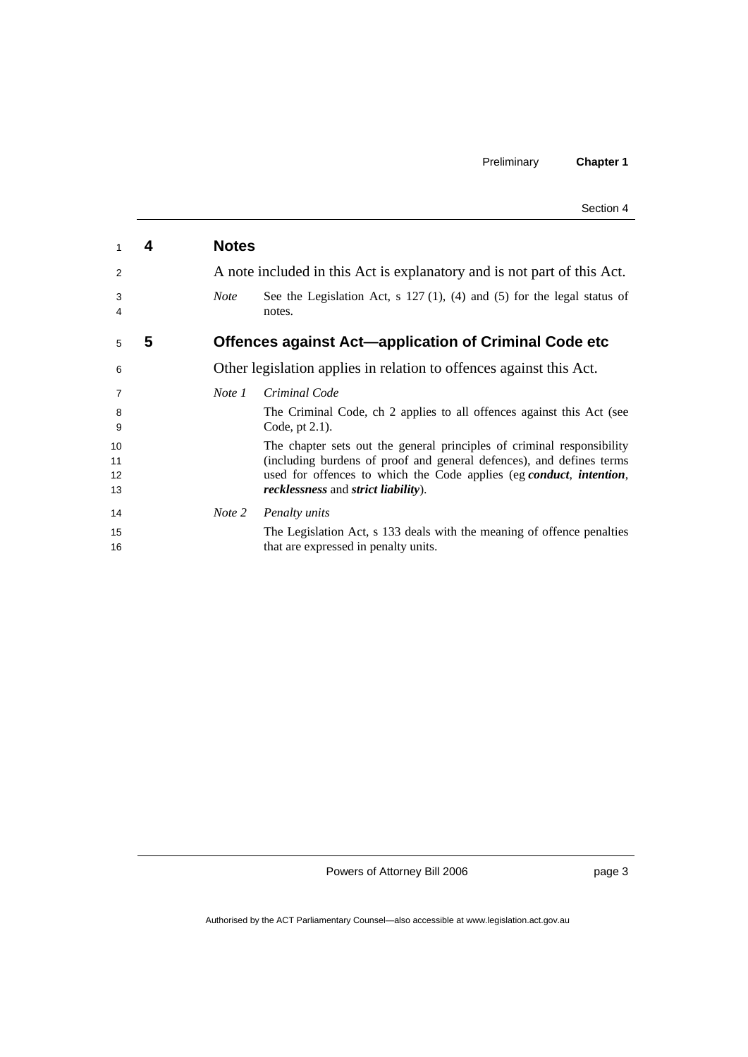|  | Section 4 |  |
|--|-----------|--|
|--|-----------|--|

|                | 4 | <b>Notes</b> |                                                                                                                           |
|----------------|---|--------------|---------------------------------------------------------------------------------------------------------------------------|
| 2              |   |              | A note included in this Act is explanatory and is not part of this Act.                                                   |
| 3<br>4         |   | <b>Note</b>  | See the Legislation Act, s $127(1)$ , (4) and (5) for the legal status of<br>notes.                                       |
| 5              | 5 |              | Offences against Act-application of Criminal Code etc                                                                     |
| 6              |   |              | Other legislation applies in relation to offences against this Act.                                                       |
| $\overline{7}$ |   | Note 1       | Criminal Code                                                                                                             |
| 8<br>9         |   |              | The Criminal Code, ch 2 applies to all offences against this Act (see<br>Code, pt $2.1$ ).                                |
| 10             |   |              | The chapter sets out the general principles of criminal responsibility                                                    |
| 11             |   |              | (including burdens of proof and general defences), and defines terms                                                      |
| 12<br>13       |   |              | used for offences to which the Code applies (eg conduct, intention,<br><i>recklessness</i> and <i>strict liability</i> ). |
| 14             |   | Note 2       | <b>Penalty</b> units                                                                                                      |
| 15             |   |              | The Legislation Act, s 133 deals with the meaning of offence penalties                                                    |
| 16             |   |              | that are expressed in penalty units.                                                                                      |

page 3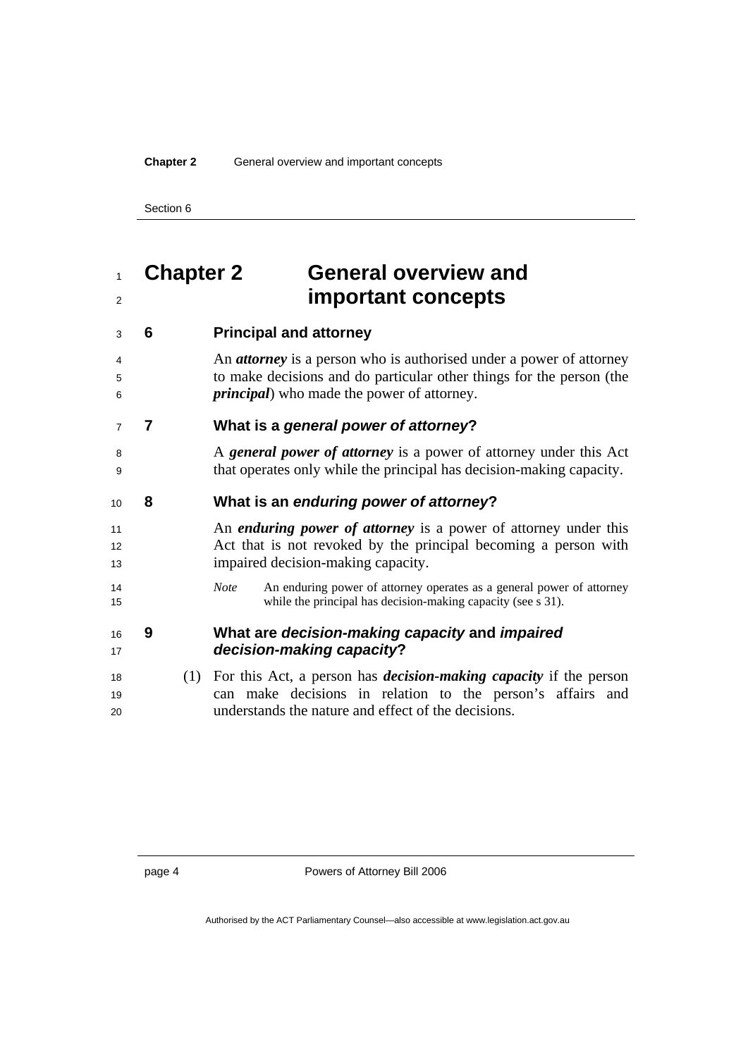## **Chapter 2 General overview and important concepts**

| 3              | 6 |     | <b>Principal and attorney</b>                                                                                                                                                                            |
|----------------|---|-----|----------------------------------------------------------------------------------------------------------------------------------------------------------------------------------------------------------|
| 4<br>5<br>6    |   |     | An <i>attorney</i> is a person who is authorised under a power of attorney<br>to make decisions and do particular other things for the person (the<br><i>principal</i> ) who made the power of attorney. |
| $\overline{7}$ | 7 |     | What is a general power of attorney?                                                                                                                                                                     |
| 8<br>9         |   |     | A general power of attorney is a power of attorney under this Act<br>that operates only while the principal has decision-making capacity.                                                                |
| 10             | 8 |     | What is an enduring power of attorney?                                                                                                                                                                   |
| 11<br>12<br>13 |   |     | An <i>enduring power of attorney</i> is a power of attorney under this<br>Act that is not revoked by the principal becoming a person with<br>impaired decision-making capacity.                          |
| 14<br>15       |   |     | An enduring power of attorney operates as a general power of attorney<br><b>Note</b><br>while the principal has decision-making capacity (see s 31).                                                     |
| 16<br>17       | 9 |     | What are decision-making capacity and impaired<br>decision-making capacity?                                                                                                                              |
| 18<br>19<br>20 |   | (1) | For this Act, a person has <i>decision-making capacity</i> if the person<br>can make decisions in relation to the person's affairs and<br>understands the nature and effect of the decisions.            |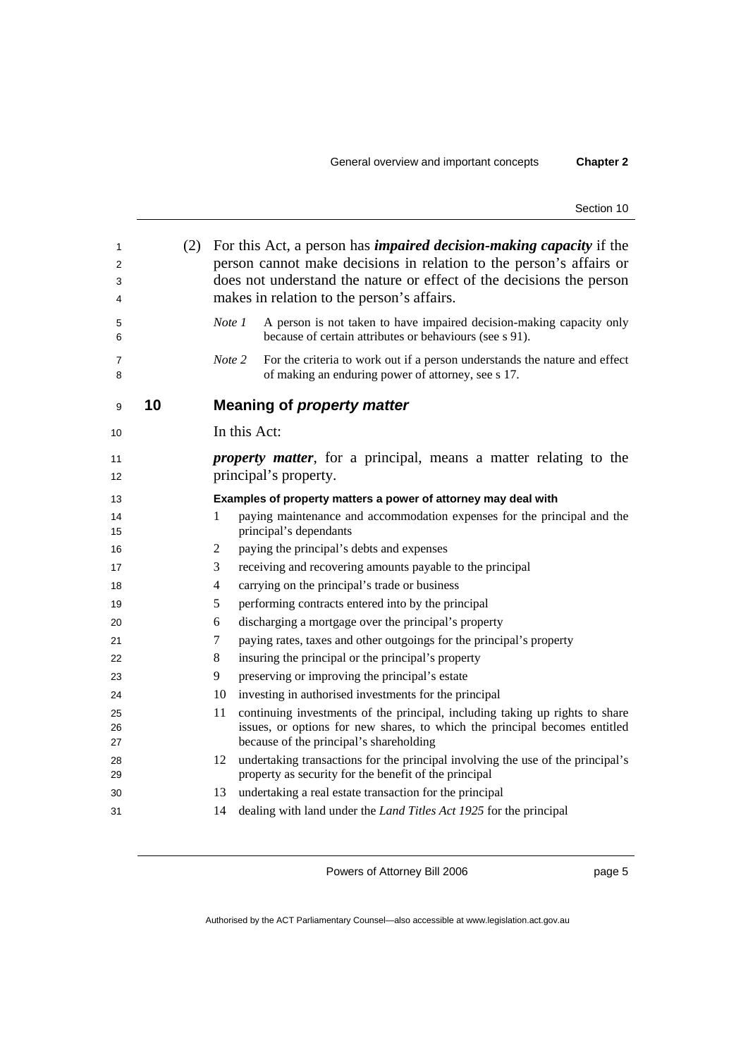| 1<br>2<br>3<br>4 |    | (2) | For this Act, a person has <i>impaired decision-making capacity</i> if the<br>person cannot make decisions in relation to the person's affairs or<br>does not understand the nature or effect of the decisions the person<br>makes in relation to the person's affairs. |                                                                                                                                                                                                       |
|------------------|----|-----|-------------------------------------------------------------------------------------------------------------------------------------------------------------------------------------------------------------------------------------------------------------------------|-------------------------------------------------------------------------------------------------------------------------------------------------------------------------------------------------------|
| 5<br>6           |    |     | Note 1                                                                                                                                                                                                                                                                  | A person is not taken to have impaired decision-making capacity only<br>because of certain attributes or behaviours (see s 91).                                                                       |
| 7<br>8           |    |     | Note 2                                                                                                                                                                                                                                                                  | For the criteria to work out if a person understands the nature and effect<br>of making an enduring power of attorney, see s 17.                                                                      |
| 9                | 10 |     |                                                                                                                                                                                                                                                                         | <b>Meaning of property matter</b>                                                                                                                                                                     |
| 10               |    |     | In this Act:                                                                                                                                                                                                                                                            |                                                                                                                                                                                                       |
| 11<br>12         |    |     |                                                                                                                                                                                                                                                                         | <i>property matter</i> , for a principal, means a matter relating to the<br>principal's property.                                                                                                     |
| 13               |    |     |                                                                                                                                                                                                                                                                         | Examples of property matters a power of attorney may deal with                                                                                                                                        |
| 14<br>15         |    |     | 1                                                                                                                                                                                                                                                                       | paying maintenance and accommodation expenses for the principal and the<br>principal's dependants                                                                                                     |
| 16               |    |     | 2                                                                                                                                                                                                                                                                       | paying the principal's debts and expenses                                                                                                                                                             |
| 17               |    |     | 3                                                                                                                                                                                                                                                                       | receiving and recovering amounts payable to the principal                                                                                                                                             |
| 18               |    |     | 4                                                                                                                                                                                                                                                                       | carrying on the principal's trade or business                                                                                                                                                         |
| 19               |    |     | 5                                                                                                                                                                                                                                                                       | performing contracts entered into by the principal                                                                                                                                                    |
| 20               |    |     | 6                                                                                                                                                                                                                                                                       | discharging a mortgage over the principal's property                                                                                                                                                  |
| 21               |    |     | 7                                                                                                                                                                                                                                                                       | paying rates, taxes and other outgoings for the principal's property                                                                                                                                  |
| 22               |    |     | 8                                                                                                                                                                                                                                                                       | insuring the principal or the principal's property                                                                                                                                                    |
| 23               |    |     | 9                                                                                                                                                                                                                                                                       | preserving or improving the principal's estate                                                                                                                                                        |
| 24               |    |     | 10                                                                                                                                                                                                                                                                      | investing in authorised investments for the principal                                                                                                                                                 |
| 25<br>26<br>27   |    |     | 11                                                                                                                                                                                                                                                                      | continuing investments of the principal, including taking up rights to share<br>issues, or options for new shares, to which the principal becomes entitled<br>because of the principal's shareholding |
| 28<br>29         |    |     | 12                                                                                                                                                                                                                                                                      | undertaking transactions for the principal involving the use of the principal's<br>property as security for the benefit of the principal                                                              |
| 30               |    |     | 13                                                                                                                                                                                                                                                                      | undertaking a real estate transaction for the principal                                                                                                                                               |
| 31               |    |     | 14                                                                                                                                                                                                                                                                      | dealing with land under the <i>Land Titles Act 1925</i> for the principal                                                                                                                             |

page 5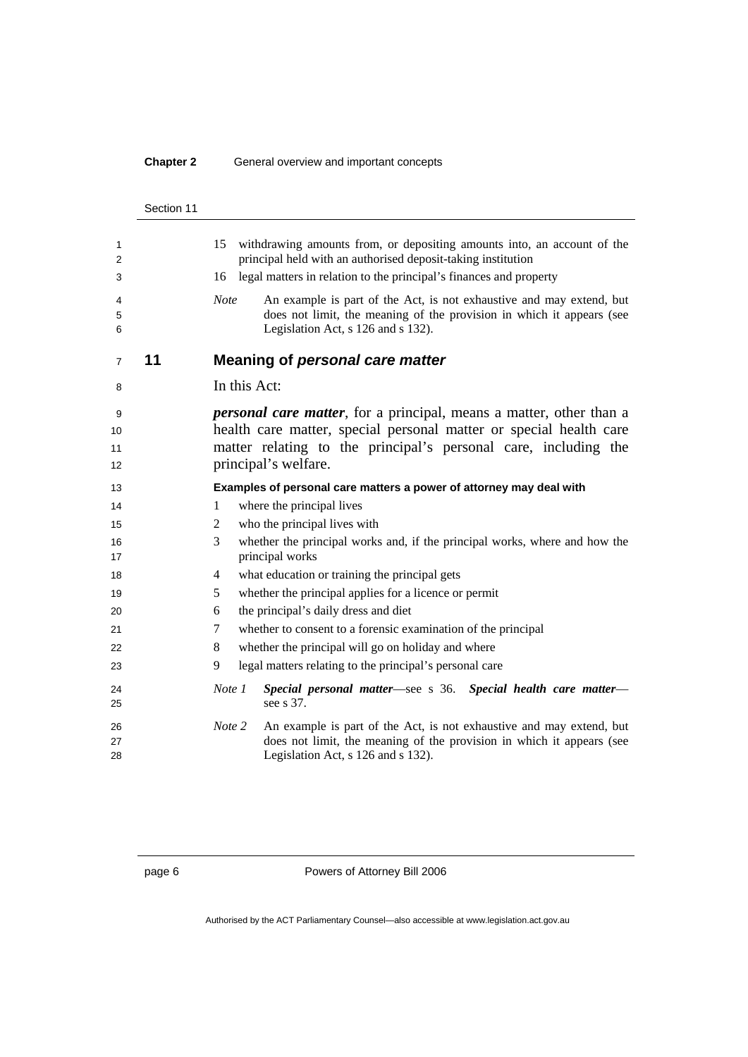#### **Chapter 2** General overview and important concepts

|                       | Section 11 |                                                                                                                                                                                                                                                                                                                                                                                           |
|-----------------------|------------|-------------------------------------------------------------------------------------------------------------------------------------------------------------------------------------------------------------------------------------------------------------------------------------------------------------------------------------------------------------------------------------------|
| 1<br>2<br>3<br>4<br>5 |            | 15<br>withdrawing amounts from, or depositing amounts into, an account of the<br>principal held with an authorised deposit-taking institution<br>legal matters in relation to the principal's finances and property<br>16<br><b>Note</b><br>An example is part of the Act, is not exhaustive and may extend, but<br>does not limit, the meaning of the provision in which it appears (see |
| 6                     | 11         | Legislation Act, s 126 and s 132).<br><b>Meaning of personal care matter</b>                                                                                                                                                                                                                                                                                                              |
| 7                     |            |                                                                                                                                                                                                                                                                                                                                                                                           |
| 8                     |            | In this Act:                                                                                                                                                                                                                                                                                                                                                                              |
| 9                     |            | <i>personal care matter</i> , for a principal, means a matter, other than a                                                                                                                                                                                                                                                                                                               |
| 10                    |            | health care matter, special personal matter or special health care                                                                                                                                                                                                                                                                                                                        |
| 11                    |            | matter relating to the principal's personal care, including the                                                                                                                                                                                                                                                                                                                           |
| 12                    |            | principal's welfare.                                                                                                                                                                                                                                                                                                                                                                      |
| 13                    |            | Examples of personal care matters a power of attorney may deal with                                                                                                                                                                                                                                                                                                                       |
| 14                    |            | where the principal lives<br>1                                                                                                                                                                                                                                                                                                                                                            |
| 15                    |            | who the principal lives with<br>2                                                                                                                                                                                                                                                                                                                                                         |
| 16<br>17              |            | 3<br>whether the principal works and, if the principal works, where and how the<br>principal works                                                                                                                                                                                                                                                                                        |
| 18                    |            | what education or training the principal gets<br>4                                                                                                                                                                                                                                                                                                                                        |
| 19                    |            | whether the principal applies for a licence or permit<br>5                                                                                                                                                                                                                                                                                                                                |
| 20                    |            | the principal's daily dress and diet<br>6                                                                                                                                                                                                                                                                                                                                                 |
| 21                    |            | whether to consent to a forensic examination of the principal<br>7                                                                                                                                                                                                                                                                                                                        |
| 22                    |            | whether the principal will go on holiday and where<br>8                                                                                                                                                                                                                                                                                                                                   |
| 23                    |            | legal matters relating to the principal's personal care<br>9                                                                                                                                                                                                                                                                                                                              |
| 24<br>25              |            | Special personal matter-see s 36. Special health care matter-<br>Note 1<br>see s 37.                                                                                                                                                                                                                                                                                                      |
| 26                    |            | Note 2<br>An example is part of the Act, is not exhaustive and may extend, but                                                                                                                                                                                                                                                                                                            |
| 27                    |            | does not limit, the meaning of the provision in which it appears (see                                                                                                                                                                                                                                                                                                                     |
| 28                    |            | Legislation Act, s 126 and s 132).                                                                                                                                                                                                                                                                                                                                                        |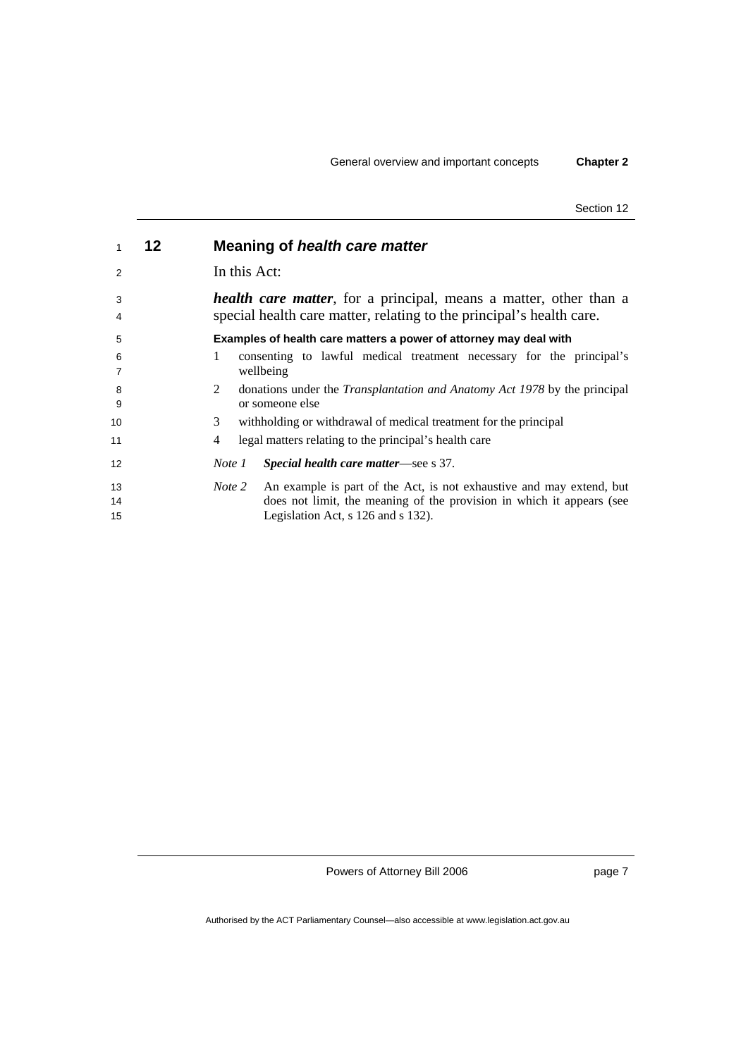| 1              | 12 | Meaning of health care matter                                                                                                                                                                 |
|----------------|----|-----------------------------------------------------------------------------------------------------------------------------------------------------------------------------------------------|
| 2              |    | In this Act:                                                                                                                                                                                  |
| 3<br>4         |    | <i>health care matter</i> , for a principal, means a matter, other than a<br>special health care matter, relating to the principal's health care.                                             |
| 5              |    | Examples of health care matters a power of attorney may deal with                                                                                                                             |
| 6<br>7         |    | 1<br>consenting to lawful medical treatment necessary for the principal's<br>wellbeing                                                                                                        |
| 8<br>9         |    | 2<br>donations under the <i>Transplantation and Anatomy Act 1978</i> by the principal<br>or someone else                                                                                      |
| 10             |    | 3<br>with holding or withdrawal of medical treatment for the principal                                                                                                                        |
| 11             |    | legal matters relating to the principal's health care<br>4                                                                                                                                    |
| 12             |    | Special health care matter—see s 37.<br>Note 1                                                                                                                                                |
| 13<br>14<br>15 |    | An example is part of the Act, is not exhaustive and may extend, but<br>Note 2<br>does not limit, the meaning of the provision in which it appears (see<br>Legislation Act, s 126 and s 132). |

Powers of Attorney Bill 2006

page 7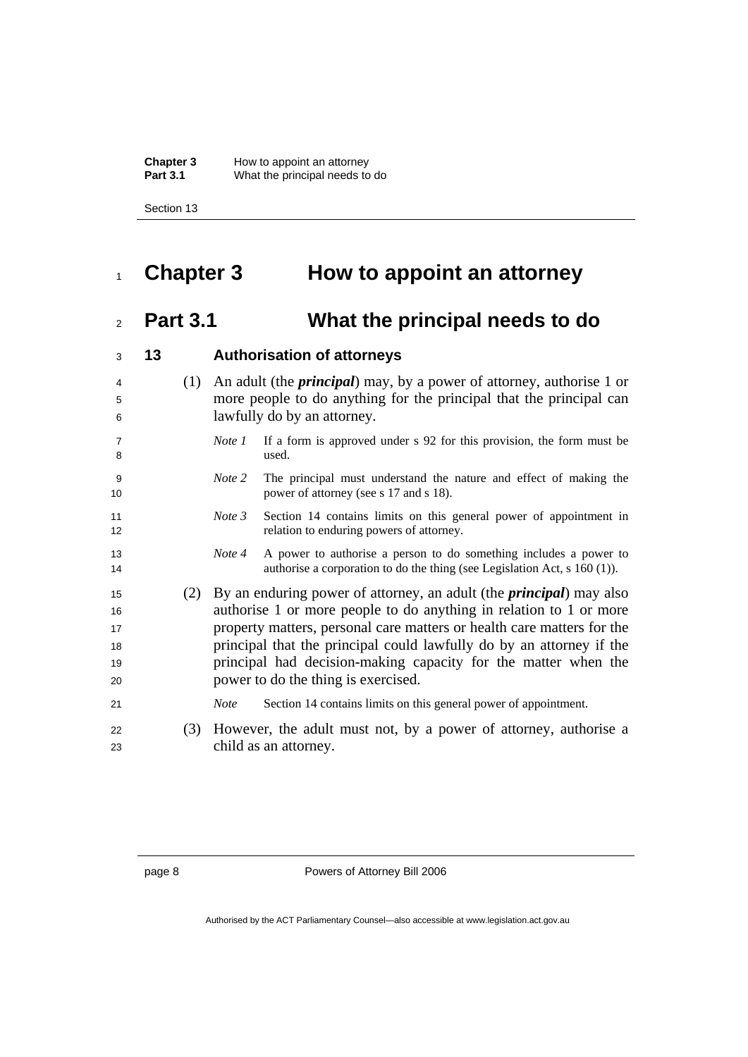**Chapter 3** How to appoint an attorney **Part 3.1** What the principal needs to do

Section 13

## **Chapter 3 How to appoint an attorney**

## **Part 3.1 What the principal needs to do**

| 3                                | 13 |     |             | <b>Authorisation of attorneys</b>                                                                                                                                                                                                                                                                                                                                                                            |
|----------------------------------|----|-----|-------------|--------------------------------------------------------------------------------------------------------------------------------------------------------------------------------------------------------------------------------------------------------------------------------------------------------------------------------------------------------------------------------------------------------------|
| $\overline{4}$<br>5<br>6         |    | (1) |             | An adult (the <i>principal</i> ) may, by a power of attorney, authorise 1 or<br>more people to do anything for the principal that the principal can<br>lawfully do by an attorney.                                                                                                                                                                                                                           |
| $\overline{7}$<br>8              |    |     | Note 1      | If a form is approved under s 92 for this provision, the form must be<br>used.                                                                                                                                                                                                                                                                                                                               |
| 9<br>10                          |    |     | Note 2      | The principal must understand the nature and effect of making the<br>power of attorney (see s 17 and s 18).                                                                                                                                                                                                                                                                                                  |
| 11<br>12                         |    |     | Note 3      | Section 14 contains limits on this general power of appointment in<br>relation to enduring powers of attorney.                                                                                                                                                                                                                                                                                               |
| 13<br>14                         |    |     | Note 4      | A power to authorise a person to do something includes a power to<br>authorise a corporation to do the thing (see Legislation Act, $s$ 160 (1)).                                                                                                                                                                                                                                                             |
| 15<br>16<br>17<br>18<br>19<br>20 |    | (2) |             | By an enduring power of attorney, an adult (the <i>principal</i> ) may also<br>authorise 1 or more people to do anything in relation to 1 or more<br>property matters, personal care matters or health care matters for the<br>principal that the principal could lawfully do by an attorney if the<br>principal had decision-making capacity for the matter when the<br>power to do the thing is exercised. |
| 21                               |    |     | <b>Note</b> | Section 14 contains limits on this general power of appointment.                                                                                                                                                                                                                                                                                                                                             |
| 22<br>23                         |    | (3) |             | However, the adult must not, by a power of attorney, authorise a<br>child as an attorney.                                                                                                                                                                                                                                                                                                                    |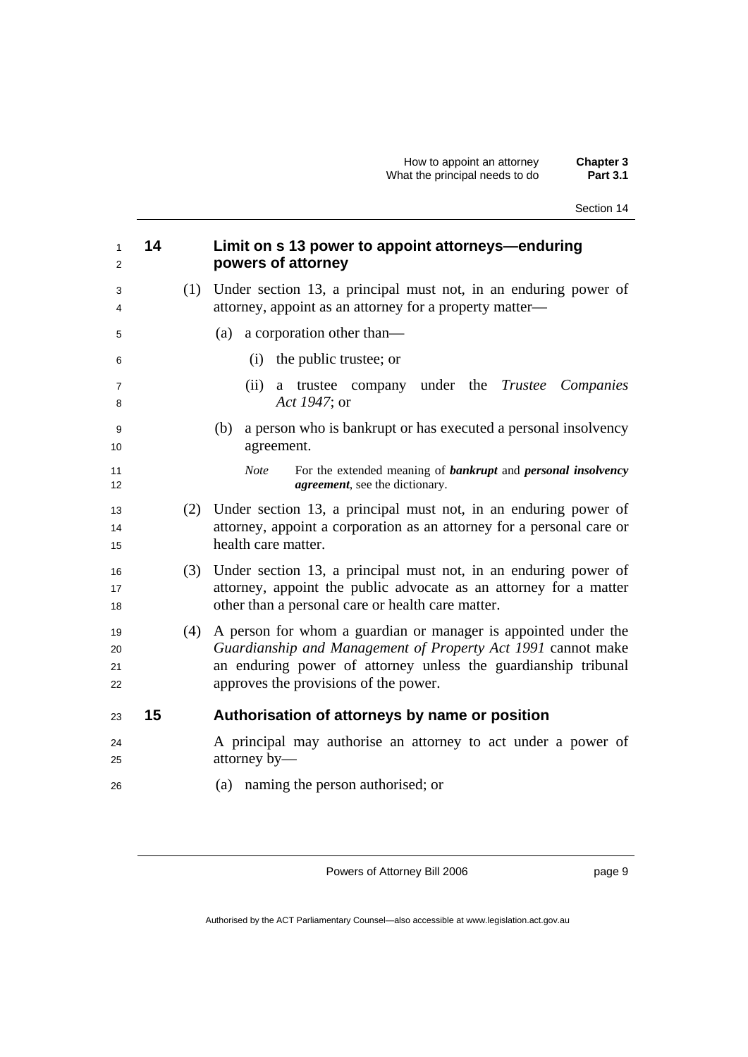| $\mathbf{1}$<br>2    | 14 |     | Limit on s 13 power to appoint attorneys—enduring<br>powers of attorney                                                                                                                                                                   |
|----------------------|----|-----|-------------------------------------------------------------------------------------------------------------------------------------------------------------------------------------------------------------------------------------------|
| 3<br>4               |    | (1) | Under section 13, a principal must not, in an enduring power of<br>attorney, appoint as an attorney for a property matter—                                                                                                                |
| 5                    |    |     | (a) a corporation other than—                                                                                                                                                                                                             |
| 6                    |    |     | the public trustee; or<br>(i)                                                                                                                                                                                                             |
| $\overline{7}$<br>8  |    |     | (ii)<br>a trustee company under the Trustee Companies<br>Act 1947; or                                                                                                                                                                     |
| 9<br>10              |    |     | a person who is bankrupt or has executed a personal insolvency<br>(b)<br>agreement.                                                                                                                                                       |
| 11<br>12             |    |     | For the extended meaning of <b>bankrupt</b> and <b>personal insolvency</b><br><b>Note</b><br><i>agreement</i> , see the dictionary.                                                                                                       |
| 13<br>14<br>15       |    | (2) | Under section 13, a principal must not, in an enduring power of<br>attorney, appoint a corporation as an attorney for a personal care or<br>health care matter.                                                                           |
| 16<br>17<br>18       |    | (3) | Under section 13, a principal must not, in an enduring power of<br>attorney, appoint the public advocate as an attorney for a matter<br>other than a personal care or health care matter.                                                 |
| 19<br>20<br>21<br>22 |    | (4) | A person for whom a guardian or manager is appointed under the<br>Guardianship and Management of Property Act 1991 cannot make<br>an enduring power of attorney unless the guardianship tribunal<br>approves the provisions of the power. |
| 23                   | 15 |     | Authorisation of attorneys by name or position                                                                                                                                                                                            |
| 24<br>25             |    |     | A principal may authorise an attorney to act under a power of<br>attorney by-                                                                                                                                                             |
| 26                   |    |     | (a) naming the person authorised; or                                                                                                                                                                                                      |

Powers of Attorney Bill 2006

page 9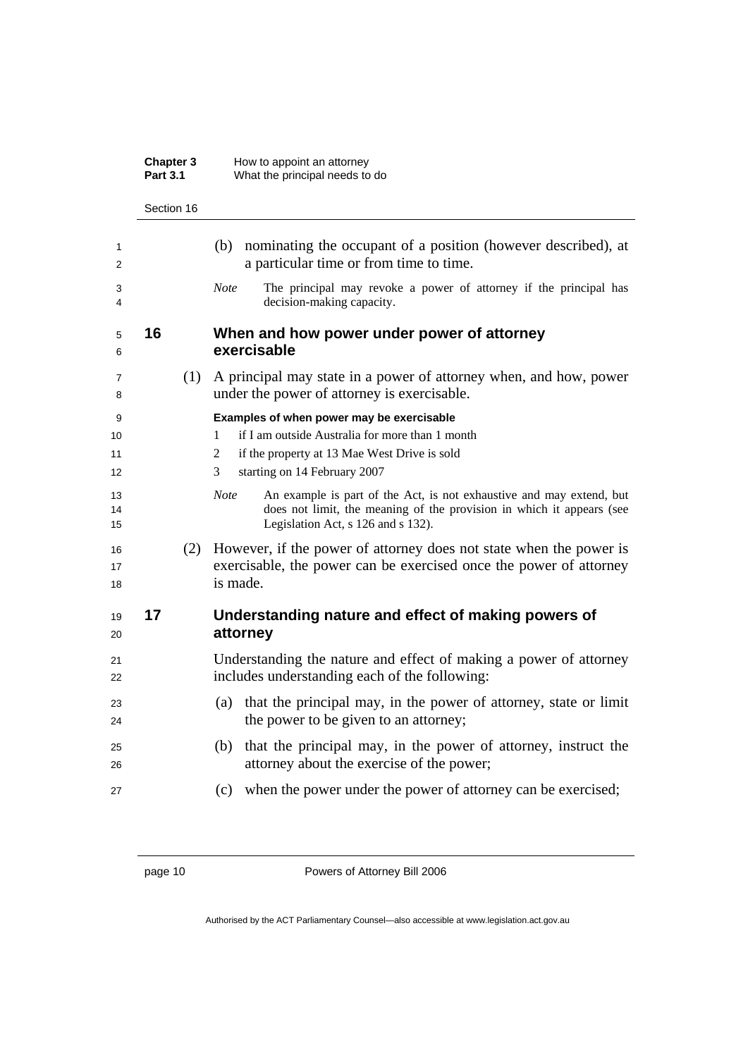|                     | Chapter 3<br><b>Part 3.1</b> | How to appoint an attorney<br>What the principal needs to do                                                                                                                                       |
|---------------------|------------------------------|----------------------------------------------------------------------------------------------------------------------------------------------------------------------------------------------------|
|                     | Section 16                   |                                                                                                                                                                                                    |
| 1<br>2              |                              | nominating the occupant of a position (however described), at<br>(b)<br>a particular time or from time to time.                                                                                    |
| 3<br>4              |                              | <b>Note</b><br>The principal may revoke a power of attorney if the principal has<br>decision-making capacity.                                                                                      |
| 5<br>6              | 16                           | When and how power under power of attorney<br>exercisable                                                                                                                                          |
| 7<br>8              | (1)                          | A principal may state in a power of attorney when, and how, power<br>under the power of attorney is exercisable.                                                                                   |
| 9<br>10<br>11<br>12 |                              | Examples of when power may be exercisable<br>if I am outside Australia for more than 1 month<br>1<br>if the property at 13 Mae West Drive is sold<br>2<br>starting on 14 February 2007<br>3        |
| 13<br>14<br>15      |                              | An example is part of the Act, is not exhaustive and may extend, but<br><b>Note</b><br>does not limit, the meaning of the provision in which it appears (see<br>Legislation Act, s 126 and s 132). |
| 16<br>17<br>18      | (2)                          | However, if the power of attorney does not state when the power is<br>exercisable, the power can be exercised once the power of attorney<br>is made.                                               |
| 19<br>20            | 17                           | Understanding nature and effect of making powers of<br>attorney                                                                                                                                    |
| 21<br>22            |                              | Understanding the nature and effect of making a power of attorney<br>includes understanding each of the following:                                                                                 |
| 23<br>24            |                              | that the principal may, in the power of attorney, state or limit<br>(a)<br>the power to be given to an attorney;                                                                                   |
| 25<br>26            |                              | that the principal may, in the power of attorney, instruct the<br>(b)<br>attorney about the exercise of the power;                                                                                 |
| 27                  |                              | when the power under the power of attorney can be exercised;<br>(c)                                                                                                                                |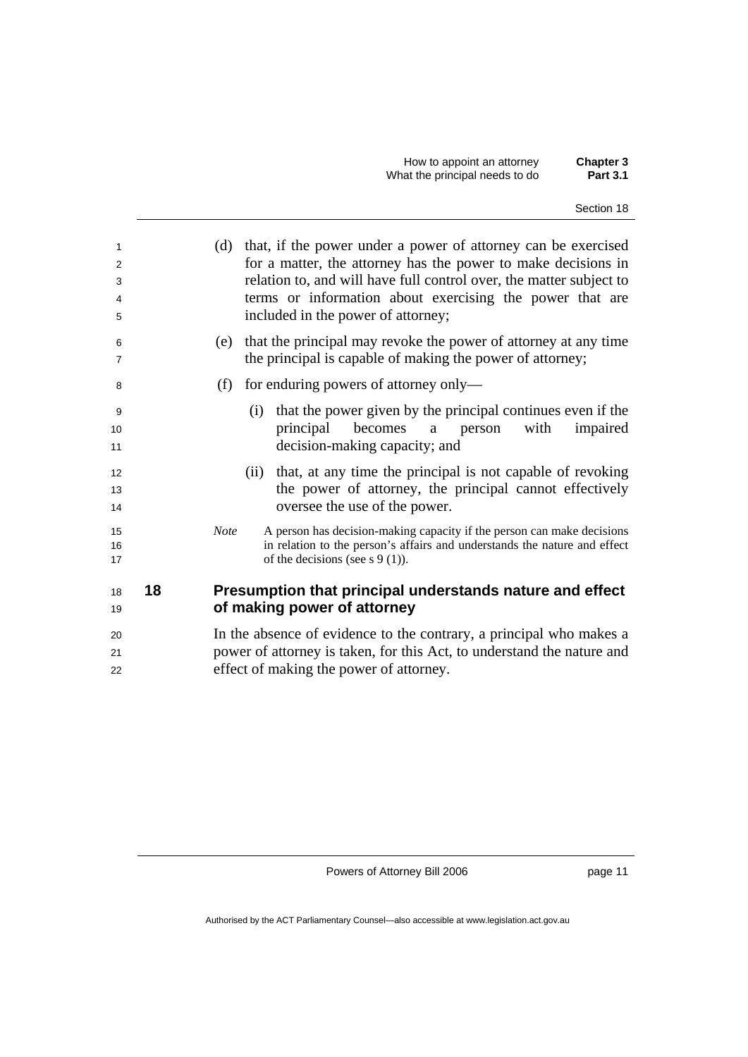| 1<br>2<br>3<br>4<br>5 |    | (d) that, if the power under a power of attorney can be exercised<br>for a matter, the attorney has the power to make decisions in<br>relation to, and will have full control over, the matter subject to<br>terms or information about exercising the power that are<br>included in the power of attorney; |
|-----------------------|----|-------------------------------------------------------------------------------------------------------------------------------------------------------------------------------------------------------------------------------------------------------------------------------------------------------------|
| 6<br>7                |    | that the principal may revoke the power of attorney at any time<br>(e)<br>the principal is capable of making the power of attorney;                                                                                                                                                                         |
| 8                     |    | for enduring powers of attorney only—<br>(f)                                                                                                                                                                                                                                                                |
| 9<br>10<br>11         |    | that the power given by the principal continues even if the<br>(i)<br>principal becomes<br>with<br>a person<br>impaired<br>decision-making capacity; and                                                                                                                                                    |
| 12<br>13<br>14        |    | (ii) that, at any time the principal is not capable of revoking<br>the power of attorney, the principal cannot effectively<br>oversee the use of the power.                                                                                                                                                 |
| 15<br>16<br>17        |    | A person has decision-making capacity if the person can make decisions<br><b>Note</b><br>in relation to the person's affairs and understands the nature and effect<br>of the decisions (see $s \ 9(1)$ ).                                                                                                   |
| 18<br>19              | 18 | Presumption that principal understands nature and effect<br>of making power of attorney                                                                                                                                                                                                                     |
| 20<br>21<br>22        |    | In the absence of evidence to the contrary, a principal who makes a<br>power of attorney is taken, for this Act, to understand the nature and<br>effect of making the power of attorney.                                                                                                                    |

page 11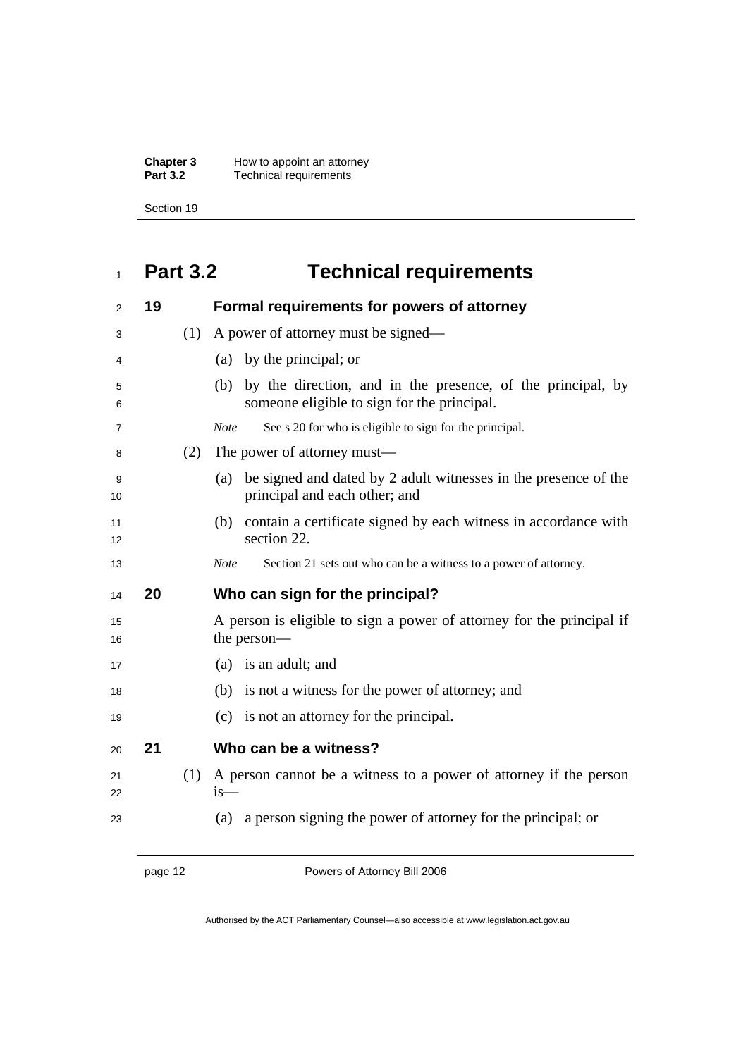**Chapter 3** How to appoint an attorney **Part 3.2 Technical requirements** 

Section 19

## **Part 3.2 Technical requirements**

| 2        | 19 |     | Formal requirements for powers of attorney                                                                        |
|----------|----|-----|-------------------------------------------------------------------------------------------------------------------|
| 3        |    | (1) | A power of attorney must be signed—                                                                               |
| 4        |    |     | (a) by the principal; or                                                                                          |
| 5<br>6   |    |     | by the direction, and in the presence, of the principal, by<br>(b)<br>someone eligible to sign for the principal. |
| 7        |    |     | See s 20 for who is eligible to sign for the principal.<br><b>Note</b>                                            |
| 8        |    | (2) | The power of attorney must—                                                                                       |
| 9<br>10  |    |     | be signed and dated by 2 adult witnesses in the presence of the<br>(a)<br>principal and each other; and           |
| 11<br>12 |    |     | contain a certificate signed by each witness in accordance with<br>(b)<br>section 22.                             |
| 13       |    |     | Section 21 sets out who can be a witness to a power of attorney.<br><b>Note</b>                                   |
|          |    |     |                                                                                                                   |
| 14       | 20 |     | Who can sign for the principal?                                                                                   |
| 15<br>16 |    |     | A person is eligible to sign a power of attorney for the principal if<br>the person—                              |
| 17       |    |     | (a) is an adult; and                                                                                              |
| 18       |    |     | (b) is not a witness for the power of attorney; and                                                               |
| 19       |    |     | is not an attorney for the principal.<br>(c)                                                                      |
| 20       | 21 |     | Who can be a witness?                                                                                             |
| 21<br>22 |    | (1) | A person cannot be a witness to a power of attorney if the person<br>$is-$                                        |

page 12 Powers of Attorney Bill 2006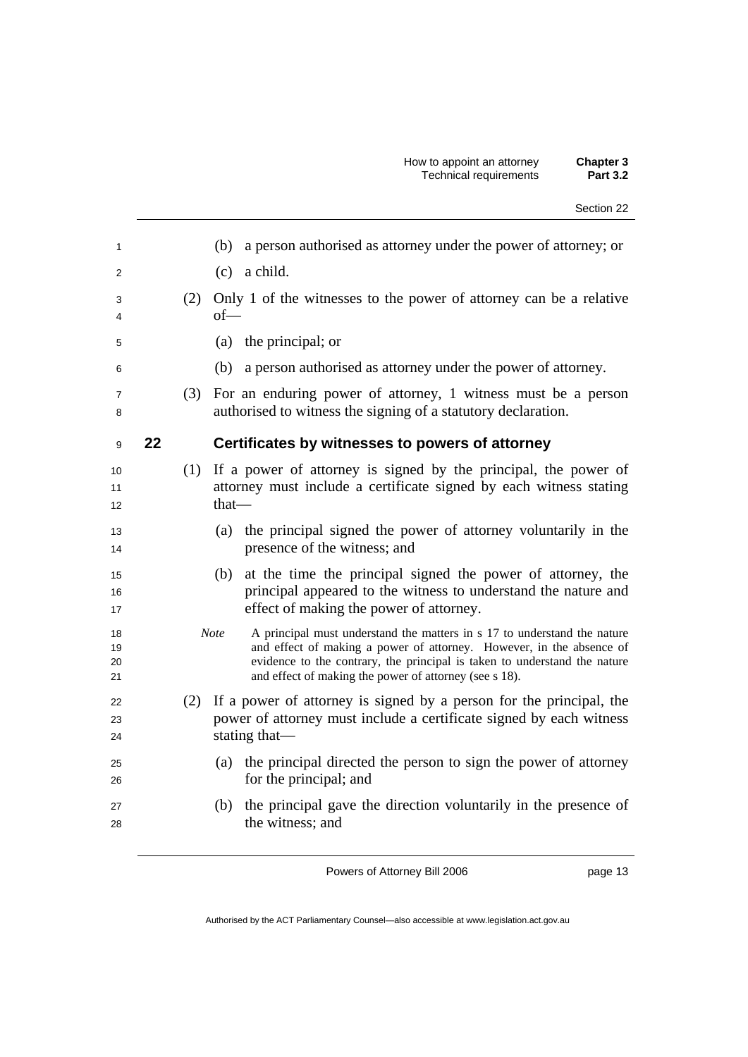| Section 22 |  |
|------------|--|
|            |  |

| 1                    |    |     | (b) a person authorised as attorney under the power of attorney; or                                                                                                                                                                                                                                    |
|----------------------|----|-----|--------------------------------------------------------------------------------------------------------------------------------------------------------------------------------------------------------------------------------------------------------------------------------------------------------|
| 2                    |    |     | $(c)$ a child.                                                                                                                                                                                                                                                                                         |
| 3<br>4               |    | (2) | Only 1 of the witnesses to the power of attorney can be a relative<br>$of$ —                                                                                                                                                                                                                           |
| 5                    |    |     | (a) the principal; or                                                                                                                                                                                                                                                                                  |
| 6                    |    |     | a person authorised as attorney under the power of attorney.<br>(b)                                                                                                                                                                                                                                    |
| $\overline{7}$<br>8  |    | (3) | For an enduring power of attorney, 1 witness must be a person<br>authorised to witness the signing of a statutory declaration.                                                                                                                                                                         |
| 9                    | 22 |     | Certificates by witnesses to powers of attorney                                                                                                                                                                                                                                                        |
| 10<br>11<br>12       |    |     | (1) If a power of attorney is signed by the principal, the power of<br>attorney must include a certificate signed by each witness stating<br>$that$ —                                                                                                                                                  |
| 13<br>14             |    |     | (a) the principal signed the power of attorney voluntarily in the<br>presence of the witness; and                                                                                                                                                                                                      |
| 15<br>16<br>17       |    |     | (b) at the time the principal signed the power of attorney, the<br>principal appeared to the witness to understand the nature and<br>effect of making the power of attorney.                                                                                                                           |
| 18<br>19<br>20<br>21 |    |     | A principal must understand the matters in s 17 to understand the nature<br><b>Note</b><br>and effect of making a power of attorney. However, in the absence of<br>evidence to the contrary, the principal is taken to understand the nature<br>and effect of making the power of attorney (see s 18). |
| 22<br>23<br>24       |    | (2) | If a power of attorney is signed by a person for the principal, the<br>power of attorney must include a certificate signed by each witness<br>stating that—                                                                                                                                            |
| 25<br>26             |    |     | (a) the principal directed the person to sign the power of attorney<br>for the principal; and                                                                                                                                                                                                          |
| 27<br>28             |    |     | (b) the principal gave the direction voluntarily in the presence of<br>the witness; and                                                                                                                                                                                                                |
|                      |    |     |                                                                                                                                                                                                                                                                                                        |

page 13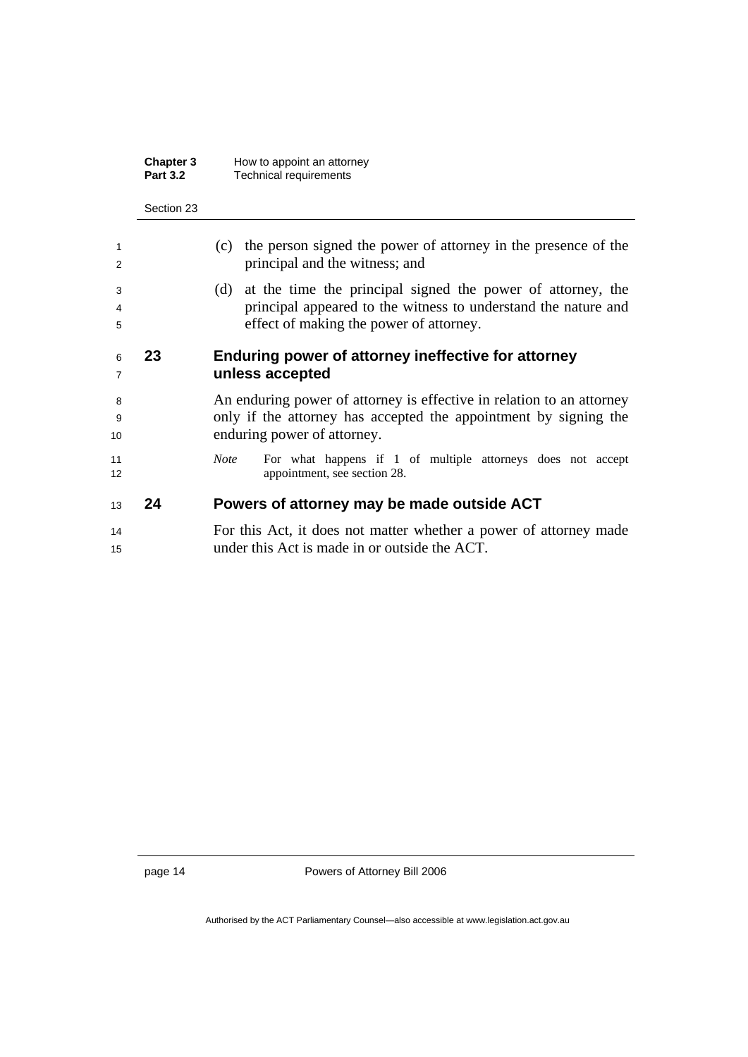| <b>Chapter 3</b> | How to appoint an attorney |
|------------------|----------------------------|
| <b>Part 3.2</b>  | Technical requirements     |

| 6<br>7 | 23 | Enduring power of attorney ineffective for attorney<br>unless accepted |
|--------|----|------------------------------------------------------------------------|
| 5      |    | effect of making the power of attorney.                                |
| 4      |    | principal appeared to the witness to understand the nature and         |
| 3      |    | (d) at the time the principal signed the power of attorney, the        |
| 2      |    | principal and the witness; and                                         |
| 1      |    | (c) the person signed the power of attorney in the presence of the     |

An enduring power of attorney is effective in relation to an attorney only if the attorney has accepted the appointment by signing the 10 enduring power of attorney.

*Note* For what happens if 1 of multiple attorneys does not accept 12 appointment, see section 28.

#### **24 Powers of attorney may be made outside ACT**

For this Act, it does not matter whether a power of attorney made under this Act is made in or outside the ACT.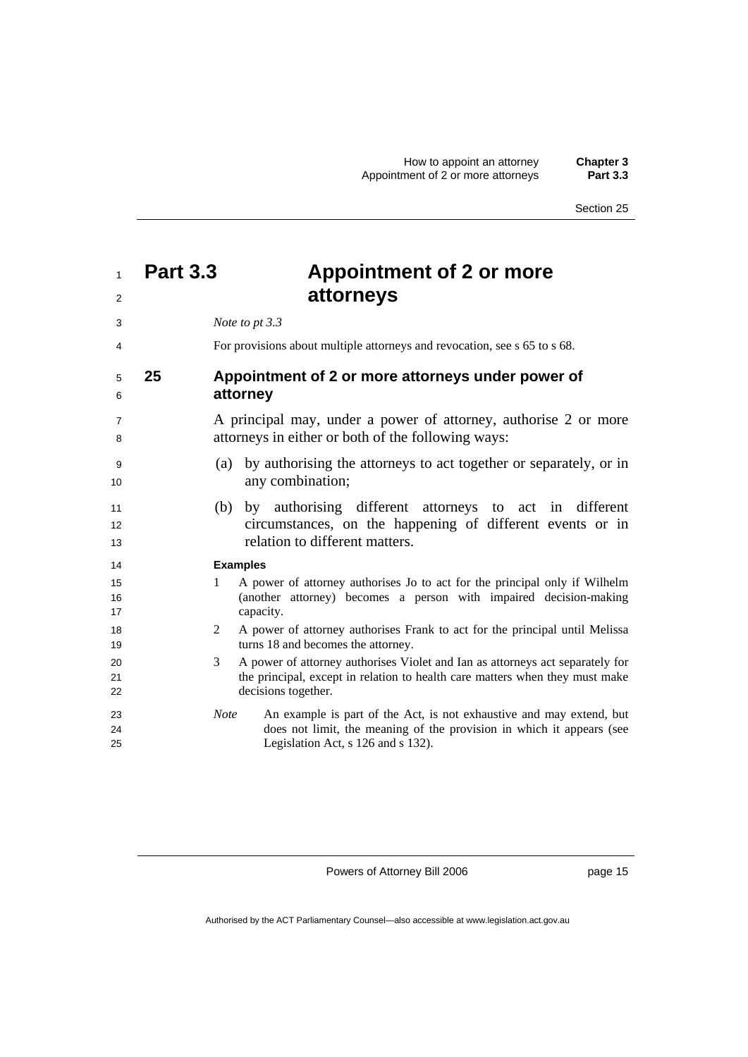## **Part 3.3 Appointment of 2 or more attorneys**

| 3                   |    | Note to pt 3.3                                                                                                                                                                                     |
|---------------------|----|----------------------------------------------------------------------------------------------------------------------------------------------------------------------------------------------------|
| 4                   |    | For provisions about multiple attorneys and revocation, see s 65 to s 68.                                                                                                                          |
| 5<br>6              | 25 | Appointment of 2 or more attorneys under power of<br>attorney                                                                                                                                      |
| $\overline{7}$<br>8 |    | A principal may, under a power of attorney, authorise 2 or more<br>attorneys in either or both of the following ways:                                                                              |
| 9<br>10             |    | by authorising the attorneys to act together or separately, or in<br>(a)<br>any combination;                                                                                                       |
| 11<br>12<br>13      |    | (b) by authorising different attorneys to act in different<br>circumstances, on the happening of different events or in<br>relation to different matters.                                          |
| 14<br>15            |    | <b>Examples</b><br>A power of attorney authorises Jo to act for the principal only if Wilhelm<br>1                                                                                                 |
| 16<br>17            |    | (another attorney) becomes a person with impaired decision-making<br>capacity.                                                                                                                     |
| 18<br>19            |    | A power of attorney authorises Frank to act for the principal until Melissa<br>2<br>turns 18 and becomes the attorney.                                                                             |
| 20<br>21<br>22      |    | A power of attorney authorises Violet and Ian as attorneys act separately for<br>3<br>the principal, except in relation to health care matters when they must make<br>decisions together.          |
| 23<br>24<br>25      |    | An example is part of the Act, is not exhaustive and may extend, but<br><b>Note</b><br>does not limit, the meaning of the provision in which it appears (see<br>Legislation Act, s 126 and s 132). |

Powers of Attorney Bill 2006

page 15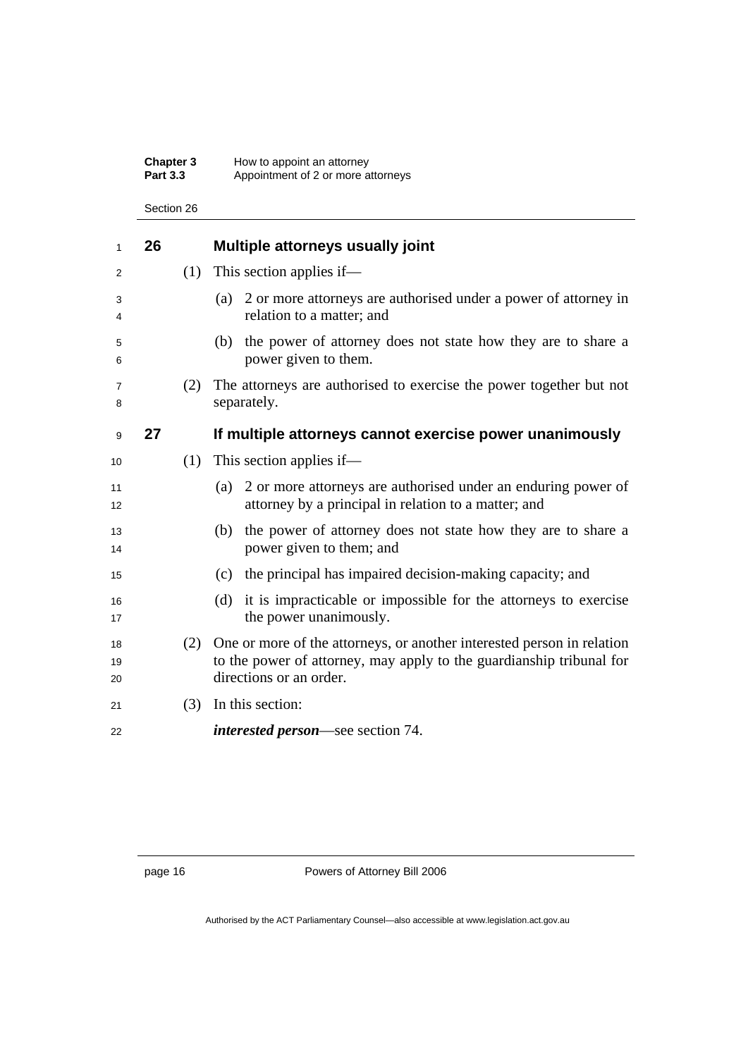#### **Chapter 3** How to appoint an attorney **Part 3.3** ••• Appointment of 2 or more attorneys

Section 26

| 1              | 26 |     | Multiple attorneys usually joint                                                                                                                                          |
|----------------|----|-----|---------------------------------------------------------------------------------------------------------------------------------------------------------------------------|
| 2              |    | (1) | This section applies if—                                                                                                                                                  |
| 3<br>4         |    |     | 2 or more attorneys are authorised under a power of attorney in<br>(a)<br>relation to a matter; and                                                                       |
| 5<br>6         |    |     | (b) the power of attorney does not state how they are to share a<br>power given to them.                                                                                  |
| 7<br>8         |    | (2) | The attorneys are authorised to exercise the power together but not<br>separately.                                                                                        |
| 9              | 27 |     | If multiple attorneys cannot exercise power unanimously                                                                                                                   |
| 10             |    | (1) | This section applies if—                                                                                                                                                  |
| 11<br>12       |    |     | 2 or more attorneys are authorised under an enduring power of<br>(a)<br>attorney by a principal in relation to a matter; and                                              |
| 13<br>14       |    |     | (b) the power of attorney does not state how they are to share a<br>power given to them; and                                                                              |
| 15             |    |     | (c) the principal has impaired decision-making capacity; and                                                                                                              |
| 16<br>17       |    |     | (d) it is impracticable or impossible for the attorneys to exercise<br>the power unanimously.                                                                             |
| 18<br>19<br>20 |    | (2) | One or more of the attorneys, or another interested person in relation<br>to the power of attorney, may apply to the guardianship tribunal for<br>directions or an order. |
| 21             |    | (3) | In this section:                                                                                                                                                          |
| 22             |    |     | <i>interested person</i> —see section 74.                                                                                                                                 |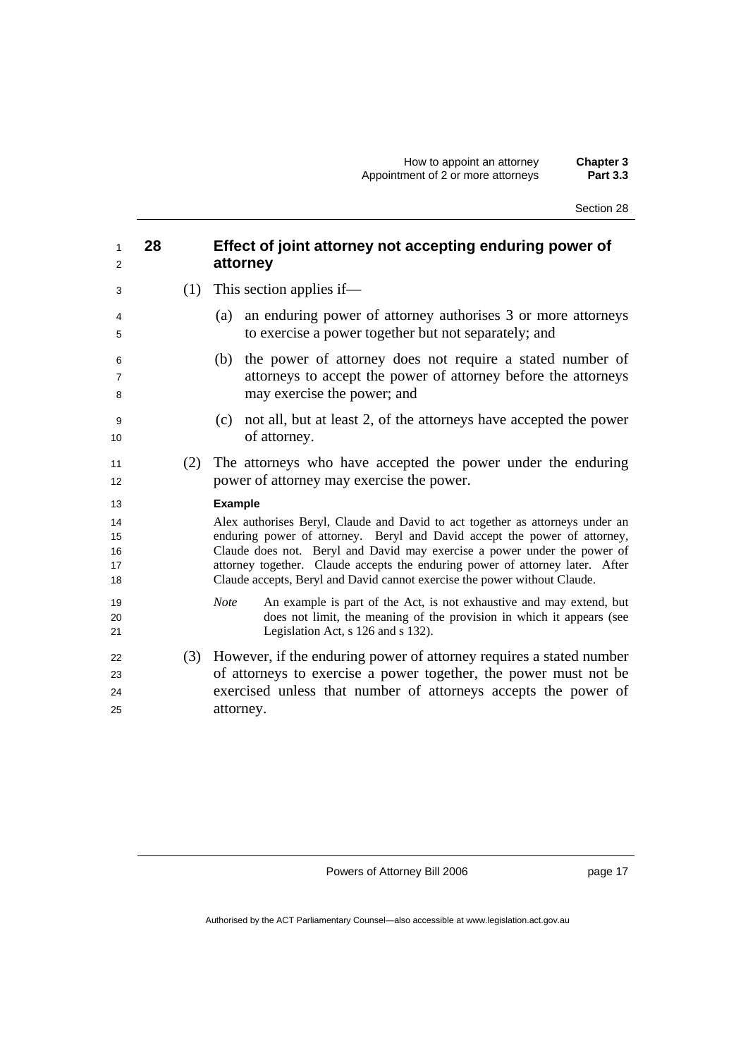| Section 28 |  |
|------------|--|
|------------|--|

| 1<br>2                     | 28 |     | Effect of joint attorney not accepting enduring power of<br>attorney                                                                                                                                                                                                                                                                                                                                 |
|----------------------------|----|-----|------------------------------------------------------------------------------------------------------------------------------------------------------------------------------------------------------------------------------------------------------------------------------------------------------------------------------------------------------------------------------------------------------|
| 3                          |    |     | $(1)$ This section applies if—                                                                                                                                                                                                                                                                                                                                                                       |
| 4<br>5                     |    |     | an enduring power of attorney authorises 3 or more attorneys<br>(a)<br>to exercise a power together but not separately; and                                                                                                                                                                                                                                                                          |
| 6<br>7<br>8                |    |     | the power of attorney does not require a stated number of<br>(b)<br>attorneys to accept the power of attorney before the attorneys<br>may exercise the power; and                                                                                                                                                                                                                                    |
| 9<br>10                    |    |     | not all, but at least 2, of the attorneys have accepted the power<br>(c)<br>of attorney.                                                                                                                                                                                                                                                                                                             |
| 11<br>12                   |    | (2) | The attorneys who have accepted the power under the enduring<br>power of attorney may exercise the power.                                                                                                                                                                                                                                                                                            |
| 13                         |    |     | <b>Example</b>                                                                                                                                                                                                                                                                                                                                                                                       |
| 14<br>15<br>16<br>17<br>18 |    |     | Alex authorises Beryl, Claude and David to act together as attorneys under an<br>enduring power of attorney. Beryl and David accept the power of attorney,<br>Claude does not. Beryl and David may exercise a power under the power of<br>attorney together. Claude accepts the enduring power of attorney later. After<br>Claude accepts, Beryl and David cannot exercise the power without Claude. |
| 19<br>20<br>21             |    |     | <b>Note</b><br>An example is part of the Act, is not exhaustive and may extend, but<br>does not limit, the meaning of the provision in which it appears (see<br>Legislation Act, s 126 and s 132).                                                                                                                                                                                                   |
| 22<br>23<br>24<br>25       |    |     | (3) However, if the enduring power of attorney requires a stated number<br>of attorneys to exercise a power together, the power must not be<br>exercised unless that number of attorneys accepts the power of<br>attorney.                                                                                                                                                                           |

page 17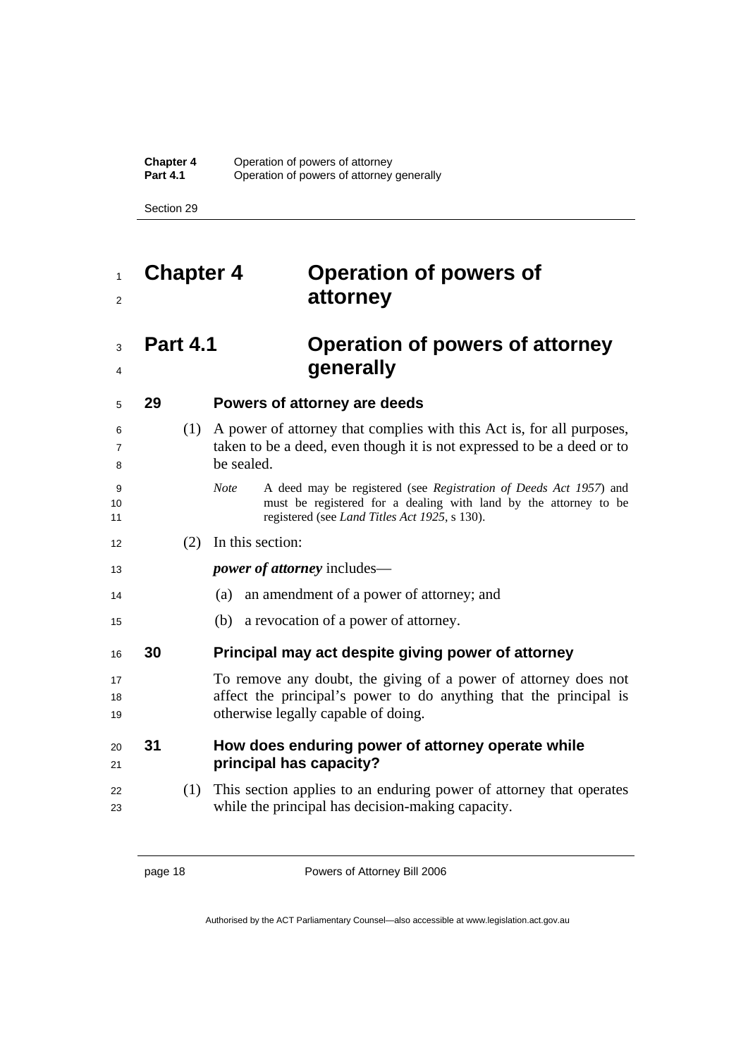## **Chapter 4 Operation of powers of attorney**

## **Part 4.1 Operation of powers of attorney generally**

#### **29 Powers of attorney are deeds**

| 6<br>$\overline{7}$<br>8 |    | (1) | A power of attorney that complies with this Act is, for all purposes,<br>taken to be a deed, even though it is not expressed to be a deed or to<br>be sealed.                                         |
|--------------------------|----|-----|-------------------------------------------------------------------------------------------------------------------------------------------------------------------------------------------------------|
| 9<br>10<br>11            |    |     | A deed may be registered (see Registration of Deeds Act 1957) and<br><b>Note</b><br>must be registered for a dealing with land by the attorney to be<br>registered (see Land Titles Act 1925, s 130). |
| 12                       |    | (2) | In this section:                                                                                                                                                                                      |
| 13                       |    |     | <i>power of attorney</i> includes—                                                                                                                                                                    |
| 14                       |    |     | an amendment of a power of attorney; and<br>(a)                                                                                                                                                       |
| 15                       |    |     | (b) a revocation of a power of attorney.                                                                                                                                                              |
| 16                       | 30 |     | Principal may act despite giving power of attorney                                                                                                                                                    |
| 17<br>18<br>19           |    |     | To remove any doubt, the giving of a power of attorney does not<br>affect the principal's power to do anything that the principal is<br>otherwise legally capable of doing.                           |
| 20<br>21                 | 31 |     | How does enduring power of attorney operate while<br>principal has capacity?                                                                                                                          |
| 22<br>23                 |    | (1) | This section applies to an enduring power of attorney that operates<br>while the principal has decision-making capacity.                                                                              |
|                          |    |     |                                                                                                                                                                                                       |

page 18 Powers of Attorney Bill 2006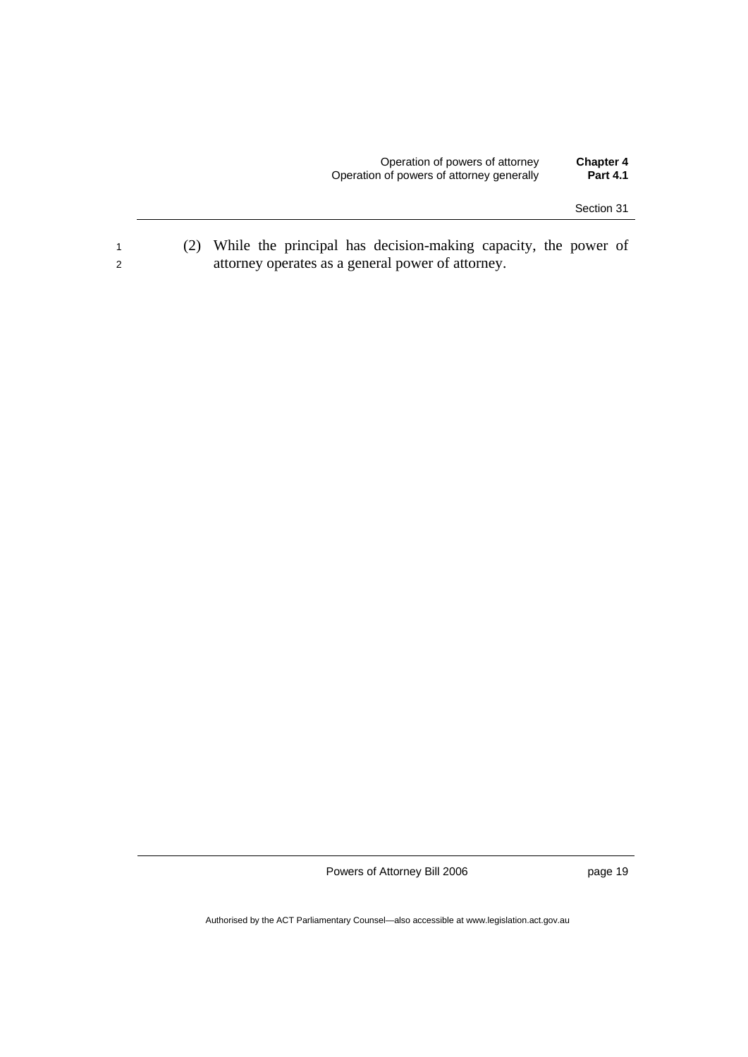<sup>1</sup>(2) While the principal has decision-making capacity, the power of 2 attorney operates as a general power of attorney.

Powers of Attorney Bill 2006

page 19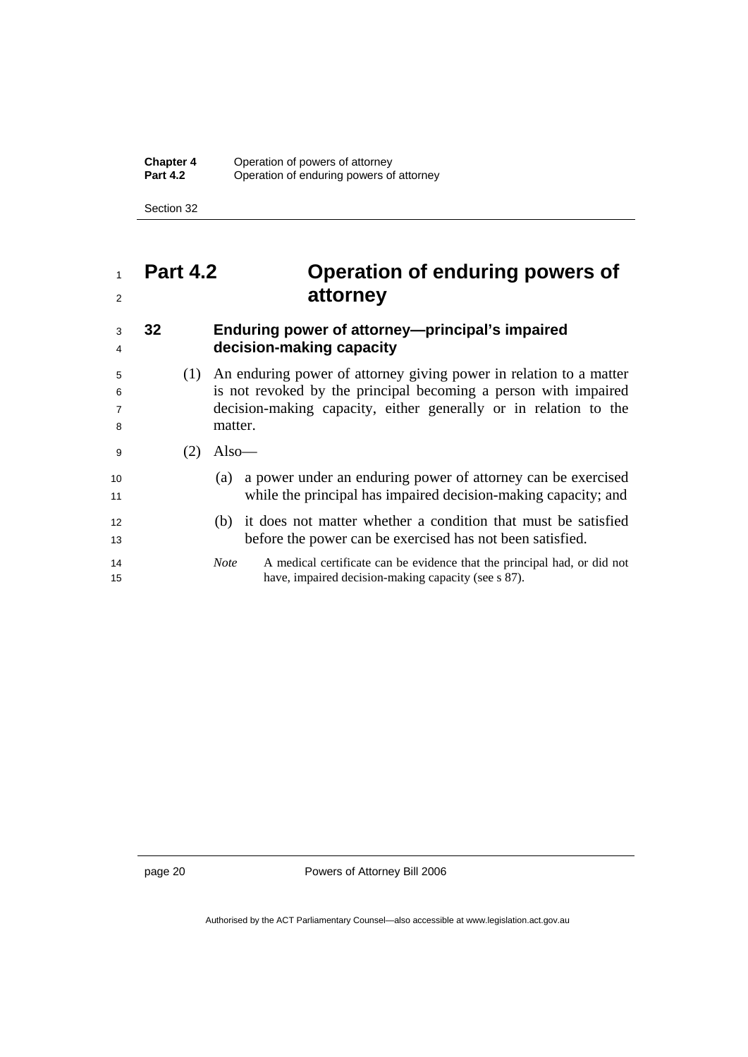**Chapter 4** Operation of powers of attorney<br>**Part 4.2** Operation of enduring powers of **Paration of enduring powers of attorney** 

Section 32

## <sup>1</sup>**Part 4.2 Operation of enduring powers of**  <sup>2</sup>**attorney**

# <sup>3</sup>**32 Enduring power of attorney—principal's impaired**

<sup>4</sup>**decision-making capacity** 

(1) An enduring power of attorney giving power in relation to a matter is not revoked by the principal becoming a person with impaired decision-making capacity, either generally or in relation to the 8 matter.

- 9  $(2)$  Also
- <sup>10</sup>(a) a power under an enduring power of attorney can be exercised 11 while the principal has impaired decision-making capacity; and
- <sup>12</sup>(b) it does not matter whether a condition that must be satisfied <sup>13</sup>before the power can be exercised has not been satisfied.
- 14 *Note* A medical certificate can be evidence that the principal had, or did not 15 have, impaired decision-making capacity (see s 87).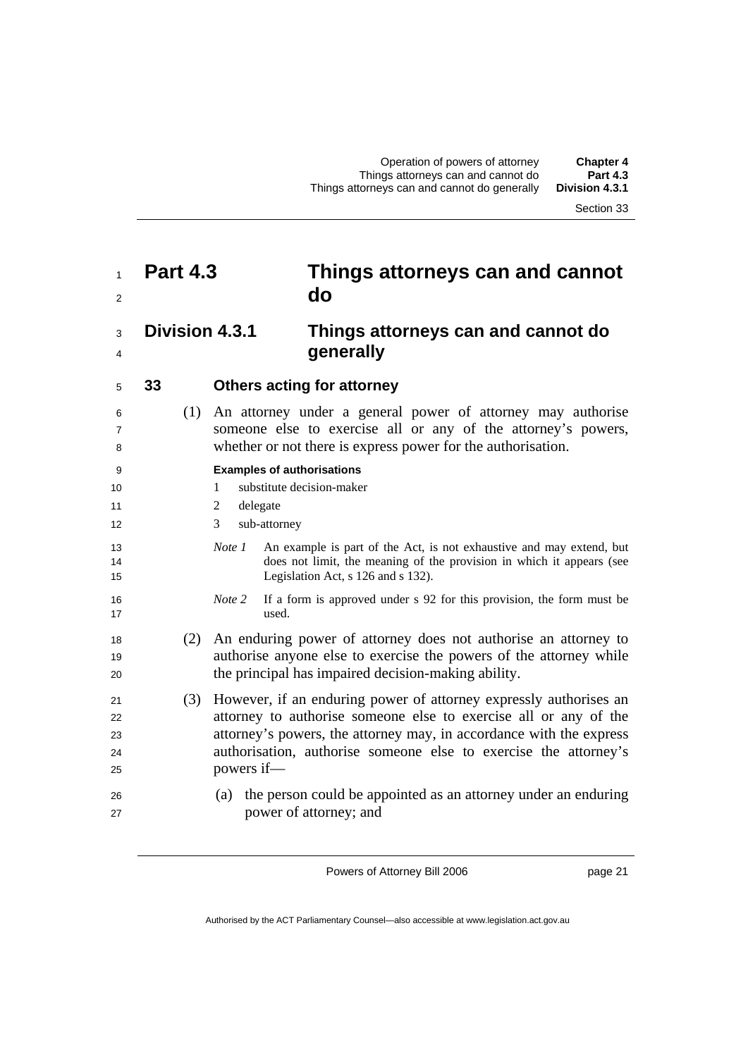## **Part 4.3 Things attorneys can and cannot do**

#### **Division 4.3.1 Things attorneys can and cannot do generally**

#### **33 Others acting for attorney**

(1) An attorney under a general power of attorney may authorise someone else to exercise all or any of the attorney's powers, whether or not there is express power for the authorisation.

#### **Examples of authorisations**

- 10 1 substitute decision-maker
- 11 2 delegate
- 3 sub-attorney
- *Note 1* An example is part of the Act, is not exhaustive and may extend, but does not limit, the meaning of the provision in which it appears (see Legislation Act, s 126 and s 132).
- *Note 2* If a form is approved under s 92 for this provision, the form must be used.
- (2) An enduring power of attorney does not authorise an attorney to 19 authorise anyone else to exercise the powers of the attorney while 20 the principal has impaired decision-making ability.
- (3) However, if an enduring power of attorney expressly authorises an 22 attorney to authorise someone else to exercise all or any of the attorney's powers, the attorney may, in accordance with the express authorisation, authorise someone else to exercise the attorney's 25 powers if—
- (a) the person could be appointed as an attorney under an enduring power of attorney; and

Powers of Attorney Bill 2006

page 21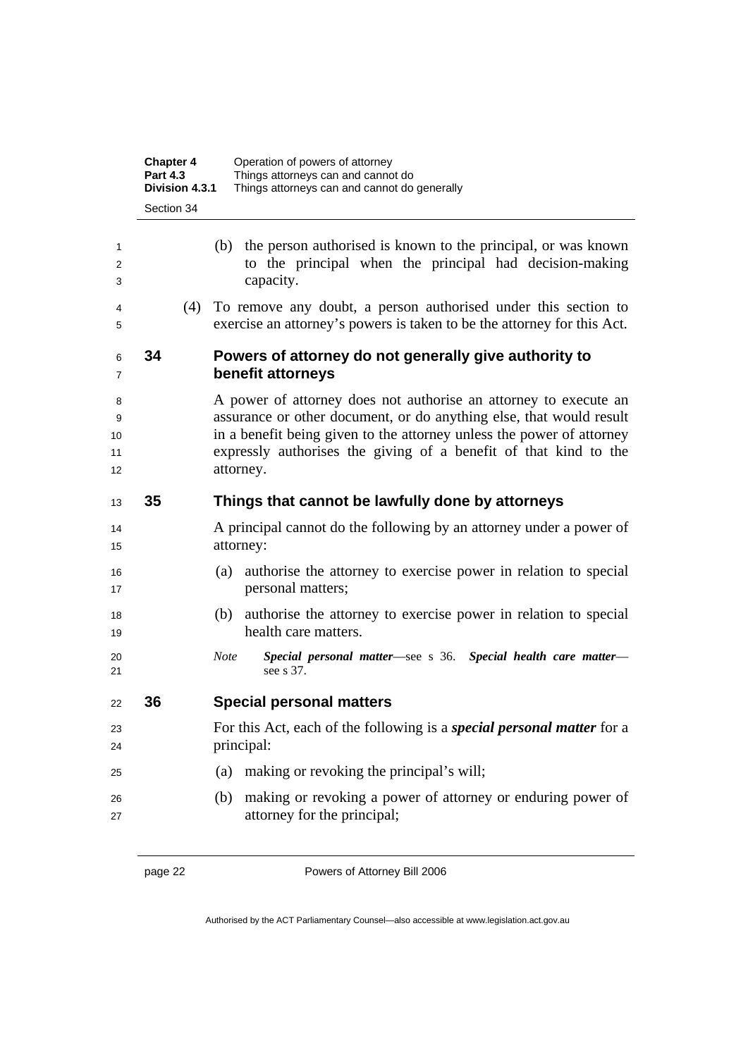|                          | <b>Chapter 4</b><br><b>Part 4.3</b><br>Division 4.3.1 | Operation of powers of attorney<br>Things attorneys can and cannot do<br>Things attorneys can and cannot do generally                                                                                                                                                                             |
|--------------------------|-------------------------------------------------------|---------------------------------------------------------------------------------------------------------------------------------------------------------------------------------------------------------------------------------------------------------------------------------------------------|
|                          | Section 34                                            |                                                                                                                                                                                                                                                                                                   |
| 1<br>2<br>3              |                                                       | (b) the person authorised is known to the principal, or was known<br>to the principal when the principal had decision-making<br>capacity.                                                                                                                                                         |
| 4<br>5                   | (4)                                                   | To remove any doubt, a person authorised under this section to<br>exercise an attorney's powers is taken to be the attorney for this Act.                                                                                                                                                         |
| 6<br>7                   | 34                                                    | Powers of attorney do not generally give authority to<br>benefit attorneys                                                                                                                                                                                                                        |
| 8<br>9<br>10<br>11<br>12 |                                                       | A power of attorney does not authorise an attorney to execute an<br>assurance or other document, or do anything else, that would result<br>in a benefit being given to the attorney unless the power of attorney<br>expressly authorises the giving of a benefit of that kind to the<br>attorney. |
| 13                       | 35                                                    | Things that cannot be lawfully done by attorneys                                                                                                                                                                                                                                                  |
| 14<br>15                 |                                                       | A principal cannot do the following by an attorney under a power of<br>attorney:                                                                                                                                                                                                                  |
| 16<br>17                 |                                                       | authorise the attorney to exercise power in relation to special<br>(a)<br>personal matters;                                                                                                                                                                                                       |
| 18<br>19                 |                                                       | authorise the attorney to exercise power in relation to special<br>(b)<br>health care matters.                                                                                                                                                                                                    |
| 20<br>21                 |                                                       | Special personal matter-see s 36. Special health care matter-<br><b>Note</b><br>see s 37.                                                                                                                                                                                                         |
| 22                       | 36                                                    | <b>Special personal matters</b>                                                                                                                                                                                                                                                                   |
| 23<br>24                 |                                                       | For this Act, each of the following is a <i>special personal matter</i> for a<br>principal:                                                                                                                                                                                                       |
| 25                       |                                                       | making or revoking the principal's will;<br>(a)                                                                                                                                                                                                                                                   |
| 26<br>27                 |                                                       | making or revoking a power of attorney or enduring power of<br>(b)<br>attorney for the principal;                                                                                                                                                                                                 |

page 22 **Powers of Attorney Bill 2006**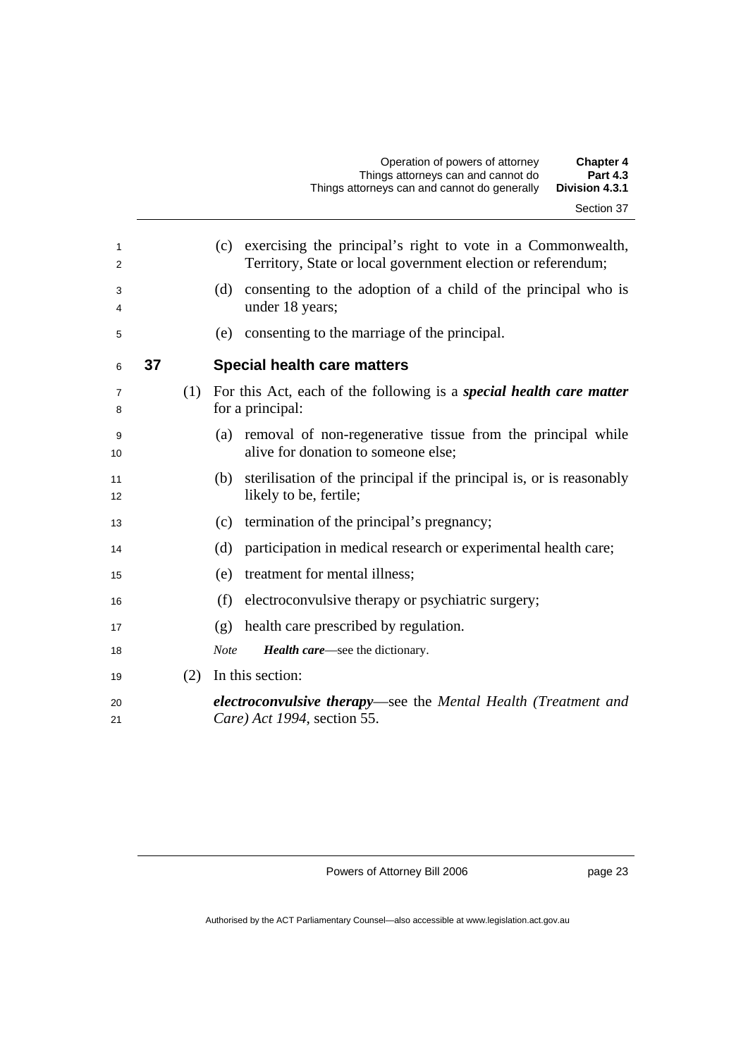|                     |    |     | <b>Part 4.3</b><br>Things attorneys can and cannot do<br>Division 4.3.1<br>Things attorneys can and cannot do generally         |
|---------------------|----|-----|---------------------------------------------------------------------------------------------------------------------------------|
|                     |    |     | Section 37                                                                                                                      |
|                     |    |     |                                                                                                                                 |
| 1<br>$\overline{2}$ |    |     | (c) exercising the principal's right to vote in a Commonwealth,<br>Territory, State or local government election or referendum; |
| 3<br>4              |    |     | consenting to the adoption of a child of the principal who is<br>(d)<br>under 18 years;                                         |
| 5                   |    |     | consenting to the marriage of the principal.<br>(e)                                                                             |
| 6                   | 37 |     | <b>Special health care matters</b>                                                                                              |
| $\overline{7}$<br>8 |    | (1) | For this Act, each of the following is a special health care matter<br>for a principal:                                         |
| 9<br>10             |    |     | removal of non-regenerative tissue from the principal while<br>(a)<br>alive for donation to someone else;                       |
| 11<br>12            |    |     | (b) sterilisation of the principal if the principal is, or is reasonably<br>likely to be, fertile;                              |
| 13                  |    |     | termination of the principal's pregnancy;<br>(c)                                                                                |
| 14                  |    |     | participation in medical research or experimental health care;<br>(d)                                                           |
| 15                  |    |     | treatment for mental illness;<br>(e)                                                                                            |
| 16                  |    |     | electroconvulsive therapy or psychiatric surgery;<br>(f)                                                                        |
| 17                  |    |     | health care prescribed by regulation.<br>(g)                                                                                    |
| 18                  |    |     | <b>Note</b><br><b>Health care—see the dictionary.</b>                                                                           |
| 19                  |    | (2) | In this section:                                                                                                                |
| 20<br>21            |    |     | <b>electroconvulsive therapy—see the Mental Health (Treatment and</b><br>Care) Act 1994, section 55.                            |

Operation of powers of attorney **Chapter 4** 

Powers of Attorney Bill 2006

page 23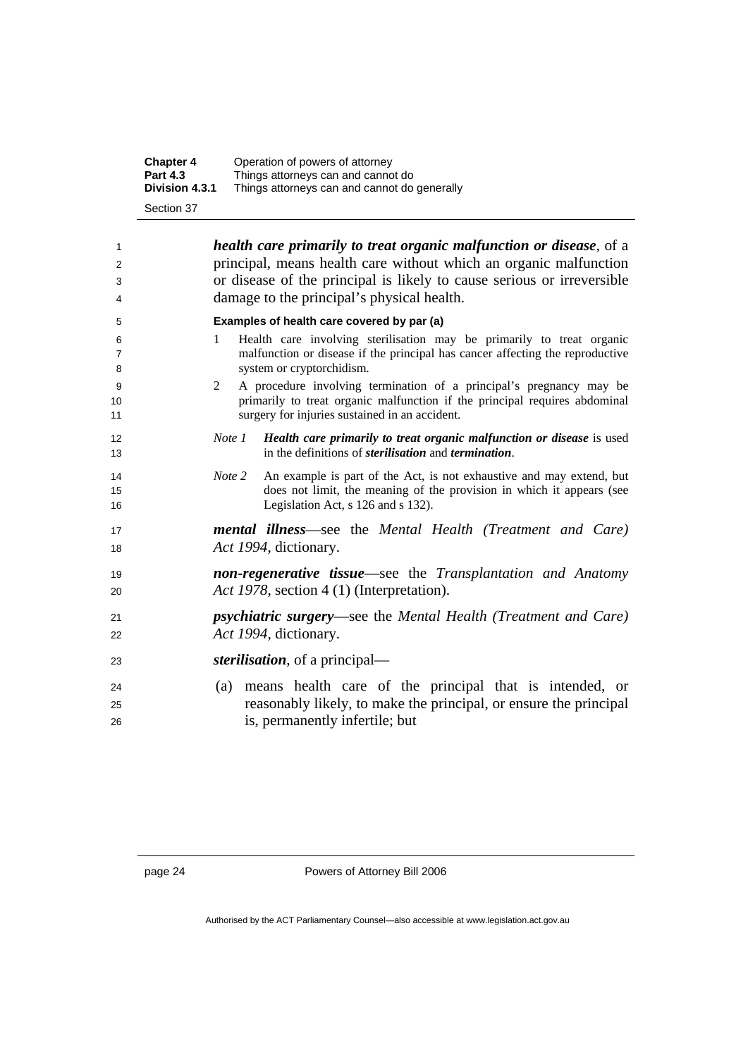| <b>Chapter 4</b> | Operation of powers of attorney              |
|------------------|----------------------------------------------|
| <b>Part 4.3</b>  | Things attorneys can and cannot do           |
| Division 4.3.1   | Things attorneys can and cannot do generally |
| Section 37       |                                              |

| 1  | <i>health care primarily to treat organic malfunction or disease, of a</i>     |
|----|--------------------------------------------------------------------------------|
| 2  | principal, means health care without which an organic malfunction              |
| 3  | or disease of the principal is likely to cause serious or irreversible         |
| 4  | damage to the principal's physical health.                                     |
| 5  | Examples of health care covered by par (a)                                     |
| 6  | Health care involving sterilisation may be primarily to treat organic<br>1     |
| 7  | malfunction or disease if the principal has cancer affecting the reproductive  |
| 8  | system or cryptorchidism.                                                      |
| 9  | A procedure involving termination of a principal's pregnancy may be<br>2       |
| 10 | primarily to treat organic malfunction if the principal requires abdominal     |
| 11 | surgery for injuries sustained in an accident.                                 |
| 12 | Note 1 Health care primarily to treat organic malfunction or disease is used   |
| 13 | in the definitions of <i>sterilisation</i> and <i>termination</i> .            |
| 14 | An example is part of the Act, is not exhaustive and may extend, but<br>Note 2 |
| 15 | does not limit, the meaning of the provision in which it appears (see          |
| 16 | Legislation Act, s 126 and s 132).                                             |
| 17 | <b>mental illness—see the Mental Health (Treatment and Care)</b>               |
| 18 | Act 1994, dictionary.                                                          |
| 19 | <b>non-regenerative tissue—see the Transplantation and Anatomy</b>             |
| 20 | Act 1978, section 4 (1) (Interpretation).                                      |
| 21 | psychiatric surgery-see the Mental Health (Treatment and Care)                 |
|    | Act 1994, dictionary.                                                          |
| 22 |                                                                                |
| 23 | <i>sterilisation</i> , of a principal—                                         |
| 24 | (a) means health care of the principal that is intended, or                    |
| 25 | reasonably likely, to make the principal, or ensure the principal              |
| 26 | is, permanently infertile; but                                                 |
|    |                                                                                |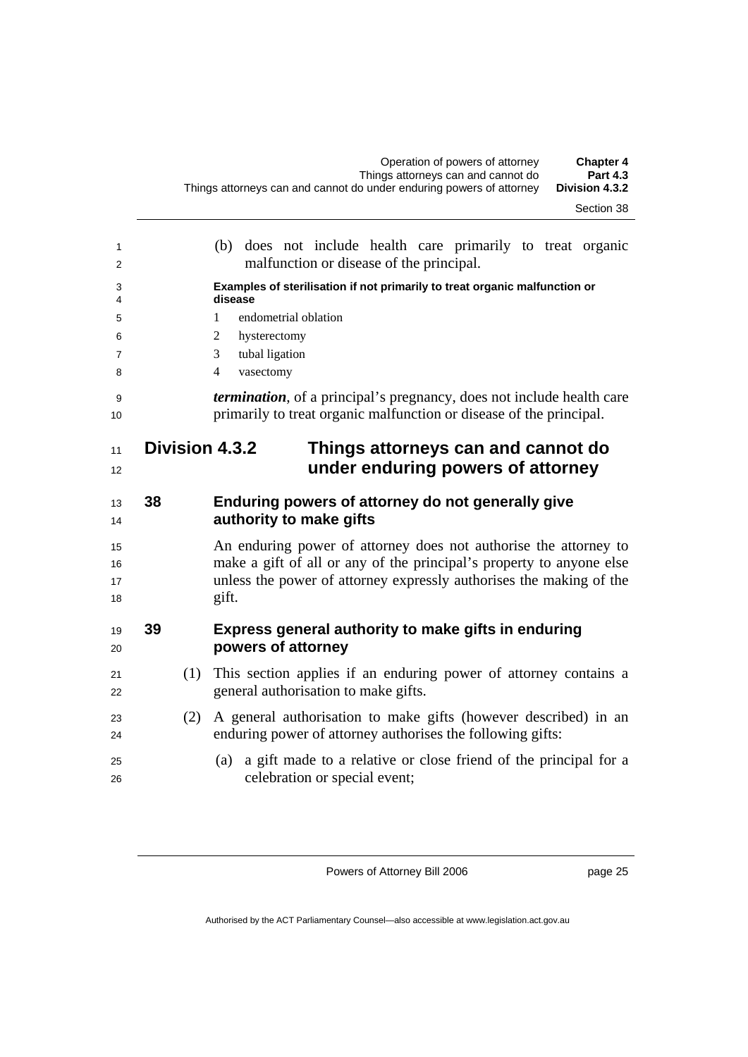| Section 38 |  |
|------------|--|
|------------|--|

| 1<br>2         |    | (b) does not include health care primarily to treat organic<br>malfunction or disease of the principal.                                              |
|----------------|----|------------------------------------------------------------------------------------------------------------------------------------------------------|
| 3<br>4         |    | Examples of sterilisation if not primarily to treat organic malfunction or<br>disease                                                                |
| 5              |    | endometrial oblation<br>1                                                                                                                            |
| 6              |    | hysterectomy<br>2                                                                                                                                    |
| $\overline{7}$ |    | tubal ligation<br>3                                                                                                                                  |
| 8              |    | vasectomy<br>$\overline{4}$                                                                                                                          |
| 9<br>10        |    | <i>termination</i> , of a principal's pregnancy, does not include health care<br>primarily to treat organic malfunction or disease of the principal. |
| 11             |    | <b>Division 4.3.2</b><br>Things attorneys can and cannot do                                                                                          |
| 12             |    | under enduring powers of attorney                                                                                                                    |
| 13             | 38 | Enduring powers of attorney do not generally give                                                                                                    |
| 14             |    | authority to make gifts                                                                                                                              |
| 15             |    | An enduring power of attorney does not authorise the attorney to                                                                                     |
| 16             |    | make a gift of all or any of the principal's property to anyone else                                                                                 |
| 17<br>18       |    | unless the power of attorney expressly authorises the making of the<br>gift.                                                                         |
| 19<br>20       | 39 | Express general authority to make gifts in enduring<br>powers of attorney                                                                            |
| 21<br>22       |    | This section applies if an enduring power of attorney contains a<br>(1)<br>general authorisation to make gifts.                                      |
| 23<br>24       |    | A general authorisation to make gifts (however described) in an<br>(2)<br>enduring power of attorney authorises the following gifts:                 |
| 25<br>26       |    | a gift made to a relative or close friend of the principal for a<br>(a)<br>celebration or special event;                                             |
|                |    |                                                                                                                                                      |

page 25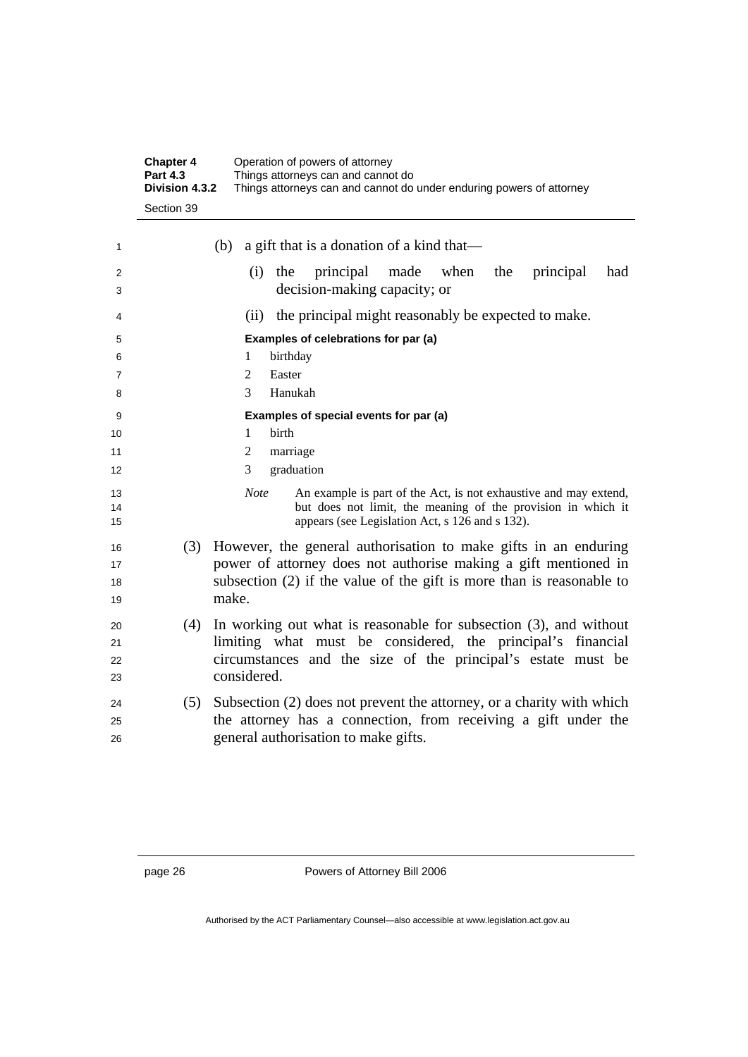|          | <b>Chapter 4</b><br><b>Part 4.3</b><br>Division 4.3.2 | Operation of powers of attorney<br>Things attorneys can and cannot do<br>Things attorneys can and cannot do under enduring powers of attorney |
|----------|-------------------------------------------------------|-----------------------------------------------------------------------------------------------------------------------------------------------|
|          | Section 39                                            |                                                                                                                                               |
| 1        |                                                       | a gift that is a donation of a kind that—<br>(b)                                                                                              |
| 2<br>3   |                                                       | the<br>principal<br>made<br>when<br>the<br>(i)<br>principal<br>had<br>decision-making capacity; or                                            |
| 4        |                                                       | the principal might reasonably be expected to make.<br>(ii)                                                                                   |
| 5        |                                                       | Examples of celebrations for par (a)                                                                                                          |
| 6        |                                                       | birthday<br>1                                                                                                                                 |
| 7        |                                                       | $\overline{2}$<br>Easter                                                                                                                      |
| 8        |                                                       | 3<br>Hanukah                                                                                                                                  |
| 9        |                                                       | Examples of special events for par (a)                                                                                                        |
| 10       |                                                       | $\mathbf{1}$<br>birth                                                                                                                         |
| 11       |                                                       | 2<br>marriage                                                                                                                                 |
| 12       |                                                       | 3<br>graduation                                                                                                                               |
| 13       |                                                       | <b>Note</b><br>An example is part of the Act, is not exhaustive and may extend,                                                               |
| 14<br>15 |                                                       | but does not limit, the meaning of the provision in which it<br>appears (see Legislation Act, s 126 and s 132).                               |
| 16       | (3)                                                   | However, the general authorisation to make gifts in an enduring                                                                               |
| 17       |                                                       | power of attorney does not authorise making a gift mentioned in                                                                               |
| 18       |                                                       | subsection (2) if the value of the gift is more than is reasonable to                                                                         |
| 19       |                                                       | make.                                                                                                                                         |
| 20       | (4)                                                   | In working out what is reasonable for subsection (3), and without                                                                             |
| 21       |                                                       | limiting what must be considered, the principal's financial                                                                                   |
| 22       |                                                       | circumstances and the size of the principal's estate must be                                                                                  |
| 23       |                                                       | considered.                                                                                                                                   |
| 24       | (5)                                                   | Subsection (2) does not prevent the attorney, or a charity with which                                                                         |
| 25       |                                                       | the attorney has a connection, from receiving a gift under the                                                                                |
| 26       |                                                       | general authorisation to make gifts.                                                                                                          |
|          |                                                       |                                                                                                                                               |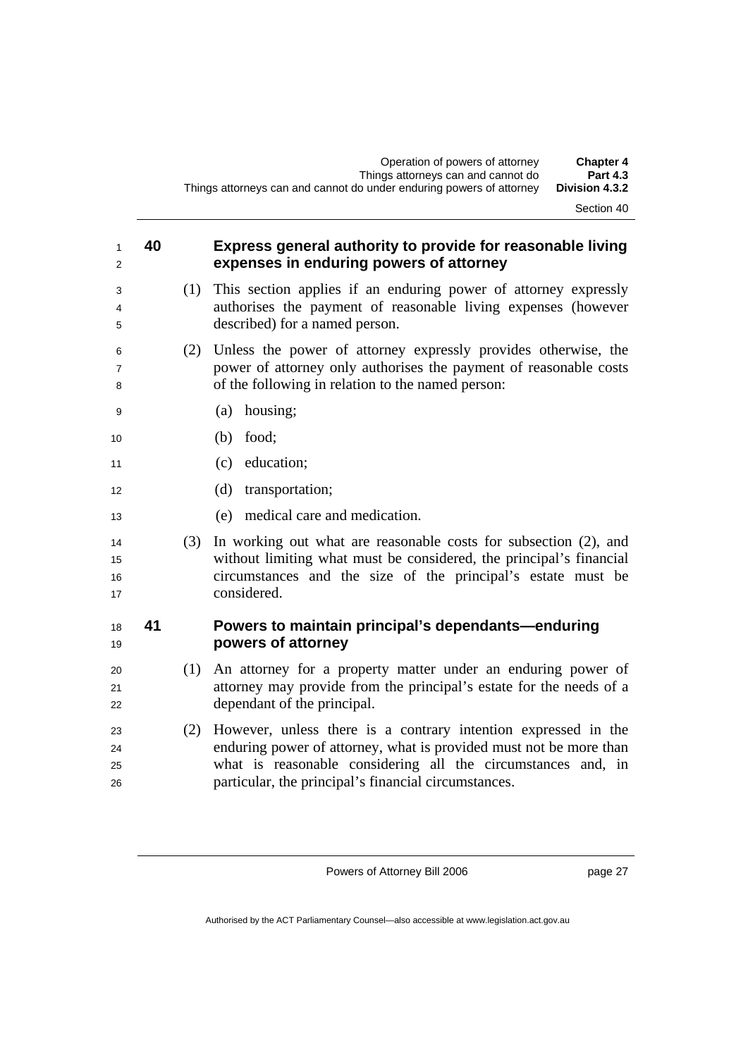#### **40 Express general authority to provide for reasonable living expenses in enduring powers of attorney**

- (1) This section applies if an enduring power of attorney expressly authorises the payment of reasonable living expenses (however described) for a named person.
- (2) Unless the power of attorney expressly provides otherwise, the power of attorney only authorises the payment of reasonable costs of the following in relation to the named person:
- (a) housing;
- (b) food;
- 11 (c) education;
- 12 (d) transportation;
- (e) medical care and medication.
- (3) In working out what are reasonable costs for subsection (2), and without limiting what must be considered, the principal's financial circumstances and the size of the principal's estate must be 17 considered.

#### **41 Powers to maintain principal's dependants—enduring powers of attorney**

- (1) An attorney for a property matter under an enduring power of attorney may provide from the principal's estate for the needs of a 22 dependant of the principal.
- (2) However, unless there is a contrary intention expressed in the enduring power of attorney, what is provided must not be more than what is reasonable considering all the circumstances and, in particular, the principal's financial circumstances.

Powers of Attorney Bill 2006

page 27

Authorised by the ACT Parliamentary Counsel—also accessible at www.legislation.act.gov.au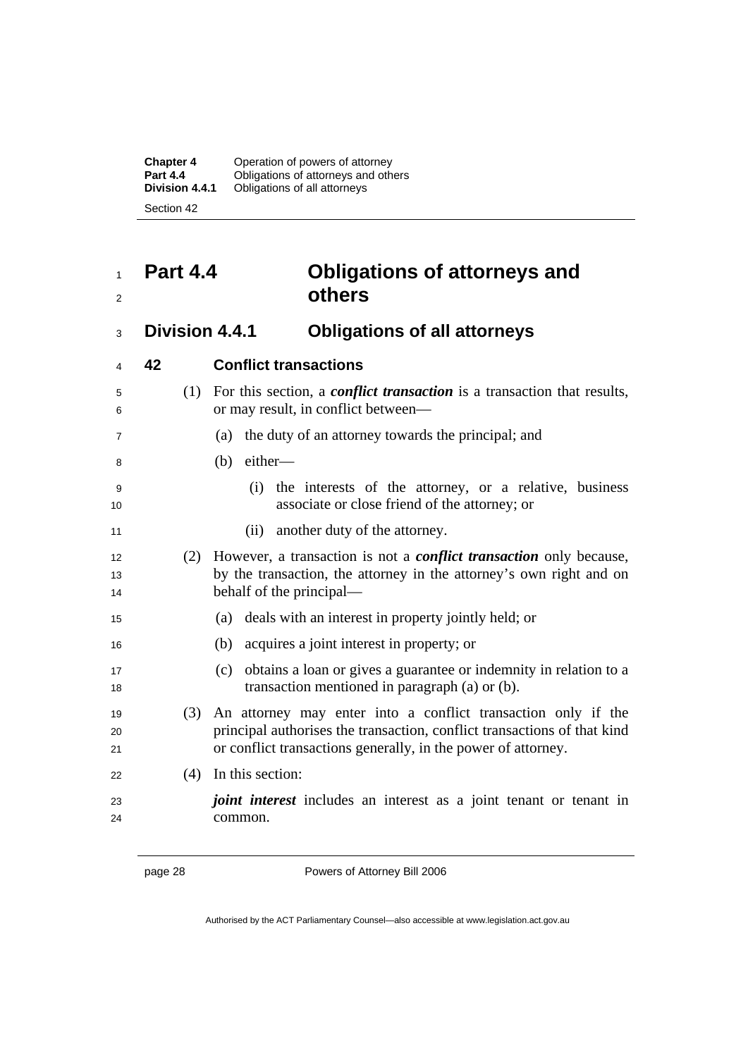**Chapter 4** Operation of powers of attorney **Part 4.4** Obligations of attorneys and others **Division 4.4.1** Obligations of all attorneys Section 42

## <sup>1</sup>**Part 4.4 Obligations of attorneys and**  <sup>2</sup>**others**

<sup>3</sup>**Division 4.4.1 Obligations of all attorneys** 

| 4              | 42  | <b>Conflict transactions</b>                                                                                                                                                                               |
|----------------|-----|------------------------------------------------------------------------------------------------------------------------------------------------------------------------------------------------------------|
| 5<br>6         |     | (1) For this section, a <i>conflict transaction</i> is a transaction that results,<br>or may result, in conflict between—                                                                                  |
| 7              |     | the duty of an attorney towards the principal; and<br>(a)                                                                                                                                                  |
| 8              |     | $(b)$ either—                                                                                                                                                                                              |
| 9<br>10        |     | the interests of the attorney, or a relative, business<br>(i)<br>associate or close friend of the attorney; or                                                                                             |
| 11             |     | (ii) another duty of the attorney.                                                                                                                                                                         |
| 12<br>13<br>14 | (2) | However, a transaction is not a <i>conflict transaction</i> only because,<br>by the transaction, the attorney in the attorney's own right and on<br>behalf of the principal—                               |
| 15             |     | deals with an interest in property jointly held; or<br>(a)                                                                                                                                                 |
| 16             |     | acquires a joint interest in property; or<br>(b)                                                                                                                                                           |
| 17<br>18       |     | obtains a loan or gives a guarantee or indemnity in relation to a<br>(c)<br>transaction mentioned in paragraph (a) or (b).                                                                                 |
| 19<br>20<br>21 | (3) | An attorney may enter into a conflict transaction only if the<br>principal authorises the transaction, conflict transactions of that kind<br>or conflict transactions generally, in the power of attorney. |
| 22             | (4) | In this section:                                                                                                                                                                                           |
| 23<br>24       |     | <i>joint interest</i> includes an interest as a joint tenant or tenant in<br>common.                                                                                                                       |

page 28 Powers of Attorney Bill 2006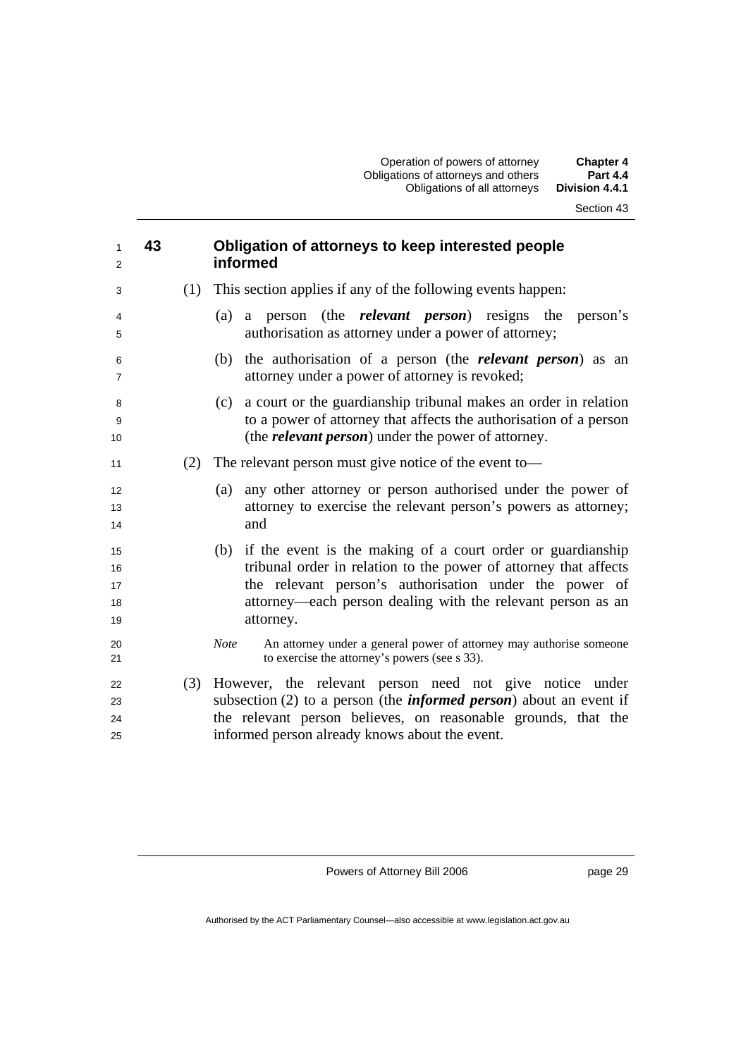| 1<br>2                     | 43  | Obligation of attorneys to keep interested people<br>informed                                                                                                                                                                                                                |
|----------------------------|-----|------------------------------------------------------------------------------------------------------------------------------------------------------------------------------------------------------------------------------------------------------------------------------|
| 3                          | (1) | This section applies if any of the following events happen:                                                                                                                                                                                                                  |
| 4<br>5                     |     | a person (the <i>relevant person</i> ) resigns the<br>person's<br>(a)<br>authorisation as attorney under a power of attorney;                                                                                                                                                |
| 6<br>$\overline{7}$        |     | (b) the authorisation of a person (the <i>relevant person</i> ) as an<br>attorney under a power of attorney is revoked;                                                                                                                                                      |
| 8<br>9<br>10               |     | (c) a court or the guardianship tribunal makes an order in relation<br>to a power of attorney that affects the authorisation of a person<br>(the <i>relevant person</i> ) under the power of attorney.                                                                       |
| 11                         | (2) | The relevant person must give notice of the event to-                                                                                                                                                                                                                        |
| 12<br>13<br>14             |     | any other attorney or person authorised under the power of<br>(a)<br>attorney to exercise the relevant person's powers as attorney;<br>and                                                                                                                                   |
| 15<br>16<br>17<br>18<br>19 |     | if the event is the making of a court order or guardianship<br>(b)<br>tribunal order in relation to the power of attorney that affects<br>the relevant person's authorisation under the power of<br>attorney—each person dealing with the relevant person as an<br>attorney. |
| 20<br>21                   |     | An attorney under a general power of attorney may authorise someone<br><b>Note</b><br>to exercise the attorney's powers (see s 33).                                                                                                                                          |
| 22<br>23<br>24<br>25       | (3) | However, the relevant person need not give notice under<br>subsection $(2)$ to a person (the <i>informed person</i> ) about an event if<br>the relevant person believes, on reasonable grounds, that the<br>informed person already knows about the event.                   |

page 29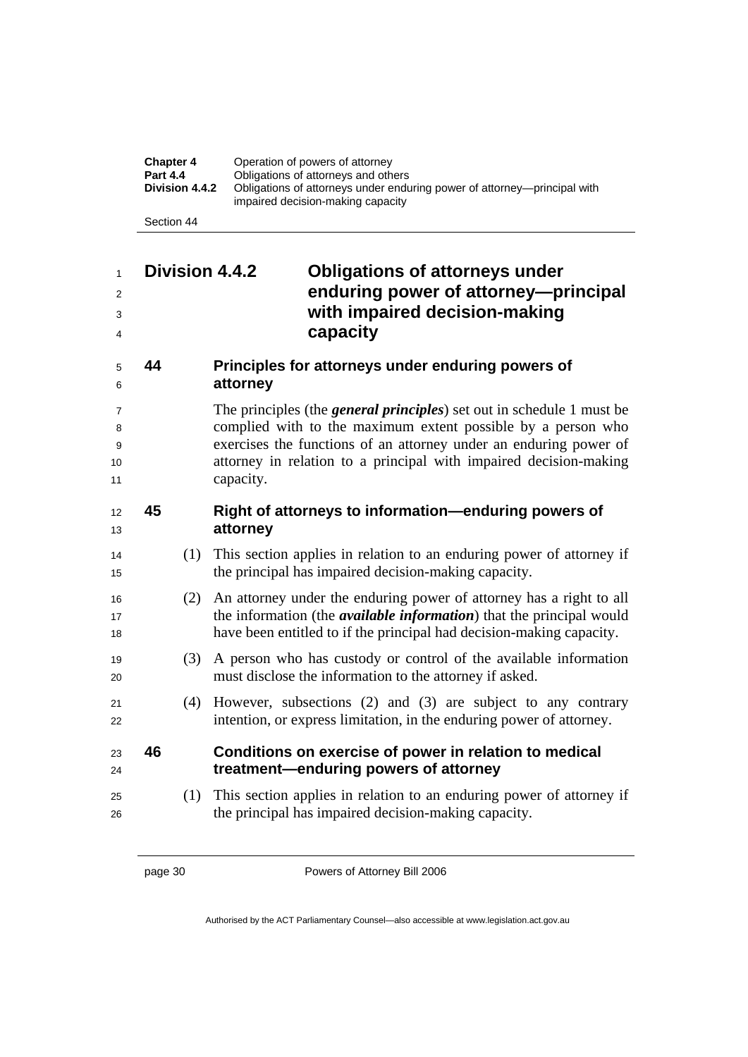| <b>Chapter 4</b><br><b>Part 4.4</b><br>Division 4.4.2 | Operation of powers of attorney<br>Obligations of attorneys and others<br>Obligations of attorneys under enduring power of attorney—principal with<br>impaired decision-making capacity |
|-------------------------------------------------------|-----------------------------------------------------------------------------------------------------------------------------------------------------------------------------------------|
| Section 44                                            |                                                                                                                                                                                         |

## **Division 4.4.2 Obligations of attorneys under enduring power of attorney—principal with impaired decision-making capacity**

## **44 Principles for attorneys under enduring powers of attorney**

The principles (the *general principles*) set out in schedule 1 must be complied with to the maximum extent possible by a person who exercises the functions of an attorney under an enduring power of 10 10 10 attorney in relation to a principal with impaired decision-making 11 capacity.

## **45 Right of attorneys to information—enduring powers of attorney**

- (1) This section applies in relation to an enduring power of attorney if 15 the principal has impaired decision-making capacity.
- (2) An attorney under the enduring power of attorney has a right to all 17 the information (the *available information*) that the principal would have been entitled to if the principal had decision-making capacity.
- (3) A person who has custody or control of the available information must disclose the information to the attorney if asked.
- (4) However, subsections (2) and (3) are subject to any contrary 22 intention, or express limitation, in the enduring power of attorney.

### **46 Conditions on exercise of power in relation to medical treatment—enduring powers of attorney**

(1) This section applies in relation to an enduring power of attorney if the principal has impaired decision-making capacity.

page 30 Powers of Attorney Bill 2006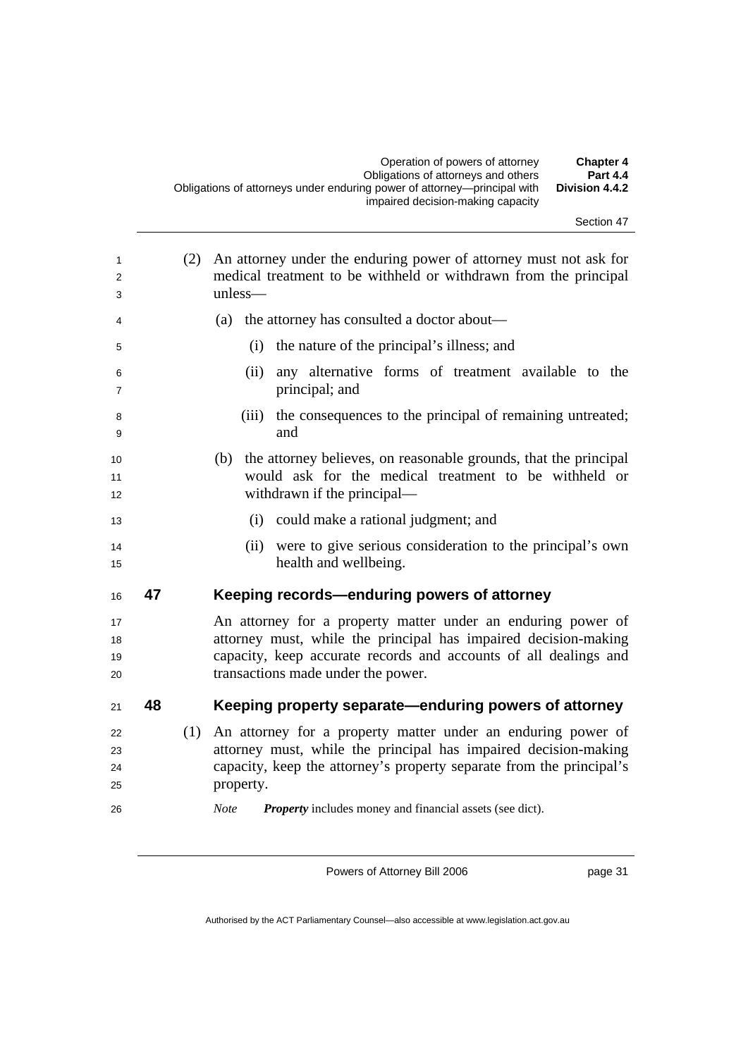| Section 47 |  |
|------------|--|
|------------|--|

| 1<br>2<br>3                |    | (2) | An attorney under the enduring power of attorney must not ask for<br>medical treatment to be withheld or withdrawn from the principal<br>unless-                                                                                                                                                       |
|----------------------------|----|-----|--------------------------------------------------------------------------------------------------------------------------------------------------------------------------------------------------------------------------------------------------------------------------------------------------------|
| 4                          |    |     | the attorney has consulted a doctor about—<br>(a)                                                                                                                                                                                                                                                      |
| 5                          |    |     | the nature of the principal's illness; and<br>(i)                                                                                                                                                                                                                                                      |
| 6<br>7                     |    |     | any alternative forms of treatment available to the<br>(ii)<br>principal; and                                                                                                                                                                                                                          |
| 8<br>9                     |    |     | the consequences to the principal of remaining untreated;<br>(iii)<br>and                                                                                                                                                                                                                              |
| 10<br>11<br>12             |    |     | (b) the attorney believes, on reasonable grounds, that the principal<br>would ask for the medical treatment to be withheld or<br>withdrawn if the principal—                                                                                                                                           |
| 13                         |    |     | could make a rational judgment; and<br>(i)                                                                                                                                                                                                                                                             |
| 14<br>15                   |    |     | were to give serious consideration to the principal's own<br>(ii)<br>health and wellbeing.                                                                                                                                                                                                             |
| 16                         | 47 |     | Keeping records-enduring powers of attorney                                                                                                                                                                                                                                                            |
| 17<br>18<br>19<br>20       |    |     | An attorney for a property matter under an enduring power of<br>attorney must, while the principal has impaired decision-making<br>capacity, keep accurate records and accounts of all dealings and<br>transactions made under the power.                                                              |
| 21                         | 48 |     | Keeping property separate—enduring powers of attorney                                                                                                                                                                                                                                                  |
| 22<br>23<br>24<br>25<br>26 |    | (1) | An attorney for a property matter under an enduring power of<br>attorney must, while the principal has impaired decision-making<br>capacity, keep the attorney's property separate from the principal's<br>property.<br><b>Property</b> includes money and financial assets (see dict).<br><b>Note</b> |

page 31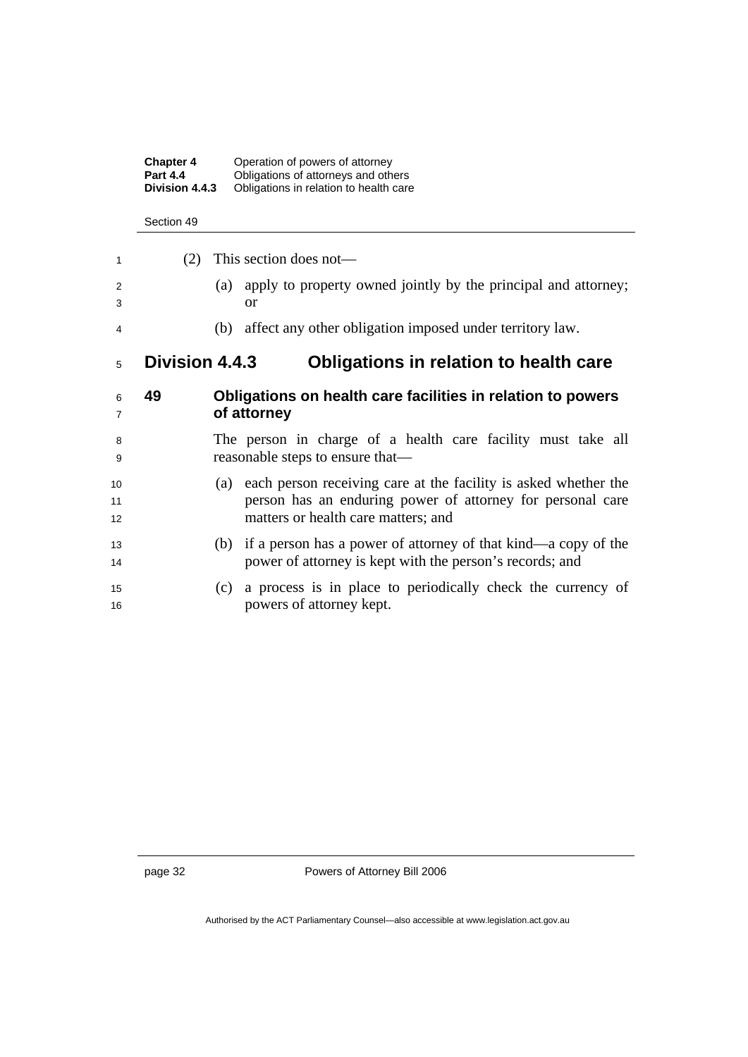|                | <b>Chapter 4</b><br><b>Part 4.4</b><br>Division 4.4.3 | Operation of powers of attorney<br>Obligations of attorneys and others<br>Obligations in relation to health care                                                            |  |  |
|----------------|-------------------------------------------------------|-----------------------------------------------------------------------------------------------------------------------------------------------------------------------------|--|--|
|                | Section 49                                            |                                                                                                                                                                             |  |  |
| 1              | (2)                                                   | This section does not—                                                                                                                                                      |  |  |
| 2<br>3         |                                                       | apply to property owned jointly by the principal and attorney;<br>(a)<br><sub>or</sub>                                                                                      |  |  |
| 4              |                                                       | affect any other obligation imposed under territory law.<br>(b)                                                                                                             |  |  |
| 5              | <b>Division 4.4.3</b>                                 | Obligations in relation to health care                                                                                                                                      |  |  |
| 6<br>7         | 49                                                    | Obligations on health care facilities in relation to powers<br>of attorney                                                                                                  |  |  |
| 8<br>9         |                                                       | The person in charge of a health care facility must take all<br>reasonable steps to ensure that—                                                                            |  |  |
| 10<br>11<br>12 |                                                       | each person receiving care at the facility is asked whether the<br>(a)<br>person has an enduring power of attorney for personal care<br>matters or health care matters; and |  |  |
| 13<br>14       |                                                       | if a person has a power of attorney of that kind—a copy of the<br>(b)<br>power of attorney is kept with the person's records; and                                           |  |  |
| 15<br>16       |                                                       | a process is in place to periodically check the currency of<br>(c)<br>powers of attorney kept.                                                                              |  |  |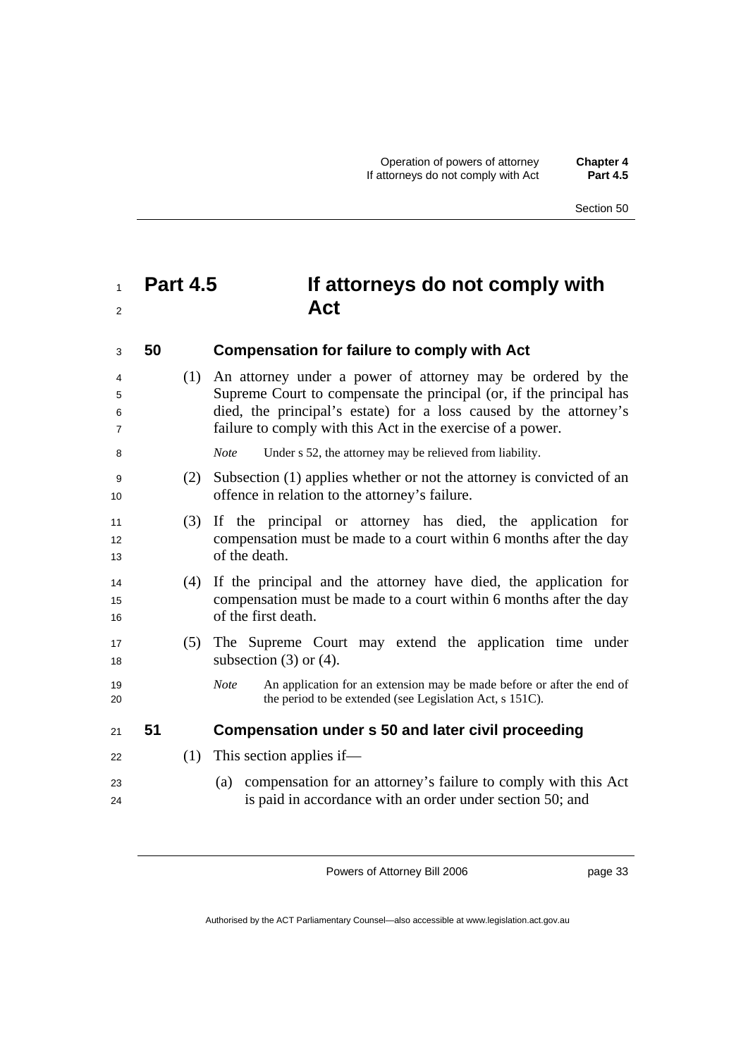## <sup>1</sup>**Part 4.5 If attorneys do not comply with**  <sup>2</sup> Act

<sup>3</sup>**50 Compensation for failure to comply with Act** 

(1) An attorney under a power of attorney may be ordered by the Supreme Court to compensate the principal (or, if the principal has died, the principal's estate) for a loss caused by the attorney's failure to comply with this Act in the exercise of a power.

8 *Note* Under s 52, the attorney may be relieved from liability.

- <sup>9</sup>(2) Subsection (1) applies whether or not the attorney is convicted of an 10 offence in relation to the attorney's failure.
- <sup>11</sup>(3) If the principal or attorney has died, the application for 12 compensation must be made to a court within 6 months after the day 13 of the death.
- <sup>14</sup>(4) If the principal and the attorney have died, the application for <sup>15</sup>compensation must be made to a court within 6 months after the day 16 of the first death.
- <sup>17</sup>(5) The Supreme Court may extend the application time under 18 subsection (3) or (4).
- 19 *Note* An application for an extension may be made before or after the end of 20 the period to be extended (see Legislation Act, s 151C).

#### <sup>21</sup>**51 Compensation under s 50 and later civil proceeding**

- $22$  (1) This section applies if—
- <sup>23</sup>(a) compensation for an attorney's failure to comply with this Act 24 is paid in accordance with an order under section 50; and

Powers of Attorney Bill 2006

page 33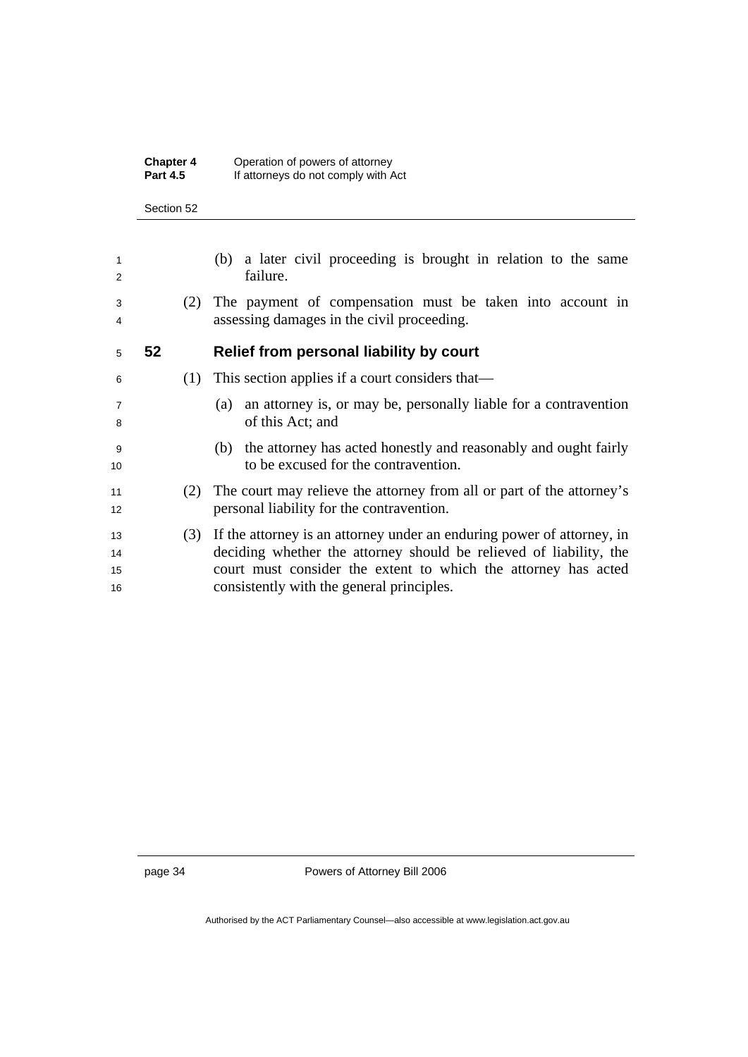| <b>Chapter 4</b> | Operation of powers of attorney     |
|------------------|-------------------------------------|
| <b>Part 4.5</b>  | If attorneys do not comply with Act |

#### Section 52

| 1<br>2               |    |     | (b) a later civil proceeding is brought in relation to the same<br>failure.                                                                                                                                                                                 |
|----------------------|----|-----|-------------------------------------------------------------------------------------------------------------------------------------------------------------------------------------------------------------------------------------------------------------|
| 3<br>4               |    | (2) | The payment of compensation must be taken into account in<br>assessing damages in the civil proceeding.                                                                                                                                                     |
| 5                    | 52 |     | Relief from personal liability by court                                                                                                                                                                                                                     |
| 6                    |    | (1) | This section applies if a court considers that—                                                                                                                                                                                                             |
| $\overline{7}$<br>8  |    |     | an attorney is, or may be, personally liable for a contravention<br>(a)<br>of this Act; and                                                                                                                                                                 |
| 9<br>10              |    |     | (b) the attorney has acted honestly and reasonably and ought fairly<br>to be excused for the contravention.                                                                                                                                                 |
| 11<br>12             |    | (2) | The court may relieve the attorney from all or part of the attorney's<br>personal liability for the contravention.                                                                                                                                          |
| 13<br>14<br>15<br>16 |    | (3) | If the attorney is an attorney under an enduring power of attorney, in<br>deciding whether the attorney should be relieved of liability, the<br>court must consider the extent to which the attorney has acted<br>consistently with the general principles. |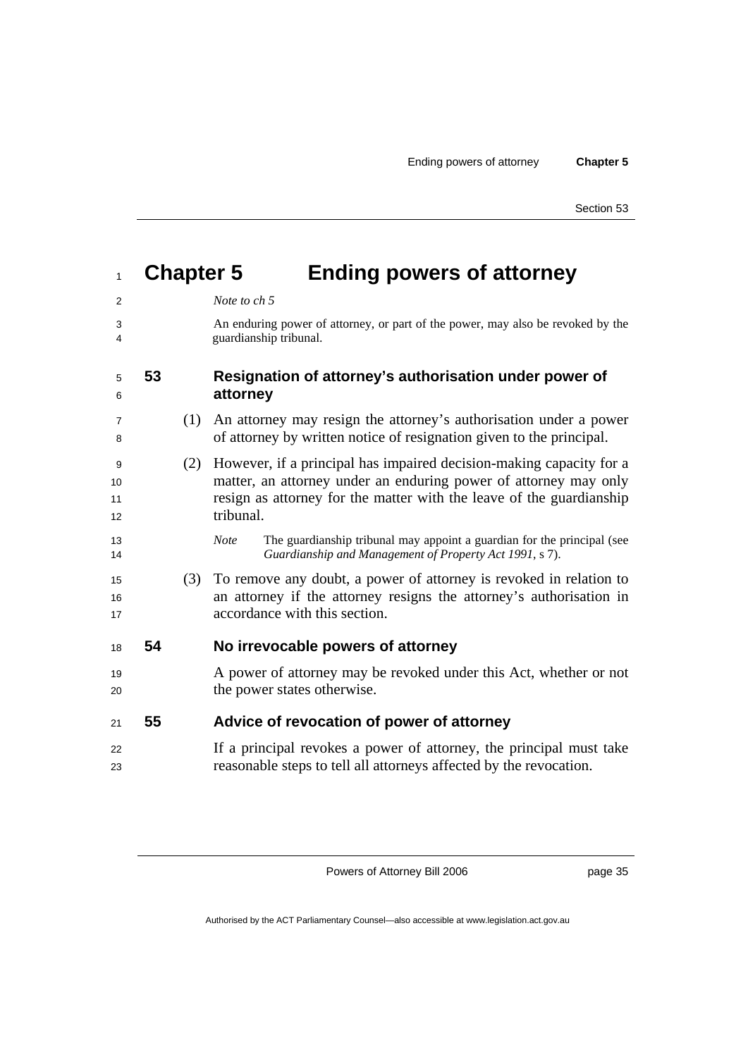| 1                   |    |     | <b>Chapter 5</b><br><b>Ending powers of attorney</b>                                                                                                                                                                         |
|---------------------|----|-----|------------------------------------------------------------------------------------------------------------------------------------------------------------------------------------------------------------------------------|
| 2                   |    |     | Note to ch 5                                                                                                                                                                                                                 |
| 3<br>4              |    |     | An enduring power of attorney, or part of the power, may also be revoked by the<br>guardianship tribunal.                                                                                                                    |
| 5<br>6              | 53 |     | Resignation of attorney's authorisation under power of<br>attorney                                                                                                                                                           |
| 7<br>8              |    | (1) | An attorney may resign the attorney's authorisation under a power<br>of attorney by written notice of resignation given to the principal.                                                                                    |
| 9<br>10<br>11<br>12 |    | (2) | However, if a principal has impaired decision-making capacity for a<br>matter, an attorney under an enduring power of attorney may only<br>resign as attorney for the matter with the leave of the guardianship<br>tribunal. |
| 13<br>14            |    |     | The guardianship tribunal may appoint a guardian for the principal (see<br><b>Note</b><br>Guardianship and Management of Property Act 1991, s 7).                                                                            |
| 15<br>16<br>17      |    | (3) | To remove any doubt, a power of attorney is revoked in relation to<br>an attorney if the attorney resigns the attorney's authorisation in<br>accordance with this section.                                                   |
| 18                  | 54 |     | No irrevocable powers of attorney                                                                                                                                                                                            |
| 19<br>20            |    |     | A power of attorney may be revoked under this Act, whether or not<br>the power states otherwise.                                                                                                                             |
| 21                  | 55 |     | Advice of revocation of power of attorney                                                                                                                                                                                    |
| 22<br>23            |    |     | If a principal revokes a power of attorney, the principal must take<br>reasonable steps to tell all attorneys affected by the revocation.                                                                                    |
|                     |    |     |                                                                                                                                                                                                                              |

page 35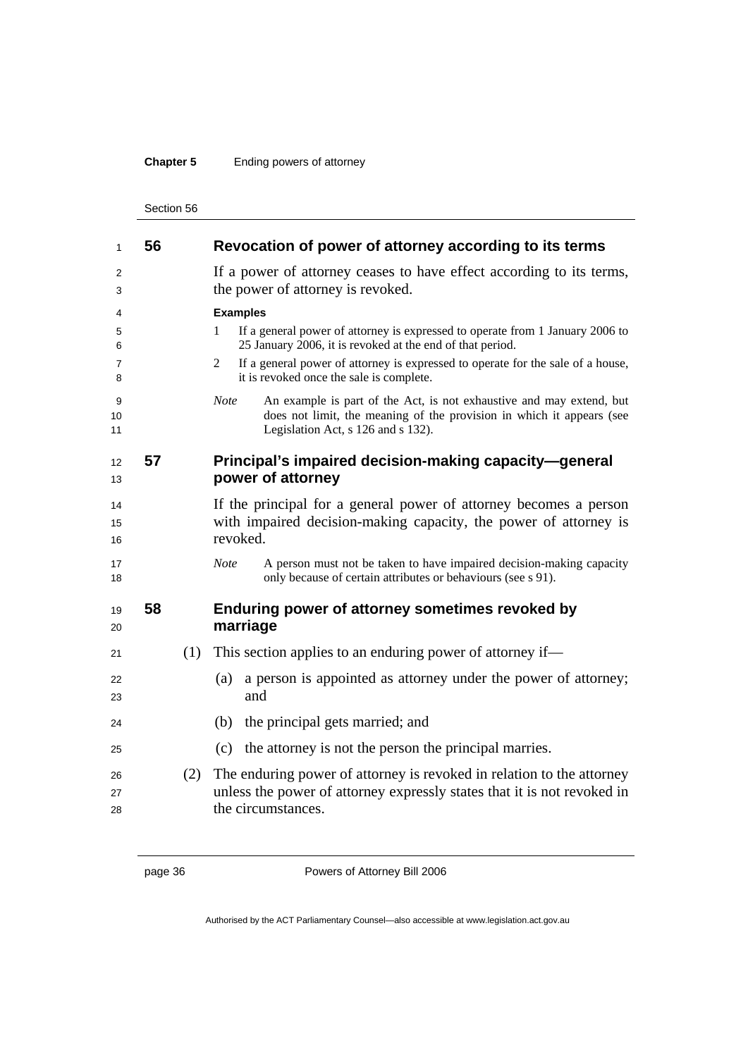## **Chapter 5** Ending powers of attorney

| 1              | 56 |     | Revocation of power of attorney according to its terms                                                                                                                                             |
|----------------|----|-----|----------------------------------------------------------------------------------------------------------------------------------------------------------------------------------------------------|
| 2<br>3         |    |     | If a power of attorney ceases to have effect according to its terms,<br>the power of attorney is revoked.                                                                                          |
| 4              |    |     | <b>Examples</b>                                                                                                                                                                                    |
| 5<br>6         |    |     | If a general power of attorney is expressed to operate from 1 January 2006 to<br>1<br>25 January 2006, it is revoked at the end of that period.                                                    |
| 7<br>8         |    |     | If a general power of attorney is expressed to operate for the sale of a house,<br>2<br>it is revoked once the sale is complete.                                                                   |
| 9<br>10<br>11  |    |     | An example is part of the Act, is not exhaustive and may extend, but<br><b>Note</b><br>does not limit, the meaning of the provision in which it appears (see<br>Legislation Act, s 126 and s 132). |
| 12<br>13       | 57 |     | Principal's impaired decision-making capacity-general<br>power of attorney                                                                                                                         |
| 14<br>15<br>16 |    |     | If the principal for a general power of attorney becomes a person<br>with impaired decision-making capacity, the power of attorney is<br>revoked.                                                  |
| 17<br>18       |    |     | <b>Note</b><br>A person must not be taken to have impaired decision-making capacity<br>only because of certain attributes or behaviours (see s 91).                                                |
| 19<br>20       | 58 |     | Enduring power of attorney sometimes revoked by<br>marriage                                                                                                                                        |
| 21             |    | (1) | This section applies to an enduring power of attorney if—                                                                                                                                          |
| 22<br>23       |    |     | a person is appointed as attorney under the power of attorney;<br>(a)<br>and                                                                                                                       |
| 24             |    |     | the principal gets married; and<br>(b)                                                                                                                                                             |
| 25             |    |     | the attorney is not the person the principal marries.<br>(c)                                                                                                                                       |
| 26<br>27<br>28 |    | (2) | The enduring power of attorney is revoked in relation to the attorney<br>unless the power of attorney expressly states that it is not revoked in<br>the circumstances.                             |

page 36 Powers of Attorney Bill 2006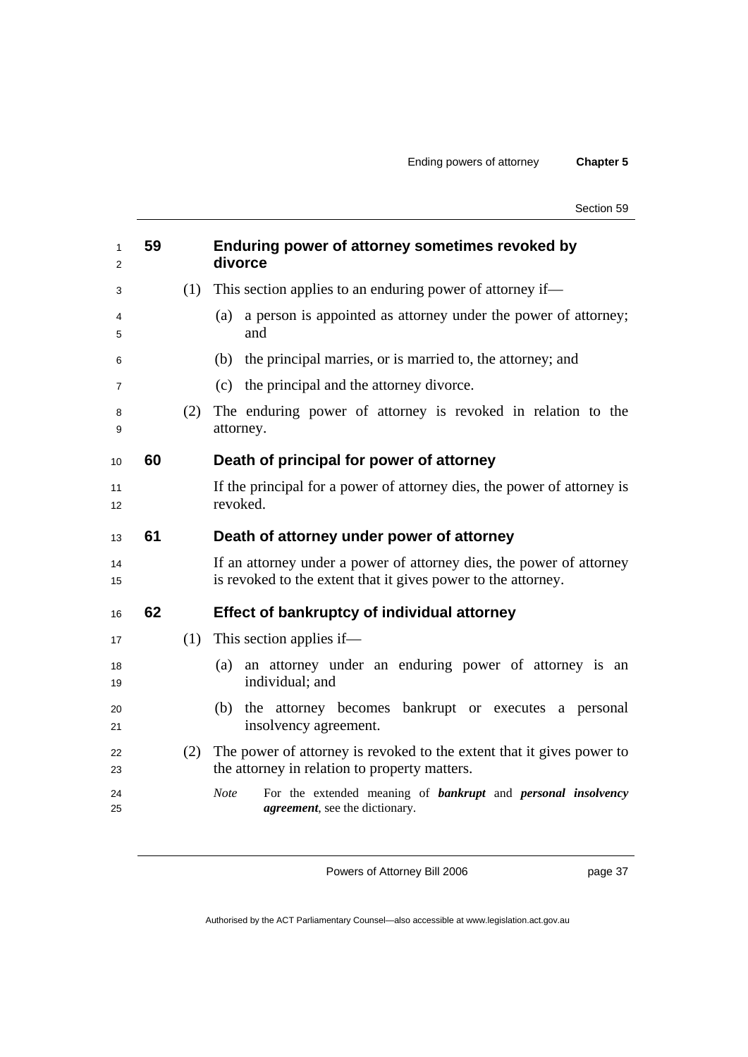| 1<br>2   | 59 |     | Enduring power of attorney sometimes revoked by<br>divorce                                                                            |
|----------|----|-----|---------------------------------------------------------------------------------------------------------------------------------------|
| 3        |    | (1) | This section applies to an enduring power of attorney if—                                                                             |
| 4<br>5   |    |     | a person is appointed as attorney under the power of attorney;<br>(a)<br>and                                                          |
| 6        |    |     | the principal marries, or is married to, the attorney; and<br>(b)                                                                     |
| 7        |    |     | the principal and the attorney divorce.<br>(c)                                                                                        |
| 8<br>9   |    | (2) | The enduring power of attorney is revoked in relation to the<br>attorney.                                                             |
| 10       | 60 |     | Death of principal for power of attorney                                                                                              |
| 11<br>12 |    |     | If the principal for a power of attorney dies, the power of attorney is<br>revoked.                                                   |
| 13       | 61 |     | Death of attorney under power of attorney                                                                                             |
| 14<br>15 |    |     | If an attorney under a power of attorney dies, the power of attorney<br>is revoked to the extent that it gives power to the attorney. |
| 16       | 62 |     | <b>Effect of bankruptcy of individual attorney</b>                                                                                    |
| 17       |    | (1) | This section applies if—                                                                                                              |
| 18<br>19 |    |     | an attorney under an enduring power of attorney is an<br>(a)<br>individual; and                                                       |
| 20<br>21 |    |     | attorney becomes<br>bankrupt or executes a personal<br>(b)<br>the<br>insolvency agreement.                                            |
| 22<br>23 |    | (2) | The power of attorney is revoked to the extent that it gives power to<br>the attorney in relation to property matters.                |
| 24<br>25 |    |     | <b>Note</b><br>For the extended meaning of <b>bankrupt</b> and <b>personal insolvency</b><br><i>agreement</i> , see the dictionary.   |

page 37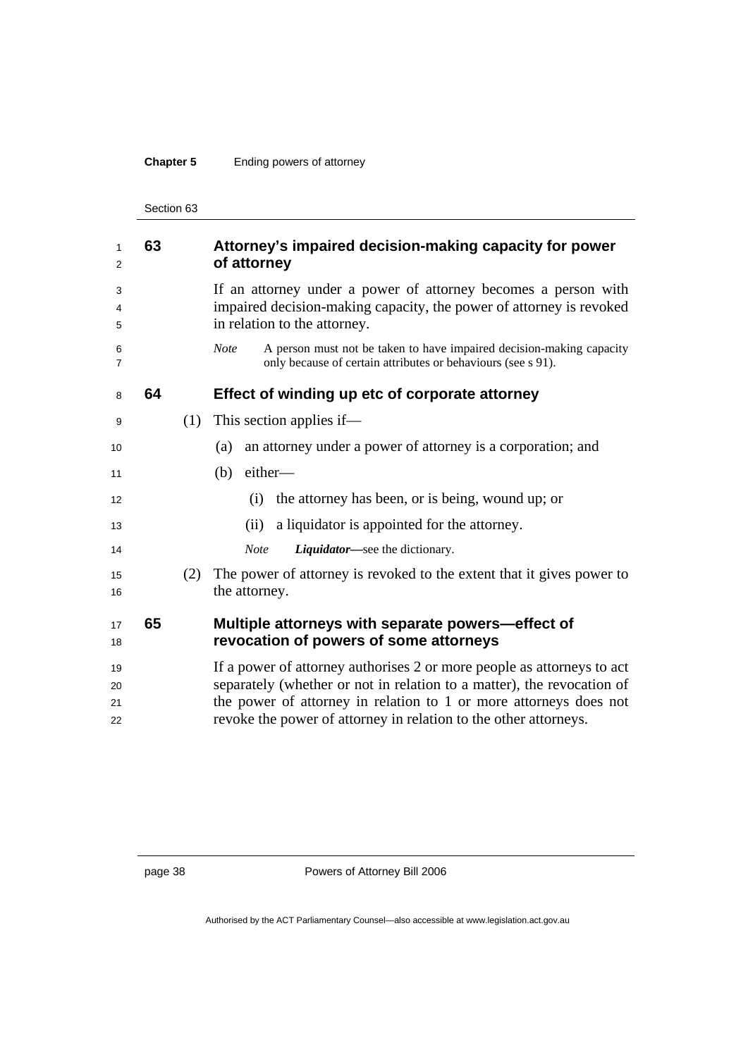## **Chapter 5** Ending powers of attorney

Section 63

| 1<br>2               | 63 |     | Attorney's impaired decision-making capacity for power<br>of attorney                                                                                                                                                                                                                     |
|----------------------|----|-----|-------------------------------------------------------------------------------------------------------------------------------------------------------------------------------------------------------------------------------------------------------------------------------------------|
| 3<br>4<br>5          |    |     | If an attorney under a power of attorney becomes a person with<br>impaired decision-making capacity, the power of attorney is revoked<br>in relation to the attorney.                                                                                                                     |
| 6<br>$\overline{7}$  |    |     | A person must not be taken to have impaired decision-making capacity<br><b>Note</b><br>only because of certain attributes or behaviours (see s 91).                                                                                                                                       |
| 8                    | 64 |     | Effect of winding up etc of corporate attorney                                                                                                                                                                                                                                            |
| 9                    |    | (1) | This section applies if—                                                                                                                                                                                                                                                                  |
| 10                   |    |     | an attorney under a power of attorney is a corporation; and<br>(a)                                                                                                                                                                                                                        |
| 11                   |    |     | (b)<br>either-                                                                                                                                                                                                                                                                            |
| 12                   |    |     | the attorney has been, or is being, wound up; or<br>(i)                                                                                                                                                                                                                                   |
| 13                   |    |     | a liquidator is appointed for the attorney.<br>(ii)                                                                                                                                                                                                                                       |
| 14                   |    |     | Liquidator—see the dictionary.<br><b>Note</b>                                                                                                                                                                                                                                             |
| 15<br>16             |    | (2) | The power of attorney is revoked to the extent that it gives power to<br>the attorney.                                                                                                                                                                                                    |
| 17<br>18             | 65 |     | Multiple attorneys with separate powers-effect of<br>revocation of powers of some attorneys                                                                                                                                                                                               |
| 19<br>20<br>21<br>22 |    |     | If a power of attorney authorises 2 or more people as attorneys to act<br>separately (whether or not in relation to a matter), the revocation of<br>the power of attorney in relation to 1 or more attorneys does not<br>revoke the power of attorney in relation to the other attorneys. |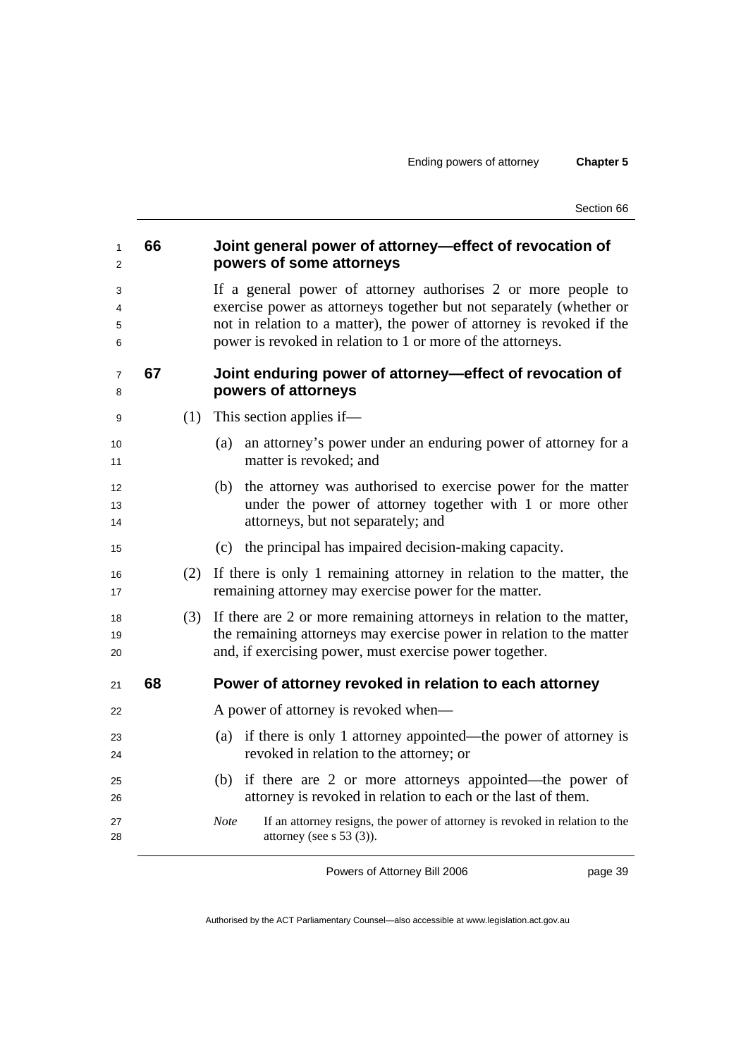Section 66

| 66 |     | Joint general power of attorney-effect of revocation of<br>powers of some attorneys                                                                                                                                                                                          |
|----|-----|------------------------------------------------------------------------------------------------------------------------------------------------------------------------------------------------------------------------------------------------------------------------------|
|    |     | If a general power of attorney authorises 2 or more people to<br>exercise power as attorneys together but not separately (whether or<br>not in relation to a matter), the power of attorney is revoked if the<br>power is revoked in relation to 1 or more of the attorneys. |
| 67 |     | Joint enduring power of attorney—effect of revocation of<br>powers of attorneys                                                                                                                                                                                              |
|    | (1) | This section applies if—                                                                                                                                                                                                                                                     |
|    |     | an attorney's power under an enduring power of attorney for a<br>(a)<br>matter is revoked; and                                                                                                                                                                               |
|    |     | the attorney was authorised to exercise power for the matter<br>(b)<br>under the power of attorney together with 1 or more other<br>attorneys, but not separately; and                                                                                                       |
|    |     | the principal has impaired decision-making capacity.<br>(c)                                                                                                                                                                                                                  |
|    | (2) | If there is only 1 remaining attorney in relation to the matter, the<br>remaining attorney may exercise power for the matter.                                                                                                                                                |
|    | (3) | If there are 2 or more remaining attorneys in relation to the matter,<br>the remaining attorneys may exercise power in relation to the matter<br>and, if exercising power, must exercise power together.                                                                     |
| 68 |     | Power of attorney revoked in relation to each attorney                                                                                                                                                                                                                       |
|    |     | A power of attorney is revoked when—                                                                                                                                                                                                                                         |
|    |     | (a) if there is only 1 attorney appointed—the power of attorney is<br>revoked in relation to the attorney; or                                                                                                                                                                |
|    |     | (b) if there are 2 or more attorneys appointed—the power of<br>attorney is revoked in relation to each or the last of them.                                                                                                                                                  |
|    |     | <b>Note</b><br>If an attorney resigns, the power of attorney is revoked in relation to the<br>attorney (see s $53$ (3)).                                                                                                                                                     |
|    |     |                                                                                                                                                                                                                                                                              |

Powers of Attorney Bill 2006

page 39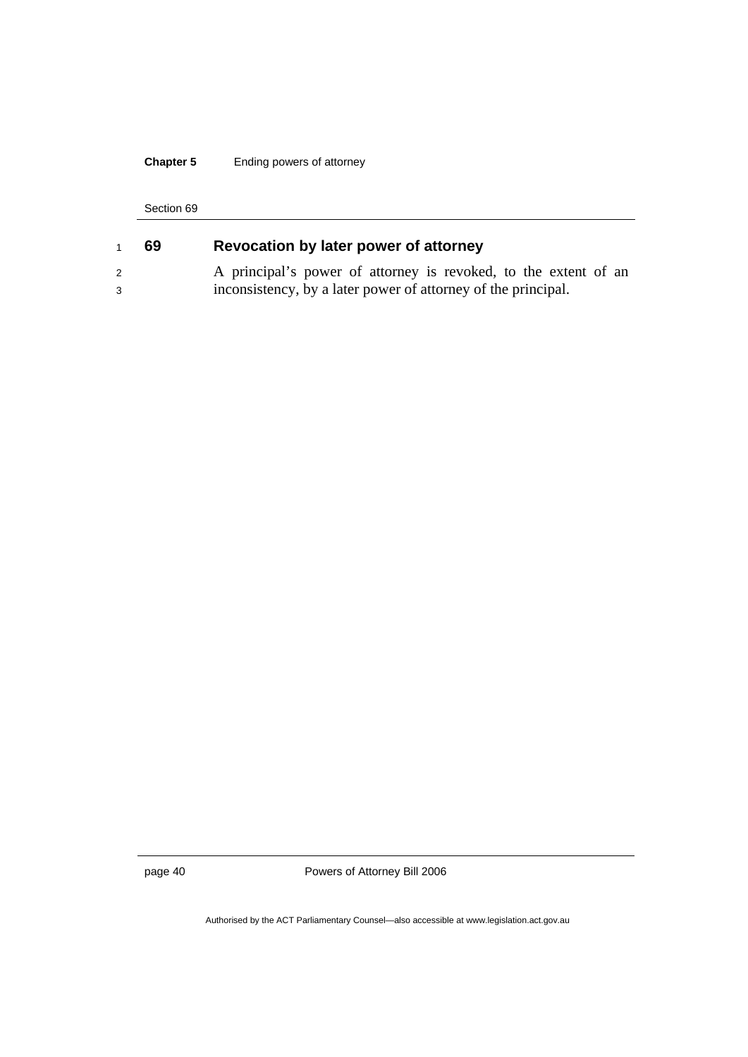## **Chapter 5** Ending powers of attorney

#### Section 69

|   | 69 | Revocation by later power of attorney                           |
|---|----|-----------------------------------------------------------------|
|   |    | A principal's power of attorney is revoked, to the extent of an |
| 3 |    | inconsistency, by a later power of attorney of the principal.   |

page 40 Powers of Attorney Bill 2006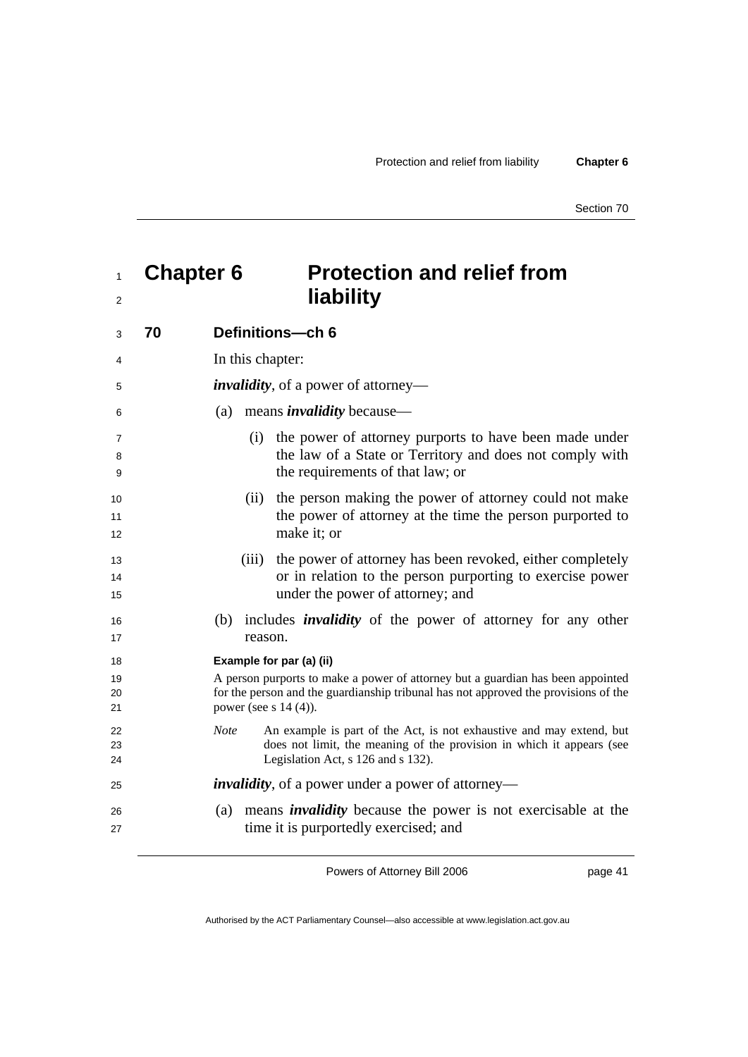# <sup>1</sup>**Chapter 6 Protection and relief from**  <sup>2</sup>

| 3              | 70 | Definitions-ch 6                                                                                                                                                                                   |
|----------------|----|----------------------------------------------------------------------------------------------------------------------------------------------------------------------------------------------------|
| 4              |    | In this chapter:                                                                                                                                                                                   |
| 5              |    | <i>invalidity</i> , of a power of attorney—                                                                                                                                                        |
| 6              |    | means <i>invalidity</i> because—<br>(a)                                                                                                                                                            |
| 7<br>8<br>9    |    | the power of attorney purports to have been made under<br>(i)<br>the law of a State or Territory and does not comply with<br>the requirements of that law; or                                      |
| 10<br>11<br>12 |    | the person making the power of attorney could not make<br>(ii)<br>the power of attorney at the time the person purported to<br>make it; or                                                         |
| 13<br>14<br>15 |    | the power of attorney has been revoked, either completely<br>(iii)<br>or in relation to the person purporting to exercise power<br>under the power of attorney; and                                |
| 16<br>17       |    | (b) includes <i>invalidity</i> of the power of attorney for any other<br>reason.                                                                                                                   |
| 18             |    | Example for par (a) (ii)                                                                                                                                                                           |
| 19<br>20<br>21 |    | A person purports to make a power of attorney but a guardian has been appointed<br>for the person and the guardianship tribunal has not approved the provisions of the<br>power (see s $14(4)$ ).  |
| 22<br>23<br>24 |    | An example is part of the Act, is not exhaustive and may extend, but<br><b>Note</b><br>does not limit, the meaning of the provision in which it appears (see<br>Legislation Act, s 126 and s 132). |
| 25             |    | <i>invalidity</i> , of a power under a power of attorney—                                                                                                                                          |
| 26<br>27       |    | means <i>invalidity</i> because the power is not exercisable at the<br>(a)<br>time it is purportedly exercised; and                                                                                |

Powers of Attorney Bill 2006

page 41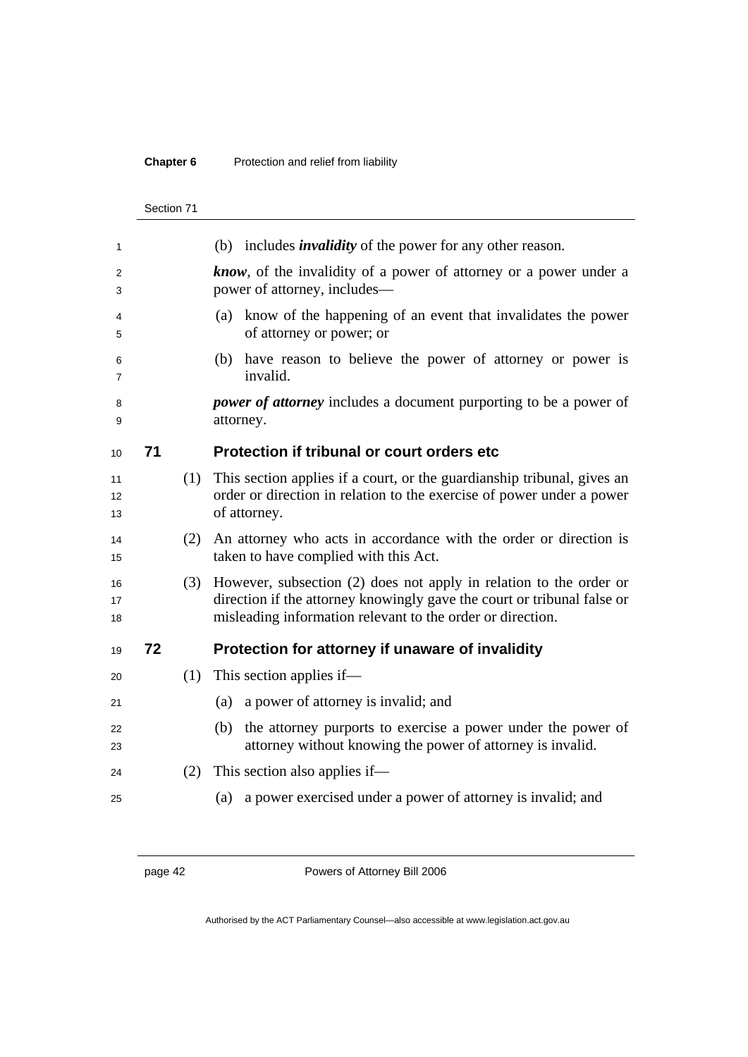## **Chapter 6** Protection and relief from liability

|                | Section 71 |     |                                                                                                                                                                                                             |
|----------------|------------|-----|-------------------------------------------------------------------------------------------------------------------------------------------------------------------------------------------------------------|
| 1              |            |     | (b) includes <i>invalidity</i> of the power for any other reason.                                                                                                                                           |
| 2<br>3         |            |     | <b>know</b> , of the invalidity of a power of attorney or a power under a<br>power of attorney, includes—                                                                                                   |
| 4<br>5         |            |     | (a) know of the happening of an event that invalidates the power<br>of attorney or power; or                                                                                                                |
| 6<br>7         |            |     | (b) have reason to believe the power of attorney or power is<br>invalid.                                                                                                                                    |
| 8<br>9         |            |     | <i>power of attorney</i> includes a document purporting to be a power of<br>attorney.                                                                                                                       |
| 10             | 71         |     | Protection if tribunal or court orders etc                                                                                                                                                                  |
| 11<br>12<br>13 |            | (1) | This section applies if a court, or the guardianship tribunal, gives an<br>order or direction in relation to the exercise of power under a power<br>of attorney.                                            |
| 14<br>15       |            | (2) | An attorney who acts in accordance with the order or direction is<br>taken to have complied with this Act.                                                                                                  |
| 16<br>17<br>18 |            | (3) | However, subsection (2) does not apply in relation to the order or<br>direction if the attorney knowingly gave the court or tribunal false or<br>misleading information relevant to the order or direction. |
| 19             | 72         |     | Protection for attorney if unaware of invalidity                                                                                                                                                            |
| 20             |            | (1) | This section applies if—                                                                                                                                                                                    |
| 21             |            |     | (a) a power of attorney is invalid; and                                                                                                                                                                     |
| 22<br>23       |            |     | the attorney purports to exercise a power under the power of<br>(b)<br>attorney without knowing the power of attorney is invalid.                                                                           |
| 24             |            | (2) | This section also applies if—                                                                                                                                                                               |
| 25             |            |     | a power exercised under a power of attorney is invalid; and<br>(a)                                                                                                                                          |

page 42 Powers of Attorney Bill 2006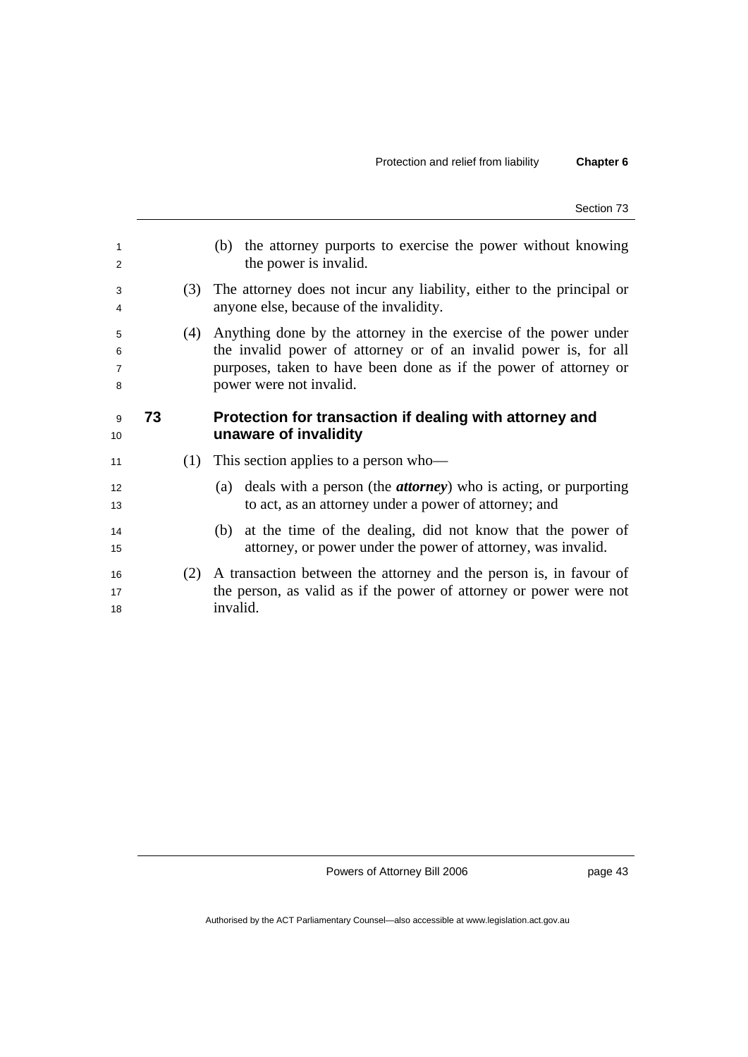Section 73

| 1<br>2                        |    |     | (b) the attorney purports to exercise the power without knowing<br>the power is invalid.                                                                                                                                            |
|-------------------------------|----|-----|-------------------------------------------------------------------------------------------------------------------------------------------------------------------------------------------------------------------------------------|
| 3<br>4                        |    | (3) | The attorney does not incur any liability, either to the principal or<br>anyone else, because of the invalidity.                                                                                                                    |
| 5<br>6<br>$\overline{7}$<br>8 |    | (4) | Anything done by the attorney in the exercise of the power under<br>the invalid power of attorney or of an invalid power is, for all<br>purposes, taken to have been done as if the power of attorney or<br>power were not invalid. |
| 9<br>10                       | 73 |     | Protection for transaction if dealing with attorney and<br>unaware of invalidity                                                                                                                                                    |
| 11                            |    | (1) | This section applies to a person who-                                                                                                                                                                                               |
| 12<br>13                      |    |     | (a) deals with a person (the <i>attorney</i> ) who is acting, or purporting<br>to act, as an attorney under a power of attorney; and                                                                                                |
| 14<br>15                      |    |     | at the time of the dealing, did not know that the power of<br>(b)<br>attorney, or power under the power of attorney, was invalid.                                                                                                   |
| 16<br>17<br>18                |    | (2) | A transaction between the attorney and the person is, in favour of<br>the person, as valid as if the power of attorney or power were not<br>invalid.                                                                                |
|                               |    |     |                                                                                                                                                                                                                                     |

Powers of Attorney Bill 2006

page 43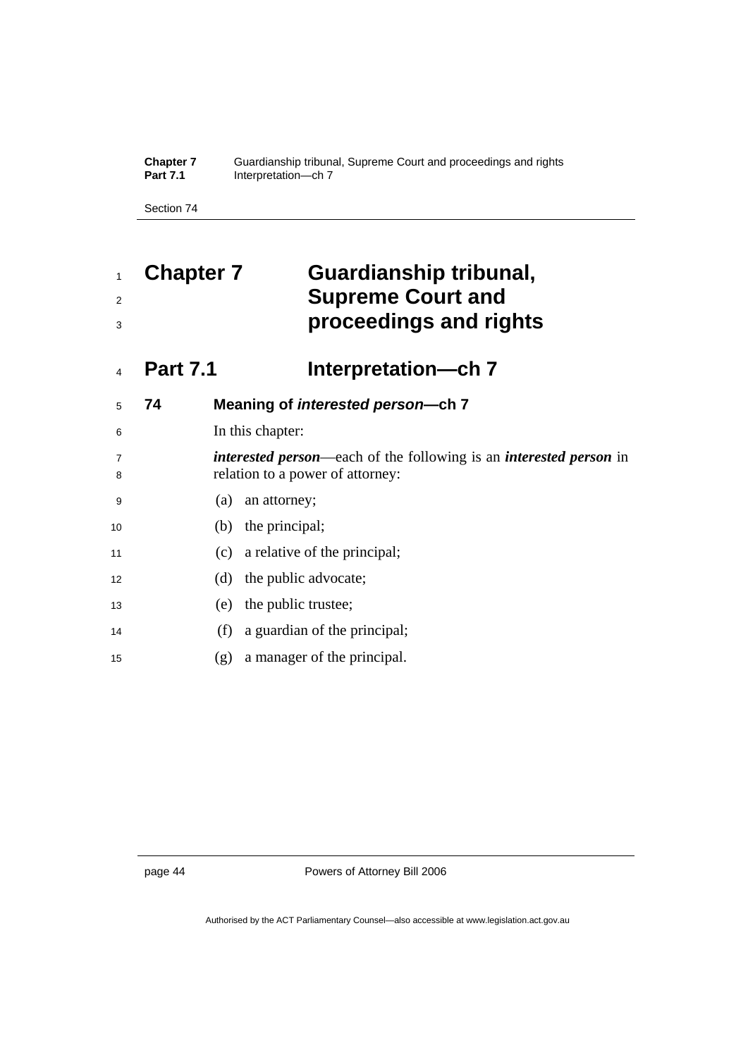**Chapter 7** Guardianship tribunal, Supreme Court and proceedings and rights **Part 7.1 Interpretation—ch 7** 

Section 74

# **Chapter 7 Guardianship tribunal, Supreme Court and proceedings and rights**

# **Part 7.1 Interpretation—ch 7**

| 5                   | 74 | Meaning of <i>interested</i> person--ch 7                                                                             |
|---------------------|----|-----------------------------------------------------------------------------------------------------------------------|
| 6                   |    | In this chapter:                                                                                                      |
| $\overline{7}$<br>8 |    | <i>interested person</i> —each of the following is an <i>interested person</i> in<br>relation to a power of attorney: |
| 9                   |    | an attorney;<br>(a)                                                                                                   |
| 10                  |    | (b) the principal;                                                                                                    |
| 11                  |    | a relative of the principal;<br>(c)                                                                                   |
| 12                  |    | (d) the public advocate;                                                                                              |
| 13                  |    | the public trustee;<br>(e)                                                                                            |
| 14                  |    | a guardian of the principal;<br>(f)                                                                                   |
| 15                  |    | a manager of the principal.<br>(g)                                                                                    |
|                     |    |                                                                                                                       |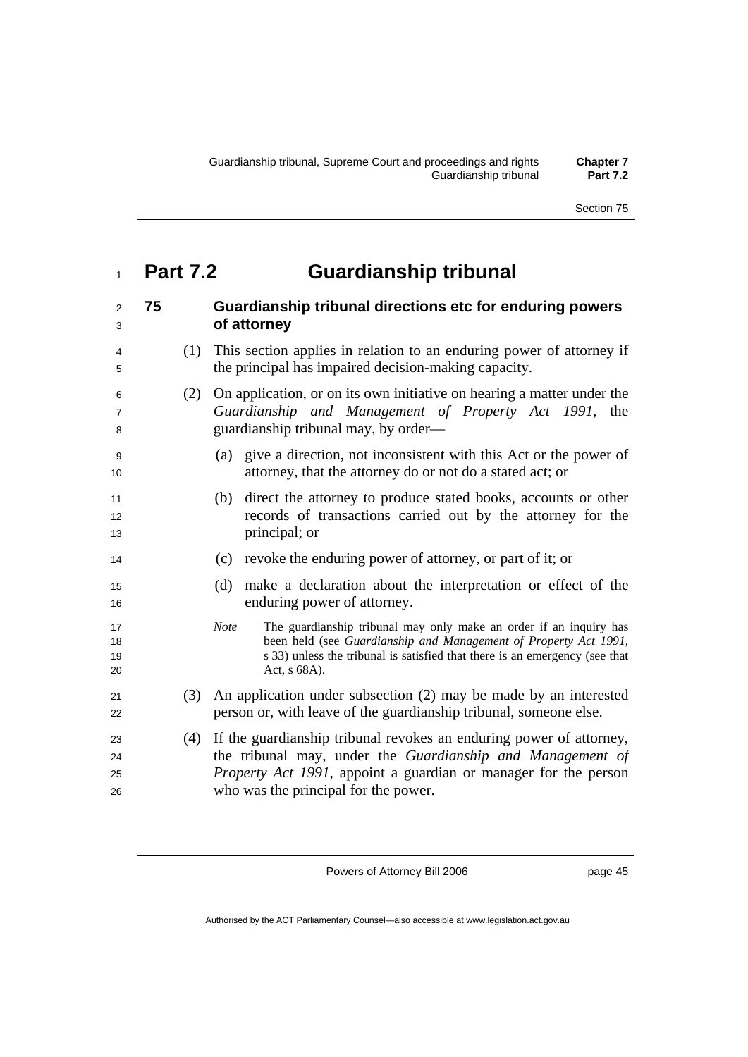# **Part 7.2 Guardianship tribunal**

| $\overline{2}$<br>3      | 75 |     | Guardianship tribunal directions etc for enduring powers<br>of attorney                                                                                                                                                                              |
|--------------------------|----|-----|------------------------------------------------------------------------------------------------------------------------------------------------------------------------------------------------------------------------------------------------------|
| 4<br>5                   |    | (1) | This section applies in relation to an enduring power of attorney if<br>the principal has impaired decision-making capacity.                                                                                                                         |
| 6<br>$\overline{7}$<br>8 |    | (2) | On application, or on its own initiative on hearing a matter under the<br>Guardianship and Management of Property Act 1991, the<br>guardianship tribunal may, by order—                                                                              |
| 9<br>10                  |    |     | give a direction, not inconsistent with this Act or the power of<br>(a)<br>attorney, that the attorney do or not do a stated act; or                                                                                                                 |
| 11<br>12<br>13           |    |     | direct the attorney to produce stated books, accounts or other<br>(b)<br>records of transactions carried out by the attorney for the<br>principal; or                                                                                                |
| 14                       |    |     | (c) revoke the enduring power of attorney, or part of it; or                                                                                                                                                                                         |
| 15<br>16                 |    |     | make a declaration about the interpretation or effect of the<br>(d)<br>enduring power of attorney.                                                                                                                                                   |
| 17<br>18<br>19<br>20     |    |     | <b>Note</b><br>The guardianship tribunal may only make an order if an inquiry has<br>been held (see Guardianship and Management of Property Act 1991,<br>s 33) unless the tribunal is satisfied that there is an emergency (see that<br>Act, s 68A). |
| 21<br>22                 |    | (3) | An application under subsection (2) may be made by an interested<br>person or, with leave of the guardianship tribunal, someone else.                                                                                                                |
| 23<br>24<br>25<br>26     |    | (4) | If the guardianship tribunal revokes an enduring power of attorney,<br>the tribunal may, under the Guardianship and Management of<br><i>Property Act 1991</i> , appoint a guardian or manager for the person<br>who was the principal for the power. |

Powers of Attorney Bill 2006

page 45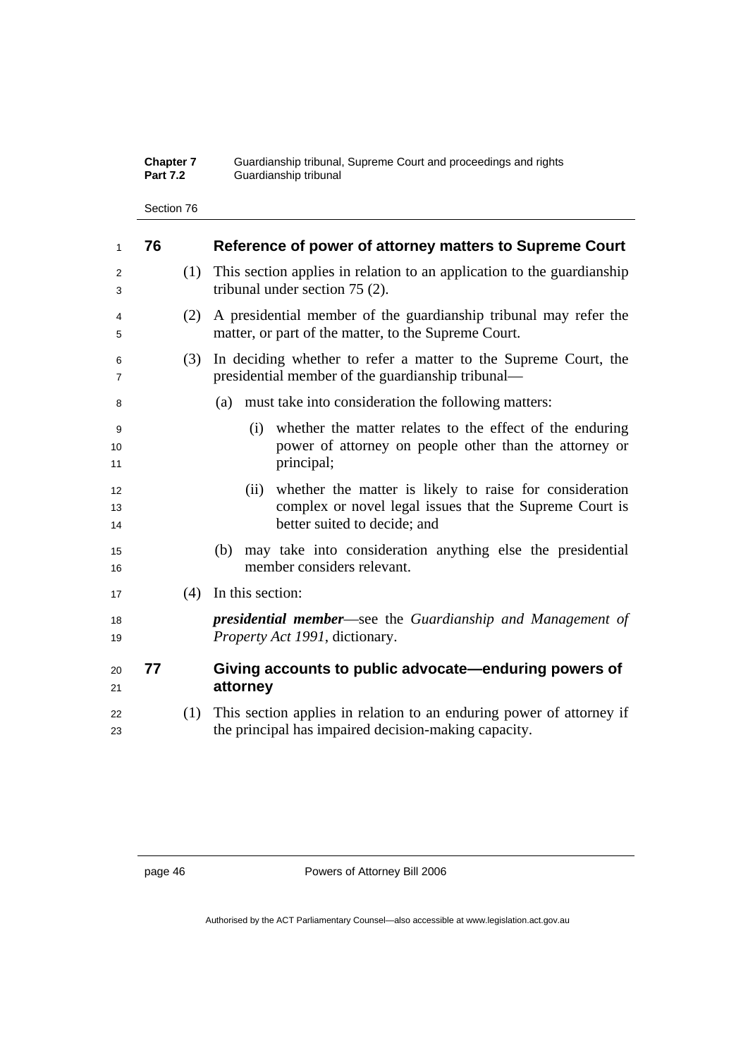| <b>Chapter 7</b> | Guardianship tribunal, Supreme Court and proceedings and rights |
|------------------|-----------------------------------------------------------------|
| <b>Part 7.2</b>  | Guardianship tribunal                                           |

Section 76

| 1              | 76 |     | Reference of power of attorney matters to Supreme Court                                                                                                    |
|----------------|----|-----|------------------------------------------------------------------------------------------------------------------------------------------------------------|
| 2<br>3         |    | (1) | This section applies in relation to an application to the guardianship<br>tribunal under section $75(2)$ .                                                 |
| 4<br>5         |    | (2) | A presidential member of the guardianship tribunal may refer the<br>matter, or part of the matter, to the Supreme Court.                                   |
| 6<br>7         |    | (3) | In deciding whether to refer a matter to the Supreme Court, the<br>presidential member of the guardianship tribunal—                                       |
| 8              |    |     | must take into consideration the following matters:<br>(a)                                                                                                 |
| 9<br>10<br>11  |    |     | whether the matter relates to the effect of the enduring<br>(i)<br>power of attorney on people other than the attorney or<br>principal;                    |
| 12<br>13<br>14 |    |     | whether the matter is likely to raise for consideration<br>(ii)<br>complex or novel legal issues that the Supreme Court is<br>better suited to decide; and |
| 15<br>16       |    |     | may take into consideration anything else the presidential<br>(b)<br>member considers relevant.                                                            |
| 17             |    | (4) | In this section:                                                                                                                                           |
| 18<br>19       |    |     | <b>presidential member—see the Guardianship and Management of</b><br>Property Act 1991, dictionary.                                                        |
| 20<br>21       | 77 |     | Giving accounts to public advocate-enduring powers of<br>attorney                                                                                          |
| 22<br>23       |    | (1) | This section applies in relation to an enduring power of attorney if<br>the principal has impaired decision-making capacity.                               |
|                |    |     |                                                                                                                                                            |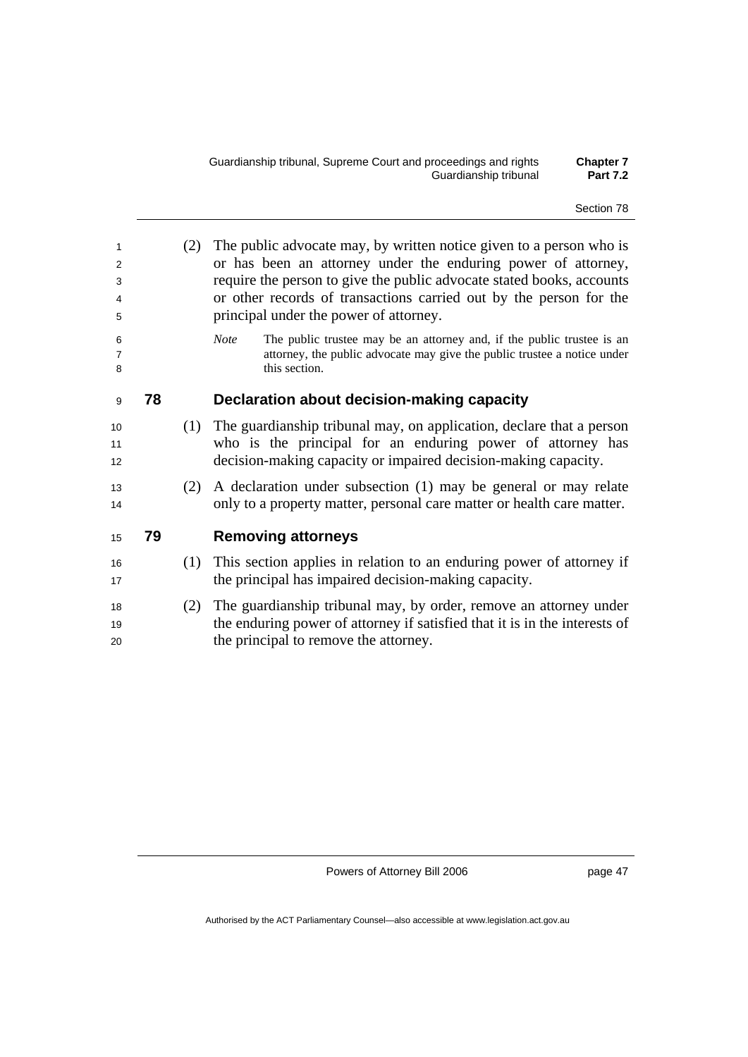| 1<br>2<br>3<br>4<br>5    | (2) | The public advocate may, by written notice given to a person who is<br>or has been an attorney under the enduring power of attorney,<br>require the person to give the public advocate stated books, accounts<br>or other records of transactions carried out by the person for the<br>principal under the power of attorney. |
|--------------------------|-----|-------------------------------------------------------------------------------------------------------------------------------------------------------------------------------------------------------------------------------------------------------------------------------------------------------------------------------|
| 6<br>$\overline{7}$<br>8 |     | The public trustee may be an attorney and, if the public trustee is an<br><b>Note</b><br>attorney, the public advocate may give the public trustee a notice under<br>this section.                                                                                                                                            |
| 78<br>9                  |     | Declaration about decision-making capacity                                                                                                                                                                                                                                                                                    |
| 10<br>11<br>12           |     | (1) The guardianship tribunal may, on application, declare that a person<br>who is the principal for an enduring power of attorney has<br>decision-making capacity or impaired decision-making capacity.                                                                                                                      |
| 13<br>14                 | (2) | A declaration under subsection (1) may be general or may relate<br>only to a property matter, personal care matter or health care matter.                                                                                                                                                                                     |
| 79<br>15                 |     | <b>Removing attorneys</b>                                                                                                                                                                                                                                                                                                     |
| 16<br>17                 | (1) | This section applies in relation to an enduring power of attorney if<br>the principal has impaired decision-making capacity.                                                                                                                                                                                                  |
| 18<br>19<br>20           | (2) | The guardianship tribunal may, by order, remove an attorney under<br>the enduring power of attorney if satisfied that it is in the interests of<br>the principal to remove the attorney.                                                                                                                                      |

page 47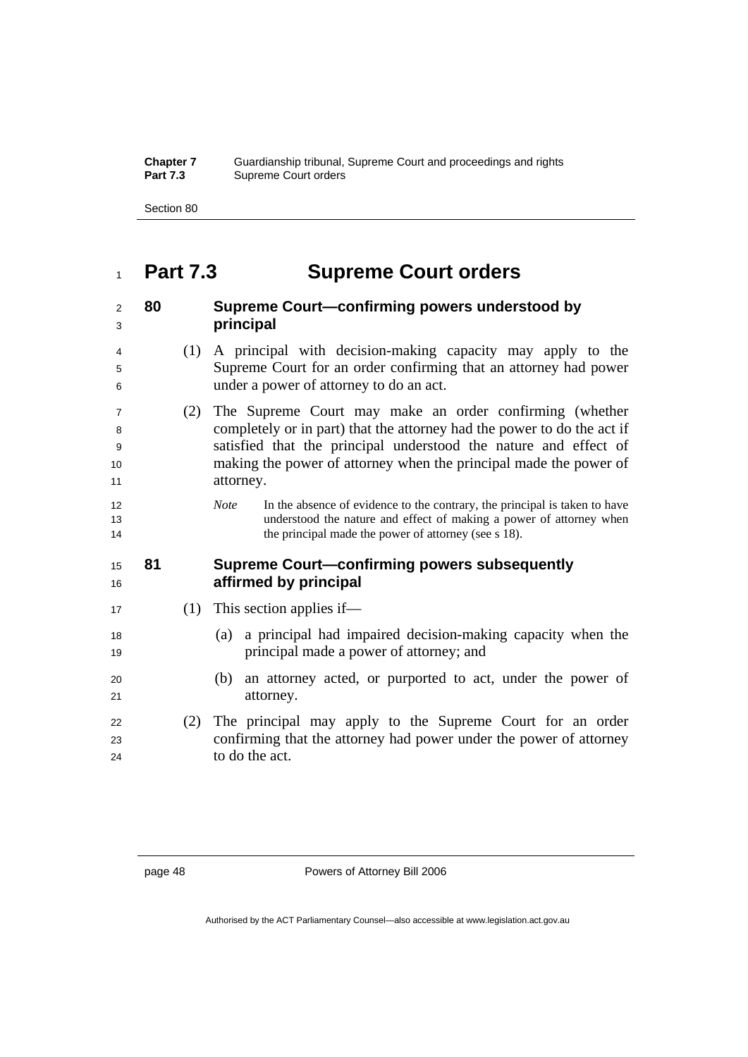| <b>Chapter 7</b> | Guardianship tribunal, Supreme Court and proceedings and rights |
|------------------|-----------------------------------------------------------------|
| <b>Part 7.3</b>  | Supreme Court orders                                            |

Section 80

## **Part 7.3 Supreme Court orders**

## **80 Supreme Court—confirming powers understood by principal**  (1) A principal with decision-making capacity may apply to the

- Supreme Court for an order confirming that an attorney had power under a power of attorney to do an act.
- (2) The Supreme Court may make an order confirming (whether completely or in part) that the attorney had the power to do the act if satisfied that the principal understood the nature and effect of making the power of attorney when the principal made the power of 11 attorney.
- *Note* In the absence of evidence to the contrary, the principal is taken to have understood the nature and effect of making a power of attorney when 14 the principal made the power of attorney (see s 18).

### **81 Supreme Court—confirming powers subsequently affirmed by principal**

- 17 (1) This section applies if—
- (a) a principal had impaired decision-making capacity when the **principal made a power of attorney; and**
- (b) an attorney acted, or purported to act, under the power of 21 attorney.

### (2) The principal may apply to the Supreme Court for an order confirming that the attorney had power under the power of attorney to do the act.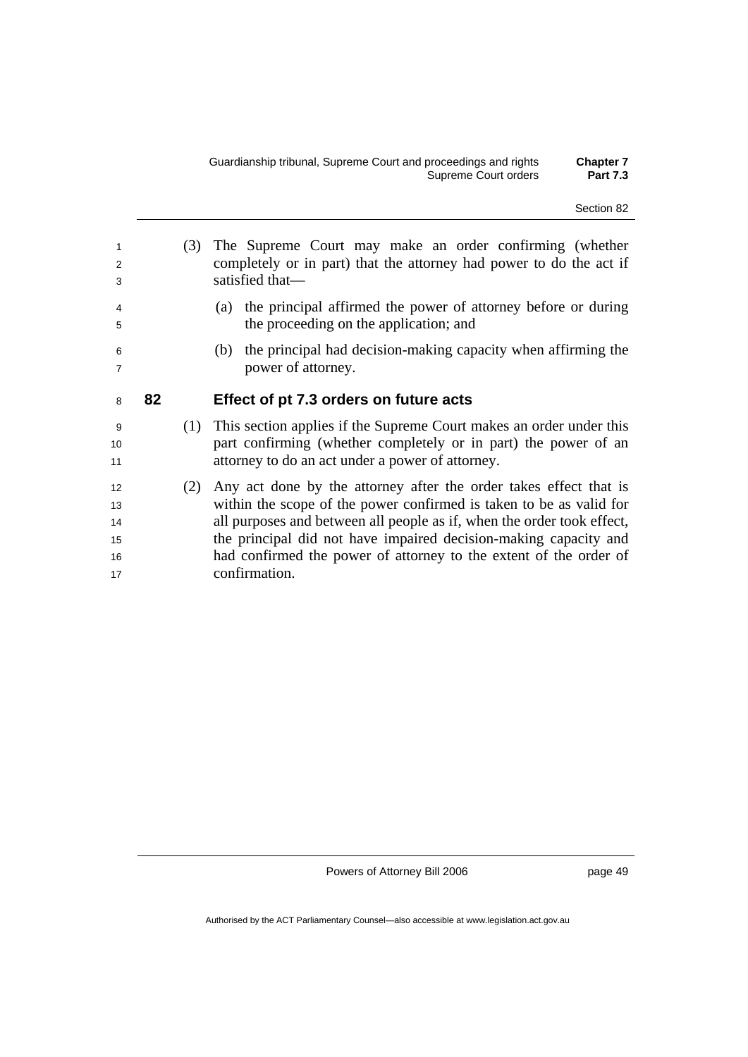| 1<br>2<br>3<br>4         |    | (3) | The Supreme Court may make an order confirming (whether<br>completely or in part) that the attorney had power to do the act if<br>satisfied that-<br>the principal affirmed the power of attorney before or during<br>(a) |
|--------------------------|----|-----|---------------------------------------------------------------------------------------------------------------------------------------------------------------------------------------------------------------------------|
| 5<br>6<br>$\overline{7}$ |    |     | the proceeding on the application; and<br>the principal had decision-making capacity when affirming the<br>(b)<br>power of attorney.                                                                                      |
| 8                        | 82 |     | Effect of pt 7.3 orders on future acts                                                                                                                                                                                    |
| 9<br>10<br>11            |    | (1) | This section applies if the Supreme Court makes an order under this<br>part confirming (whether completely or in part) the power of an<br>attorney to do an act under a power of attorney.                                |
| 12<br>13<br>14<br>15     |    | (2) | Any act done by the attorney after the order takes effect that is<br>within the scope of the power confirmed is taken to be as valid for<br>all purposes and between all people as if, when the order took effect,        |

page 49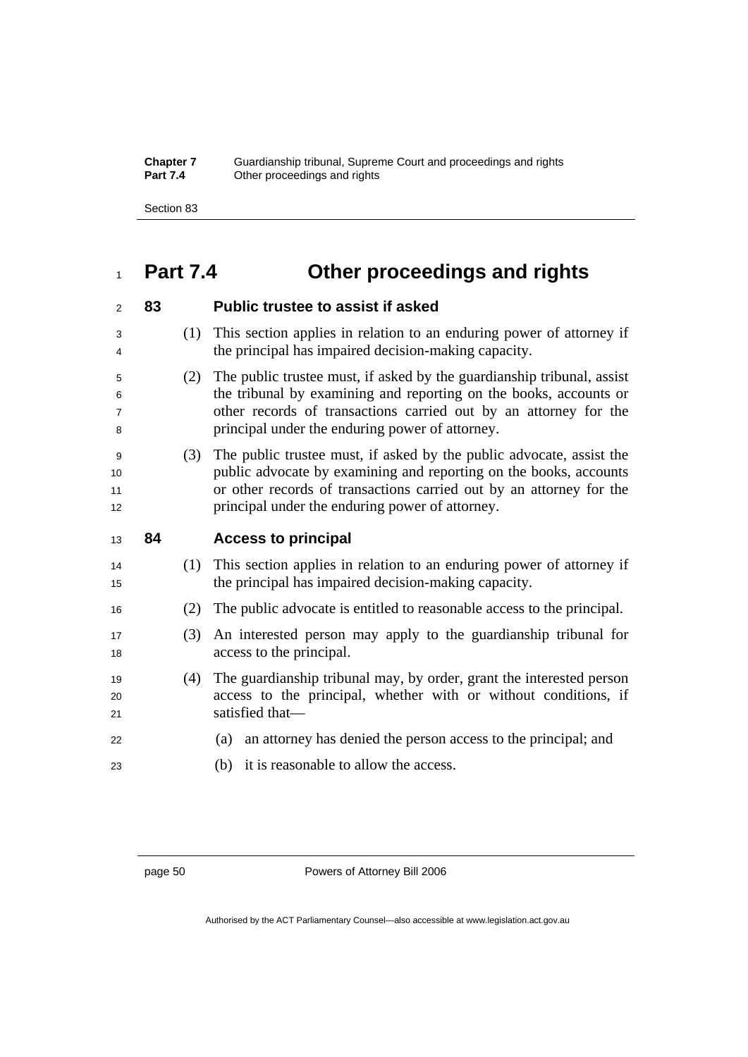#### **Chapter 7** Guardianship tribunal, Supreme Court and proceedings and rights **Part 7.4 Other proceedings and rights**

Section 83

# **Part 7.4 Other proceedings and rights**

| 2                             | 83 |     | <b>Public trustee to assist if asked</b>                                                                                                                                                                                                                            |
|-------------------------------|----|-----|---------------------------------------------------------------------------------------------------------------------------------------------------------------------------------------------------------------------------------------------------------------------|
| 3<br>4                        |    | (1) | This section applies in relation to an enduring power of attorney if<br>the principal has impaired decision-making capacity.                                                                                                                                        |
| 5<br>6<br>$\overline{7}$<br>8 |    | (2) | The public trustee must, if asked by the guardianship tribunal, assist<br>the tribunal by examining and reporting on the books, accounts or<br>other records of transactions carried out by an attorney for the<br>principal under the enduring power of attorney.  |
| 9<br>10<br>11<br>12           |    | (3) | The public trustee must, if asked by the public advocate, assist the<br>public advocate by examining and reporting on the books, accounts<br>or other records of transactions carried out by an attorney for the<br>principal under the enduring power of attorney. |
| 13                            | 84 |     | <b>Access to principal</b>                                                                                                                                                                                                                                          |
|                               |    |     |                                                                                                                                                                                                                                                                     |
| 14<br>15                      |    | (1) | This section applies in relation to an enduring power of attorney if<br>the principal has impaired decision-making capacity.                                                                                                                                        |
| 16                            |    | (2) | The public advocate is entitled to reasonable access to the principal.                                                                                                                                                                                              |
| 17<br>18                      |    | (3) | An interested person may apply to the guardianship tribunal for<br>access to the principal.                                                                                                                                                                         |
| 19<br>20<br>21                |    | (4) | The guardianship tribunal may, by order, grant the interested person<br>access to the principal, whether with or without conditions, if<br>satisfied that-                                                                                                          |
| 22                            |    |     | an attorney has denied the person access to the principal; and<br>(a)                                                                                                                                                                                               |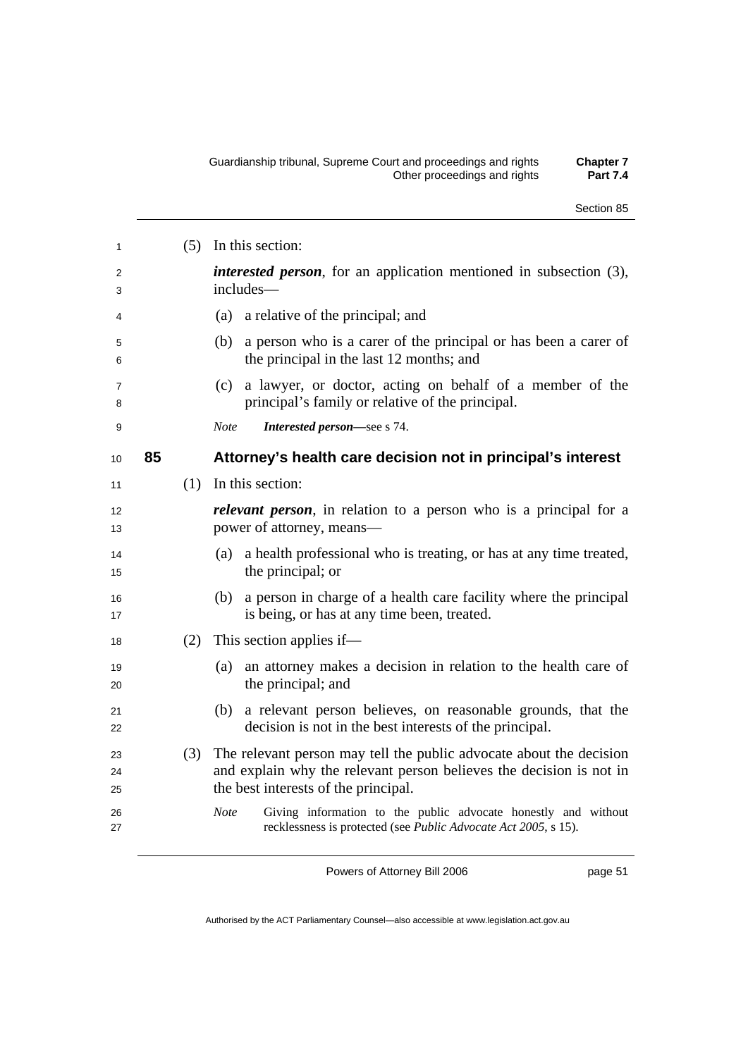| 1                   |    | (5) | In this section:                                                                                                                                                                   |
|---------------------|----|-----|------------------------------------------------------------------------------------------------------------------------------------------------------------------------------------|
| 2<br>3              |    |     | <i>interested person</i> , for an application mentioned in subsection (3),<br>includes-                                                                                            |
| 4                   |    |     | (a)<br>a relative of the principal; and                                                                                                                                            |
| 5<br>6              |    |     | a person who is a carer of the principal or has been a carer of<br>(b)<br>the principal in the last 12 months; and                                                                 |
| $\overline{7}$<br>8 |    |     | a lawyer, or doctor, acting on behalf of a member of the<br>(c)<br>principal's family or relative of the principal.                                                                |
| 9                   |    |     | <b>Note</b><br>Interested person-see s 74.                                                                                                                                         |
| 10                  | 85 |     | Attorney's health care decision not in principal's interest                                                                                                                        |
| 11                  |    | (1) | In this section:                                                                                                                                                                   |
| 12<br>13            |    |     | <i>relevant person</i> , in relation to a person who is a principal for a<br>power of attorney, means—                                                                             |
| 14<br>15            |    |     | a health professional who is treating, or has at any time treated,<br>(a)<br>the principal; or                                                                                     |
| 16<br>17            |    |     | (b) a person in charge of a health care facility where the principal<br>is being, or has at any time been, treated.                                                                |
| 18                  |    | (2) | This section applies if—                                                                                                                                                           |
| 19<br>20            |    |     | an attorney makes a decision in relation to the health care of<br>(a)<br>the principal; and                                                                                        |
| 21<br>22            |    |     | a relevant person believes, on reasonable grounds, that the<br>(b)<br>decision is not in the best interests of the principal.                                                      |
| 23<br>24<br>25      |    | (3) | The relevant person may tell the public advocate about the decision<br>and explain why the relevant person believes the decision is not in<br>the best interests of the principal. |
| 26<br>27            |    |     | Giving information to the public advocate honestly and without<br><b>Note</b><br>recklessness is protected (see Public Advocate Act 2005, s 15).                                   |

page 51

Section 85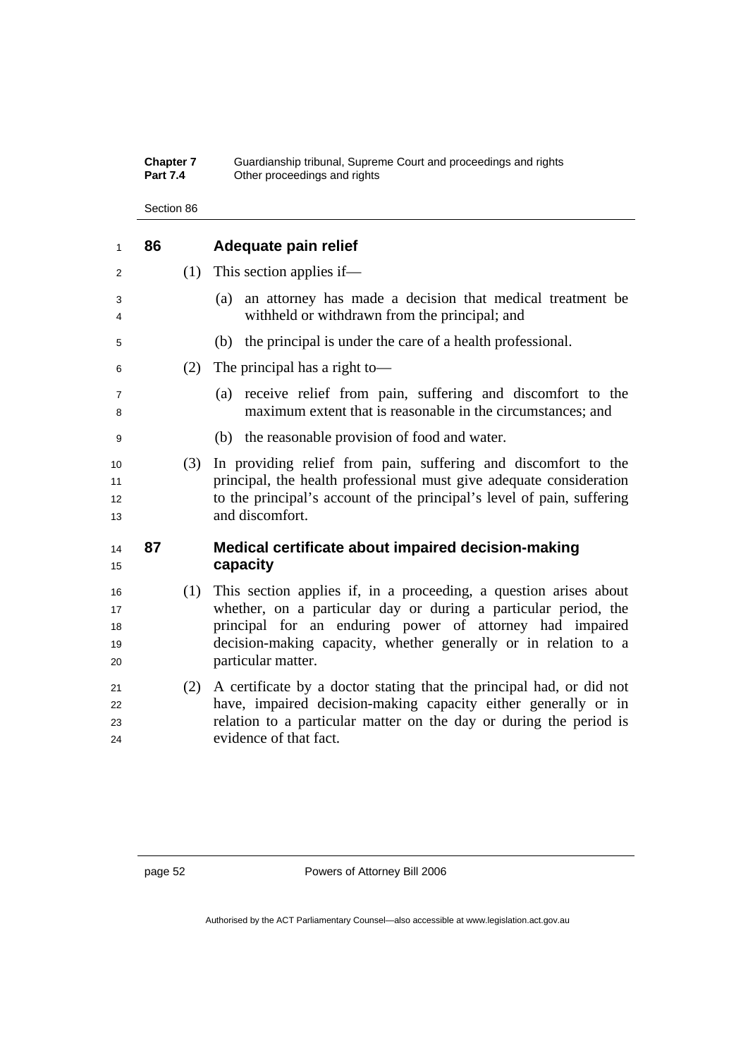#### **Chapter 7** Guardianship tribunal, Supreme Court and proceedings and rights **Part 7.4 Other proceedings and rights**

Section 86

| 1                          | 86 |     | Adequate pain relief                                                                                                                                                                                                                                                                      |
|----------------------------|----|-----|-------------------------------------------------------------------------------------------------------------------------------------------------------------------------------------------------------------------------------------------------------------------------------------------|
| 2                          |    | (1) | This section applies if—                                                                                                                                                                                                                                                                  |
| 3<br>4                     |    |     | an attorney has made a decision that medical treatment be<br>(a)<br>withheld or withdrawn from the principal; and                                                                                                                                                                         |
| 5                          |    |     | (b) the principal is under the care of a health professional.                                                                                                                                                                                                                             |
| 6                          |    | (2) | The principal has a right to-                                                                                                                                                                                                                                                             |
| 7<br>8                     |    |     | receive relief from pain, suffering and discomfort to the<br>(a)<br>maximum extent that is reasonable in the circumstances; and                                                                                                                                                           |
| 9                          |    |     | (b) the reasonable provision of food and water.                                                                                                                                                                                                                                           |
| 10<br>11<br>12<br>13       |    | (3) | In providing relief from pain, suffering and discomfort to the<br>principal, the health professional must give adequate consideration<br>to the principal's account of the principal's level of pain, suffering<br>and discomfort.                                                        |
| 14<br>15                   | 87 |     | Medical certificate about impaired decision-making<br>capacity                                                                                                                                                                                                                            |
| 16<br>17<br>18<br>19<br>20 |    | (1) | This section applies if, in a proceeding, a question arises about<br>whether, on a particular day or during a particular period, the<br>principal for an enduring power of attorney had impaired<br>decision-making capacity, whether generally or in relation to a<br>particular matter. |
| 21<br>22<br>23             |    | (2) | A certificate by a doctor stating that the principal had, or did not<br>have, impaired decision-making capacity either generally or in<br>relation to a particular matter on the day or during the period is                                                                              |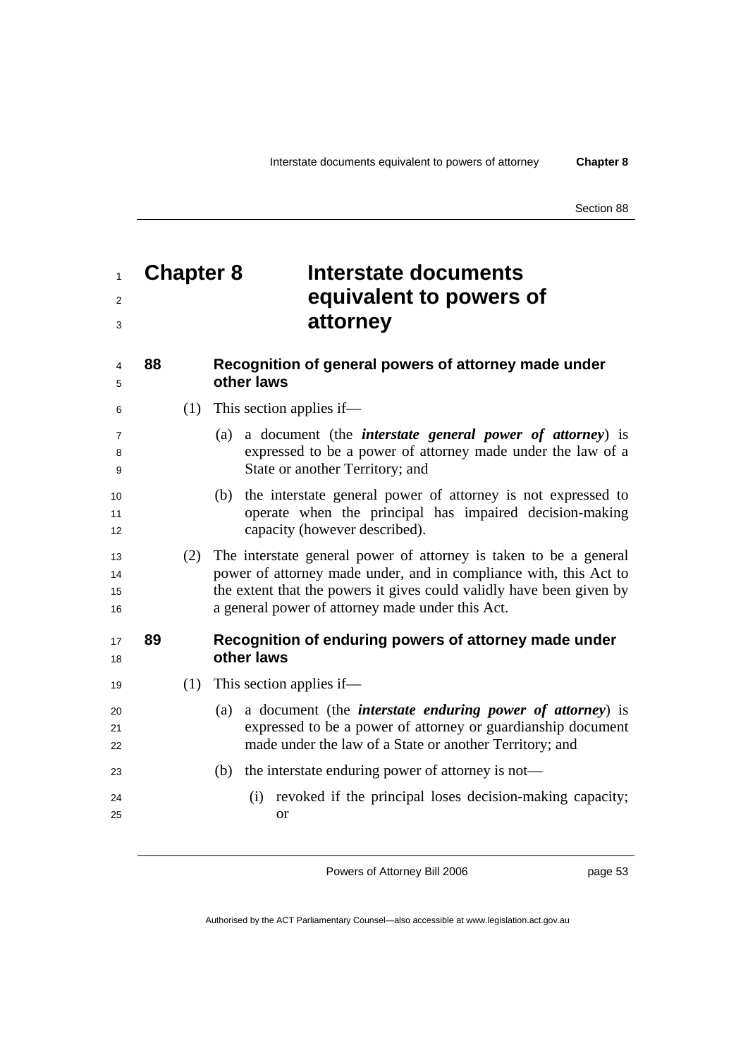Section 88

# <sup>1</sup>**Chapter 8 Interstate documents**  <sup>2</sup>**equivalent to powers of**  <sup>3</sup>**attorney**

### <sup>4</sup>**88 Recognition of general powers of attorney made under**  <sup>5</sup>**other laws**

- <sup>6</sup>(1) This section applies if—
- <sup>7</sup>(a) a document (the *interstate general power of attorney*) is <sup>8</sup>expressed to be a power of attorney made under the law of a <sup>9</sup>State or another Territory; and
- <sup>10</sup>(b) the interstate general power of attorney is not expressed to 11 operate when the principal has impaired decision-making 12 capacity (however described).
- <sup>13</sup>(2) The interstate general power of attorney is taken to be a general 14 power of attorney made under, and in compliance with, this Act to 15 the extent that the powers it gives could validly have been given by <sup>16</sup>a general power of attorney made under this Act.

### <sup>17</sup>**89 Recognition of enduring powers of attorney made under**  <sup>18</sup>**other laws**

- 19 (1) This section applies if—
- <sup>20</sup>(a) a document (the *interstate enduring power of attorney*) is <sup>21</sup>expressed to be a power of attorney or guardianship document 22 made under the law of a State or another Territory; and
- 23 (b) the interstate enduring power of attorney is not—
- <sup>24</sup>(i) revoked if the principal loses decision-making capacity; 25 or

Powers of Attorney Bill 2006

page 53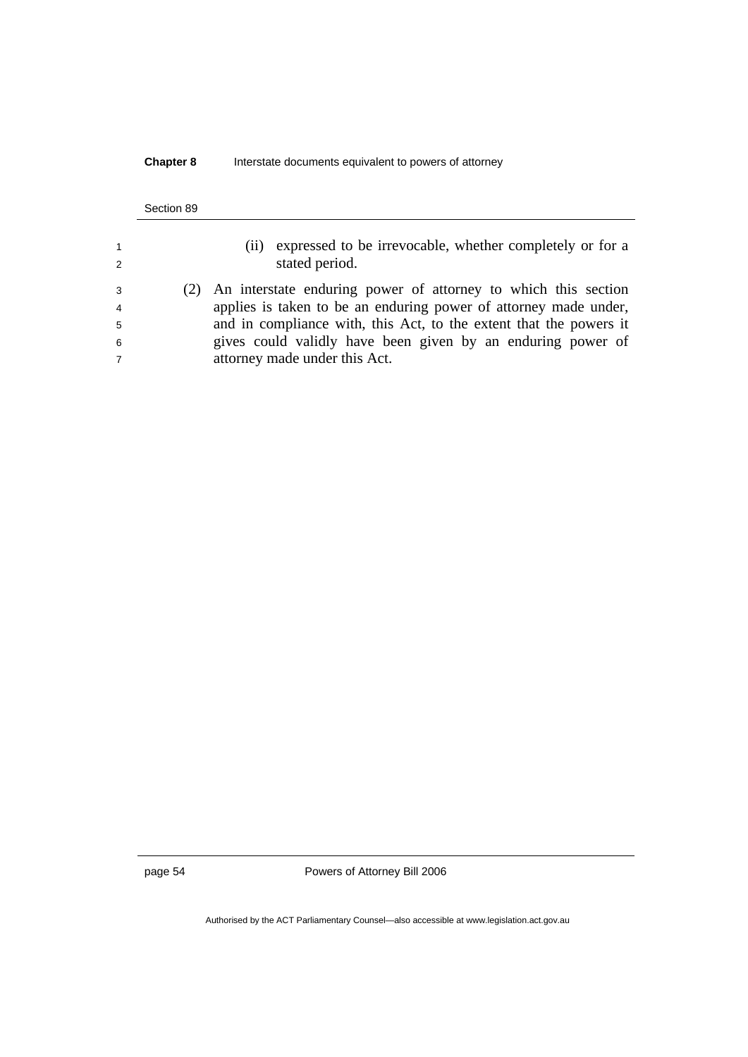#### **Chapter 8** Interstate documents equivalent to powers of attorney

#### Section 89

| 1 |  |
|---|--|
| 2 |  |
| 3 |  |
| 4 |  |
| 5 |  |

- <sup>1</sup>(ii) expressed to be irrevocable, whether completely or for a stated period.
- <sup>3</sup>(2) An interstate enduring power of attorney to which this section applies is taken to be an enduring power of attorney made under, and in compliance with, this Act, to the extent that the powers it <sup>6</sup>gives could validly have been given by an enduring power of 7 attorney made under this Act.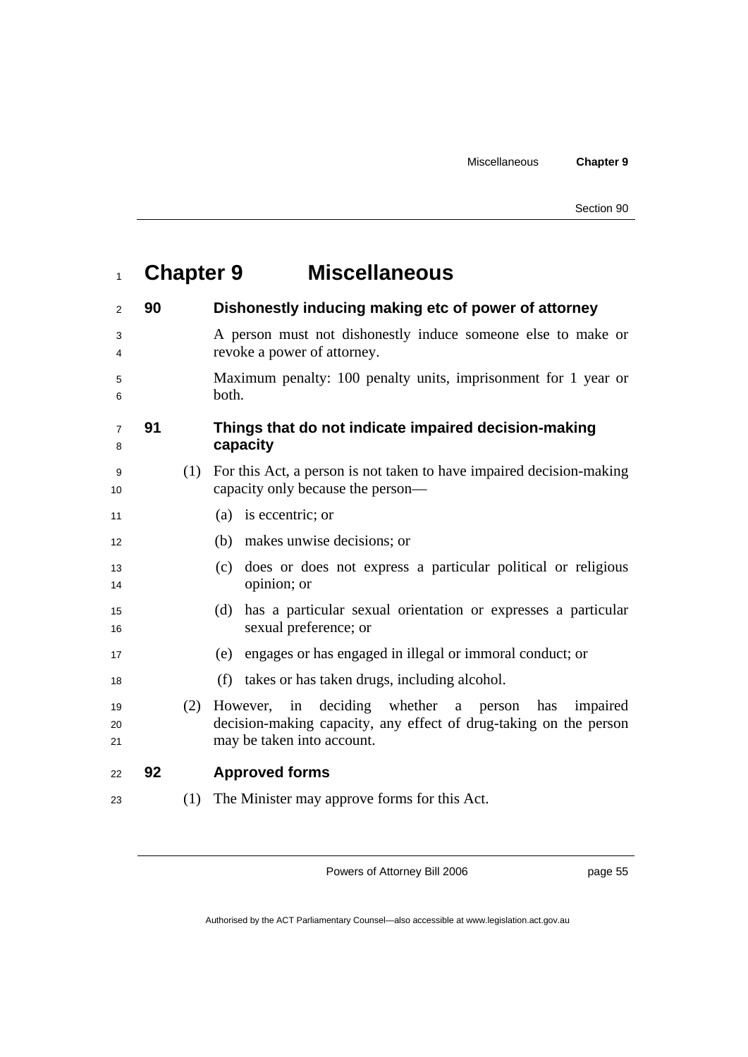| Section 90 |  |
|------------|--|
|            |  |

# <sup>1</sup>**Chapter 9 Miscellaneous**

| $\overline{2}$      | 90 |     | Dishonestly inducing making etc of power of attorney                                                                                                           |
|---------------------|----|-----|----------------------------------------------------------------------------------------------------------------------------------------------------------------|
| 3<br>4              |    |     | A person must not dishonestly induce someone else to make or<br>revoke a power of attorney.                                                                    |
| 5<br>6              |    |     | Maximum penalty: 100 penalty units, imprisonment for 1 year or<br>both.                                                                                        |
| $\overline{7}$<br>8 | 91 |     | Things that do not indicate impaired decision-making<br>capacity                                                                                               |
| 9<br>10             |    | (1) | For this Act, a person is not taken to have impaired decision-making<br>capacity only because the person—                                                      |
| 11                  |    |     | (a) is eccentric; or                                                                                                                                           |
| 12                  |    |     | makes unwise decisions; or<br>(b)                                                                                                                              |
| 13<br>14            |    |     | does or does not express a particular political or religious<br>(c)<br>opinion; or                                                                             |
| 15<br>16            |    |     | has a particular sexual orientation or expresses a particular<br>(d)<br>sexual preference; or                                                                  |
| 17                  |    |     | engages or has engaged in illegal or immoral conduct; or<br>(e)                                                                                                |
| 18                  |    |     | takes or has taken drugs, including alcohol.<br>(f)                                                                                                            |
| 19<br>20<br>21      |    | (2) | deciding whether a person<br>However, in<br>has<br>impaired<br>decision-making capacity, any effect of drug-taking on the person<br>may be taken into account. |
| 22                  | 92 |     | <b>Approved forms</b>                                                                                                                                          |
| 23                  |    | (1) | The Minister may approve forms for this Act.                                                                                                                   |
|                     |    |     |                                                                                                                                                                |

Powers of Attorney Bill 2006

page 55

Authorised by the ACT Parliamentary Counsel—also accessible at www.legislation.act.gov.au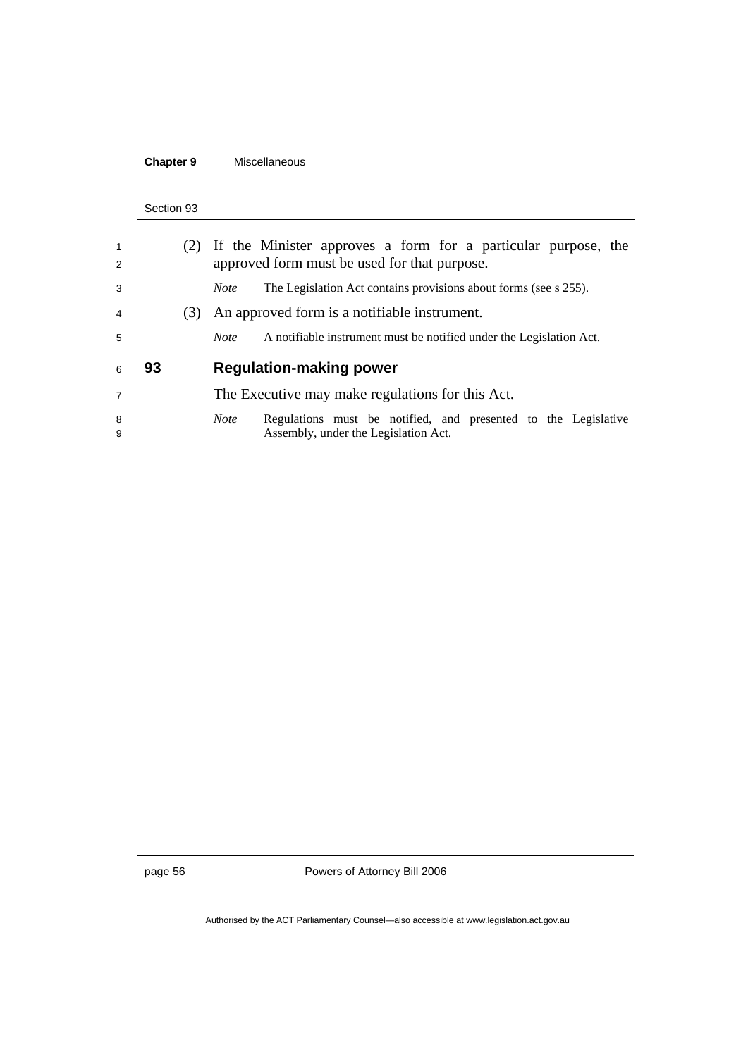## **Chapter 9** Miscellaneous

#### Section 93

| $\mathbf{1}$<br>2 |    |     | (2) If the Minister approves a form for a particular purpose, the<br>approved form must be used for that purpose. |
|-------------------|----|-----|-------------------------------------------------------------------------------------------------------------------|
| 3                 |    |     | The Legislation Act contains provisions about forms (see s 255).<br><i>Note</i>                                   |
| $\overline{4}$    |    | (3) | An approved form is a notifiable instrument.                                                                      |
| 5                 |    |     | A notifiable instrument must be notified under the Legislation Act.<br><b>Note</b>                                |
|                   |    |     |                                                                                                                   |
| 6                 | 93 |     | <b>Regulation-making power</b>                                                                                    |
| $\overline{7}$    |    |     | The Executive may make regulations for this Act.                                                                  |

page 56 Powers of Attorney Bill 2006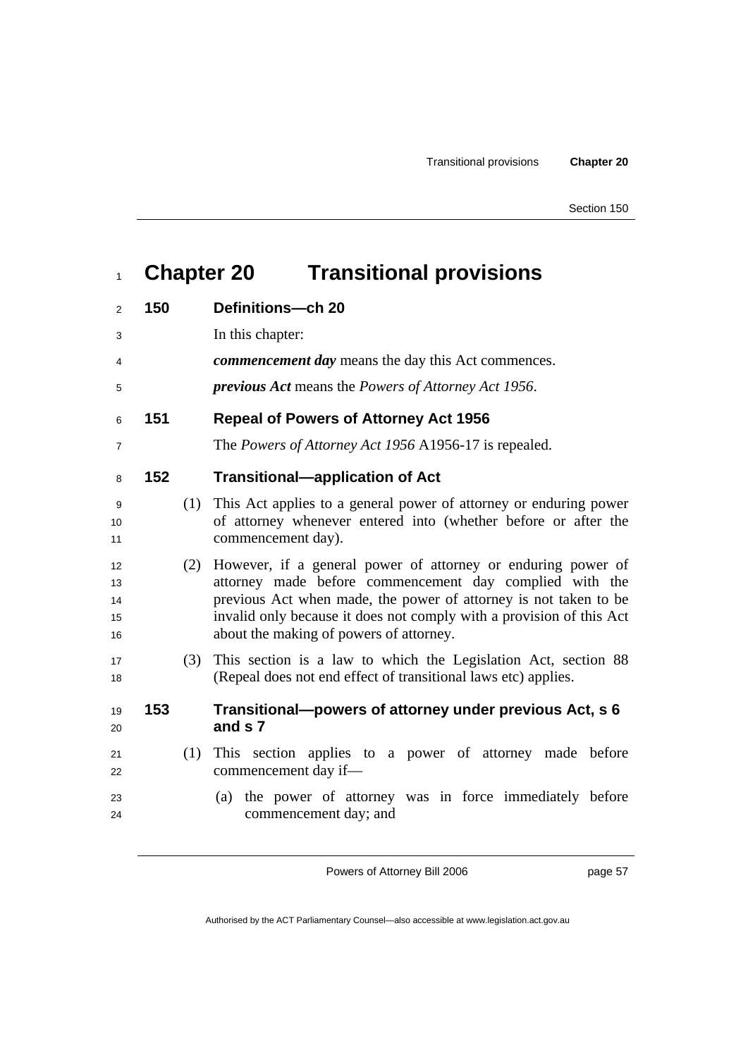# **Chapter 20 Transitional provisions**

| $\overline{2}$             | 150 |     | Definitions-ch 20                                                                                                                                                                                                                                                                                              |
|----------------------------|-----|-----|----------------------------------------------------------------------------------------------------------------------------------------------------------------------------------------------------------------------------------------------------------------------------------------------------------------|
| 3                          |     |     | In this chapter:                                                                                                                                                                                                                                                                                               |
| 4                          |     |     | <i>commencement day</i> means the day this Act commences.                                                                                                                                                                                                                                                      |
| 5                          |     |     | <i>previous Act</i> means the <i>Powers of Attorney Act 1956</i> .                                                                                                                                                                                                                                             |
| 6                          | 151 |     | <b>Repeal of Powers of Attorney Act 1956</b>                                                                                                                                                                                                                                                                   |
| $\overline{7}$             |     |     | The Powers of Attorney Act 1956 A1956-17 is repealed.                                                                                                                                                                                                                                                          |
| 8                          | 152 |     | <b>Transitional-application of Act</b>                                                                                                                                                                                                                                                                         |
| 9<br>10<br>11              |     | (1) | This Act applies to a general power of attorney or enduring power<br>of attorney whenever entered into (whether before or after the<br>commencement day).                                                                                                                                                      |
| 12<br>13<br>14<br>15<br>16 |     | (2) | However, if a general power of attorney or enduring power of<br>attorney made before commencement day complied with the<br>previous Act when made, the power of attorney is not taken to be<br>invalid only because it does not comply with a provision of this Act<br>about the making of powers of attorney. |
| 17<br>18                   |     | (3) | This section is a law to which the Legislation Act, section 88<br>(Repeal does not end effect of transitional laws etc) applies.                                                                                                                                                                               |
| 19<br>20                   | 153 |     | Transitional-powers of attorney under previous Act, s 6<br>and s 7                                                                                                                                                                                                                                             |
| 21<br>22                   |     | (1) | This section applies to a power of attorney made before<br>commencement day if-                                                                                                                                                                                                                                |
| 23<br>24                   |     |     | the power of attorney was in force immediately before<br>(a)<br>commencement day; and                                                                                                                                                                                                                          |
|                            |     |     |                                                                                                                                                                                                                                                                                                                |

Powers of Attorney Bill 2006

page 57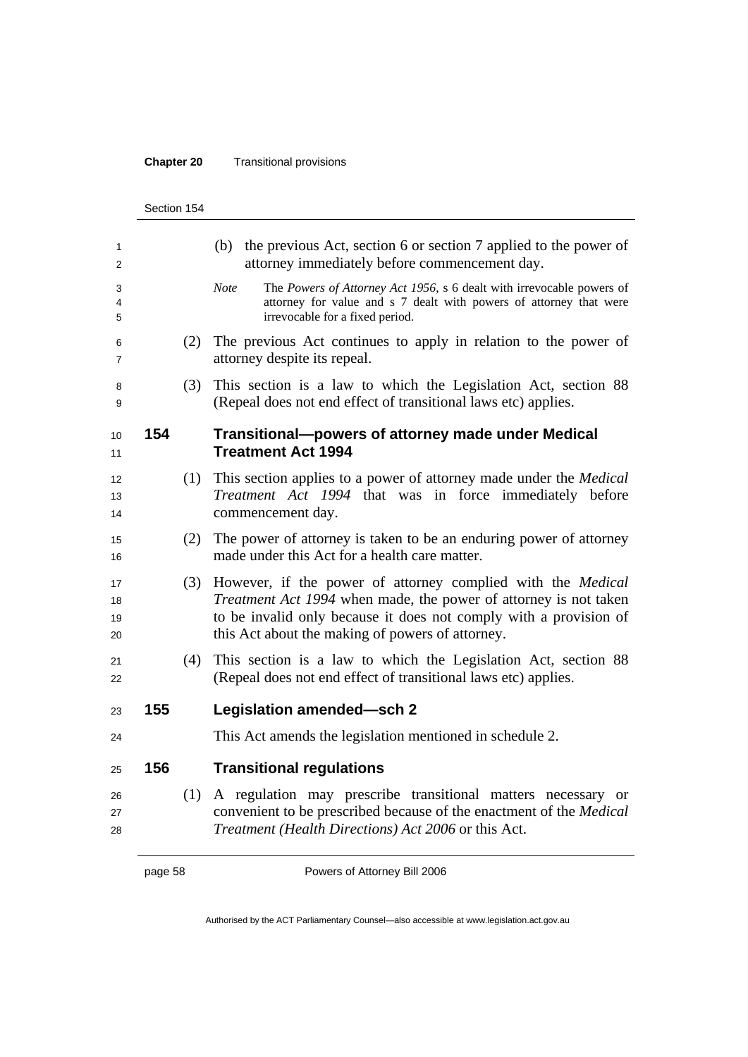#### **Chapter 20** Transitional provisions

|                      | Section 154 |     |                                                                                                                                                                                                                                                                 |
|----------------------|-------------|-----|-----------------------------------------------------------------------------------------------------------------------------------------------------------------------------------------------------------------------------------------------------------------|
| 1<br>2               |             |     | (b) the previous Act, section 6 or section 7 applied to the power of<br>attorney immediately before commencement day.                                                                                                                                           |
| 3<br>4<br>5          |             |     | <b>Note</b><br>The Powers of Attorney Act 1956, s 6 dealt with irrevocable powers of<br>attorney for value and s 7 dealt with powers of attorney that were<br>irrevocable for a fixed period.                                                                   |
| 6<br>7               |             | (2) | The previous Act continues to apply in relation to the power of<br>attorney despite its repeal.                                                                                                                                                                 |
| 8<br>9               |             | (3) | This section is a law to which the Legislation Act, section 88<br>(Repeal does not end effect of transitional laws etc) applies.                                                                                                                                |
| 10<br>11             | 154         |     | Transitional-powers of attorney made under Medical<br><b>Treatment Act 1994</b>                                                                                                                                                                                 |
| 12<br>13<br>14       |             | (1) | This section applies to a power of attorney made under the <i>Medical</i><br>Treatment Act 1994 that was in force immediately before<br>commencement day.                                                                                                       |
| 15<br>16             |             | (2) | The power of attorney is taken to be an enduring power of attorney<br>made under this Act for a health care matter.                                                                                                                                             |
| 17<br>18<br>19<br>20 |             | (3) | However, if the power of attorney complied with the <i>Medical</i><br>Treatment Act 1994 when made, the power of attorney is not taken<br>to be invalid only because it does not comply with a provision of<br>this Act about the making of powers of attorney. |
| 22                   |             | (4) | This section is a law to which the Legislation Act, section 88<br>(Repeal does not end effect of transitional laws etc) applies.                                                                                                                                |
| 23                   | 155         |     | Legislation amended-sch 2                                                                                                                                                                                                                                       |
| 24                   |             |     | This Act amends the legislation mentioned in schedule 2.                                                                                                                                                                                                        |
| 25                   | 156         |     | <b>Transitional regulations</b>                                                                                                                                                                                                                                 |
| 26<br>27<br>28       |             | (1) | A regulation may prescribe transitional matters necessary or<br>convenient to be prescribed because of the enactment of the Medical<br>Treatment (Health Directions) Act 2006 or this Act.                                                                      |
|                      |             |     |                                                                                                                                                                                                                                                                 |

page 58 Powers of Attorney Bill 2006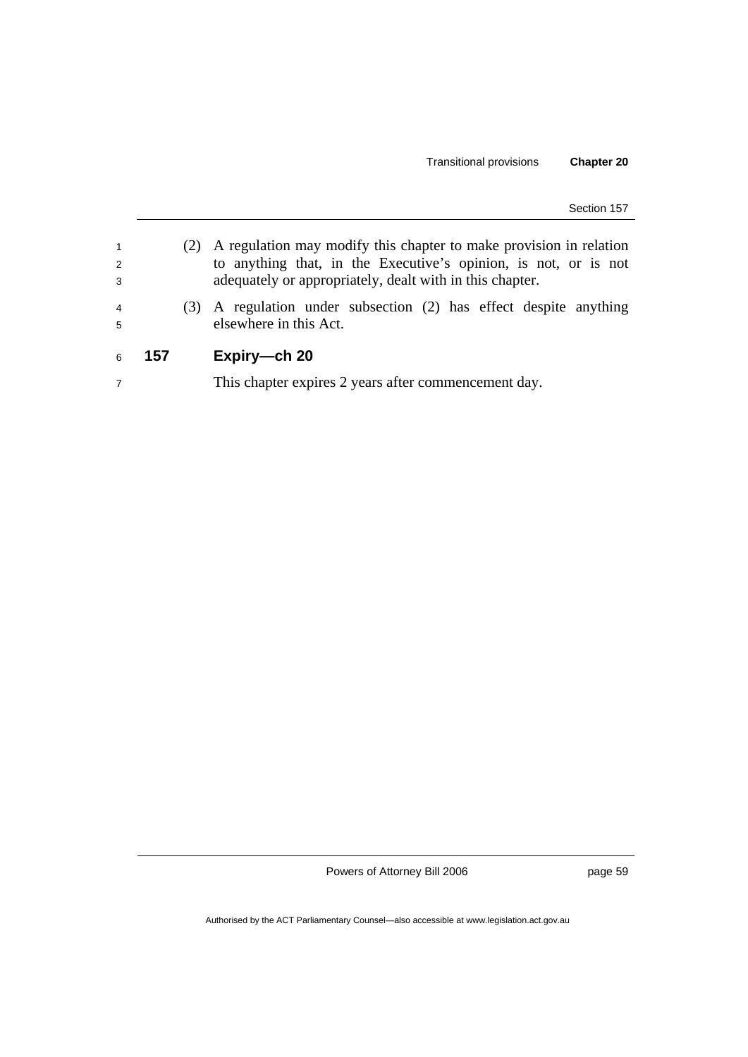| $\overline{1}$<br>2 |     | A regulation may modify this chapter to make provision in relation<br>to anything that, in the Executive's opinion, is not, or is not |
|---------------------|-----|---------------------------------------------------------------------------------------------------------------------------------------|
| 3                   |     | adequately or appropriately, dealt with in this chapter.                                                                              |
| $\overline{4}$<br>5 |     | (3) A regulation under subsection (2) has effect despite anything<br>elsewhere in this Act.                                           |
| 6                   | 157 | Expiry-ch 20                                                                                                                          |
| $\overline{7}$      |     | This chapter expires 2 years after commencement day.                                                                                  |

page 59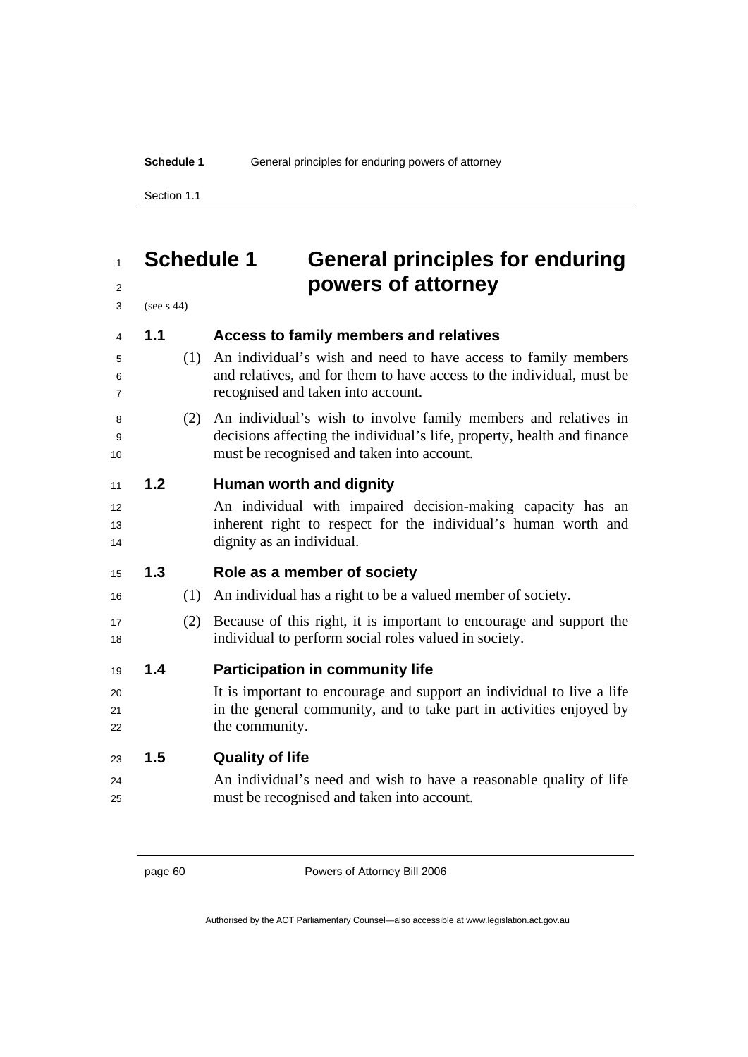#### **Schedule 1** General principles for enduring powers of attorney

Section 1.1

# **Schedule 1 General principles for enduring powers of attorney**

(see s 44)

| $\overline{4}$ | 1.1 |     | Access to family members and relatives                                                                                                                                                   |
|----------------|-----|-----|------------------------------------------------------------------------------------------------------------------------------------------------------------------------------------------|
| 5<br>6<br>7    |     | (1) | An individual's wish and need to have access to family members<br>and relatives, and for them to have access to the individual, must be<br>recognised and taken into account.            |
|                |     |     |                                                                                                                                                                                          |
| 8<br>9<br>10   |     | (2) | An individual's wish to involve family members and relatives in<br>decisions affecting the individual's life, property, health and finance<br>must be recognised and taken into account. |
|                |     |     |                                                                                                                                                                                          |
| 11             | 1.2 |     | Human worth and dignity                                                                                                                                                                  |
| 12             |     |     | An individual with impaired decision-making capacity has an                                                                                                                              |
| 13             |     |     | inherent right to respect for the individual's human worth and                                                                                                                           |
| 14             |     |     | dignity as an individual.                                                                                                                                                                |
| 15             | 1.3 |     | Role as a member of society                                                                                                                                                              |
| 16             |     | (1) | An individual has a right to be a valued member of society.                                                                                                                              |
| 17<br>18       |     | (2) | Because of this right, it is important to encourage and support the<br>individual to perform social roles valued in society.                                                             |
| 19             | 1.4 |     | <b>Participation in community life</b>                                                                                                                                                   |
| 20             |     |     | It is important to encourage and support an individual to live a life                                                                                                                    |
| 21             |     |     | in the general community, and to take part in activities enjoyed by                                                                                                                      |
| 22             |     |     | the community.                                                                                                                                                                           |
| 23             | 1.5 |     | <b>Quality of life</b>                                                                                                                                                                   |
| 24             |     |     | An individual's need and wish to have a reasonable quality of life                                                                                                                       |
| 25             |     |     | must be recognised and taken into account.                                                                                                                                               |
|                |     |     |                                                                                                                                                                                          |

page 60 Powers of Attorney Bill 2006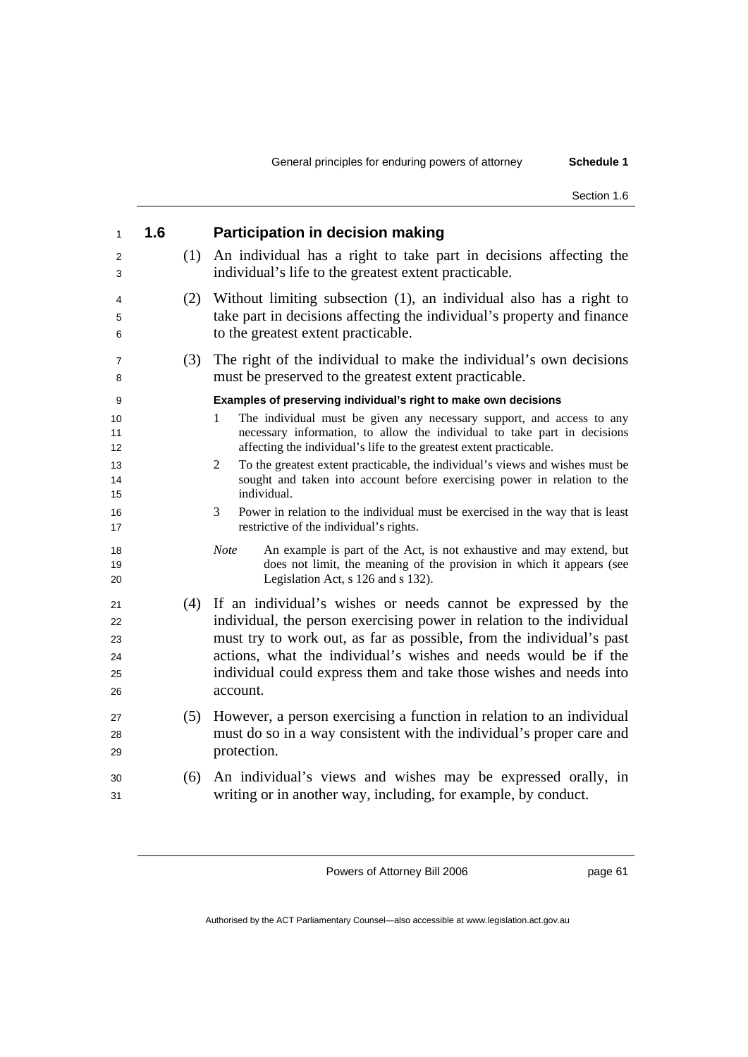| $\mathbf{1}$                     | 1.6 |     | <b>Participation in decision making</b>                                                                                                                                                                                                                                                                                                                                 |
|----------------------------------|-----|-----|-------------------------------------------------------------------------------------------------------------------------------------------------------------------------------------------------------------------------------------------------------------------------------------------------------------------------------------------------------------------------|
| 2<br>3                           |     | (1) | An individual has a right to take part in decisions affecting the<br>individual's life to the greatest extent practicable.                                                                                                                                                                                                                                              |
| 4<br>5<br>6                      |     | (2) | Without limiting subsection (1), an individual also has a right to<br>take part in decisions affecting the individual's property and finance<br>to the greatest extent practicable.                                                                                                                                                                                     |
| 7<br>8                           |     | (3) | The right of the individual to make the individual's own decisions<br>must be preserved to the greatest extent practicable.                                                                                                                                                                                                                                             |
| 9                                |     |     | Examples of preserving individual's right to make own decisions                                                                                                                                                                                                                                                                                                         |
| 10<br>11<br>12                   |     |     | The individual must be given any necessary support, and access to any<br>1<br>necessary information, to allow the individual to take part in decisions<br>affecting the individual's life to the greatest extent practicable.                                                                                                                                           |
| 13<br>14<br>15                   |     |     | To the greatest extent practicable, the individual's views and wishes must be<br>2<br>sought and taken into account before exercising power in relation to the<br>individual.                                                                                                                                                                                           |
| 16<br>17                         |     |     | Power in relation to the individual must be exercised in the way that is least<br>3<br>restrictive of the individual's rights.                                                                                                                                                                                                                                          |
| 18<br>19<br>20                   |     |     | An example is part of the Act, is not exhaustive and may extend, but<br><b>Note</b><br>does not limit, the meaning of the provision in which it appears (see<br>Legislation Act, s 126 and s 132).                                                                                                                                                                      |
| 21<br>22<br>23<br>24<br>25<br>26 |     |     | (4) If an individual's wishes or needs cannot be expressed by the<br>individual, the person exercising power in relation to the individual<br>must try to work out, as far as possible, from the individual's past<br>actions, what the individual's wishes and needs would be if the<br>individual could express them and take those wishes and needs into<br>account. |
| 27<br>28<br>29                   |     | (5) | However, a person exercising a function in relation to an individual<br>must do so in a way consistent with the individual's proper care and<br>protection.                                                                                                                                                                                                             |
| 30<br>31                         |     | (6) | An individual's views and wishes may be expressed orally, in<br>writing or in another way, including, for example, by conduct.                                                                                                                                                                                                                                          |

page 61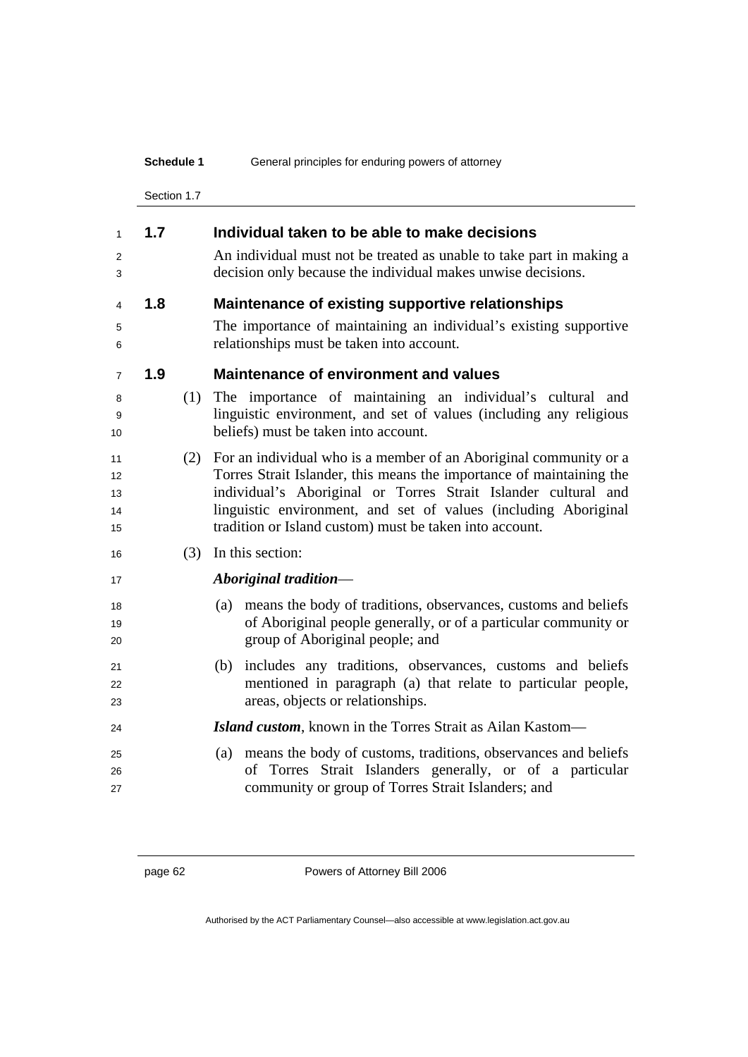|                            | Schedule 1  |     | General principles for enduring powers of attorney                                                                                                                                                                                                                                                                                        |  |  |
|----------------------------|-------------|-----|-------------------------------------------------------------------------------------------------------------------------------------------------------------------------------------------------------------------------------------------------------------------------------------------------------------------------------------------|--|--|
|                            | Section 1.7 |     |                                                                                                                                                                                                                                                                                                                                           |  |  |
| 1                          | 1.7         |     | Individual taken to be able to make decisions                                                                                                                                                                                                                                                                                             |  |  |
| 2<br>3                     |             |     | An individual must not be treated as unable to take part in making a<br>decision only because the individual makes unwise decisions.                                                                                                                                                                                                      |  |  |
| 4                          | 1.8         |     | Maintenance of existing supportive relationships                                                                                                                                                                                                                                                                                          |  |  |
| 5<br>6                     |             |     | The importance of maintaining an individual's existing supportive<br>relationships must be taken into account.                                                                                                                                                                                                                            |  |  |
| 7                          | 1.9         |     | <b>Maintenance of environment and values</b>                                                                                                                                                                                                                                                                                              |  |  |
| 8<br>9<br>10               |             | (1) | The importance of maintaining an individual's cultural and<br>linguistic environment, and set of values (including any religious<br>beliefs) must be taken into account.                                                                                                                                                                  |  |  |
| 11<br>12<br>13<br>14<br>15 |             | (2) | For an individual who is a member of an Aboriginal community or a<br>Torres Strait Islander, this means the importance of maintaining the<br>individual's Aboriginal or Torres Strait Islander cultural and<br>linguistic environment, and set of values (including Aboriginal<br>tradition or Island custom) must be taken into account. |  |  |
| 16                         |             | (3) | In this section:                                                                                                                                                                                                                                                                                                                          |  |  |
| 17                         |             |     | Aboriginal tradition-                                                                                                                                                                                                                                                                                                                     |  |  |
| 18<br>19<br>20             |             |     | means the body of traditions, observances, customs and beliefs<br>(a)<br>of Aboriginal people generally, or of a particular community or<br>group of Aboriginal people; and                                                                                                                                                               |  |  |
| 21<br>22<br>23             |             |     | includes any traditions, observances, customs and beliefs<br>(b)<br>mentioned in paragraph (a) that relate to particular people,<br>areas, objects or relationships.                                                                                                                                                                      |  |  |
| 24                         |             |     | Island custom, known in the Torres Strait as Ailan Kastom-                                                                                                                                                                                                                                                                                |  |  |
| 25<br>26<br>27             |             |     | means the body of customs, traditions, observances and beliefs<br>(a)<br>of Torres Strait Islanders generally, or of a particular<br>community or group of Torres Strait Islanders; and                                                                                                                                                   |  |  |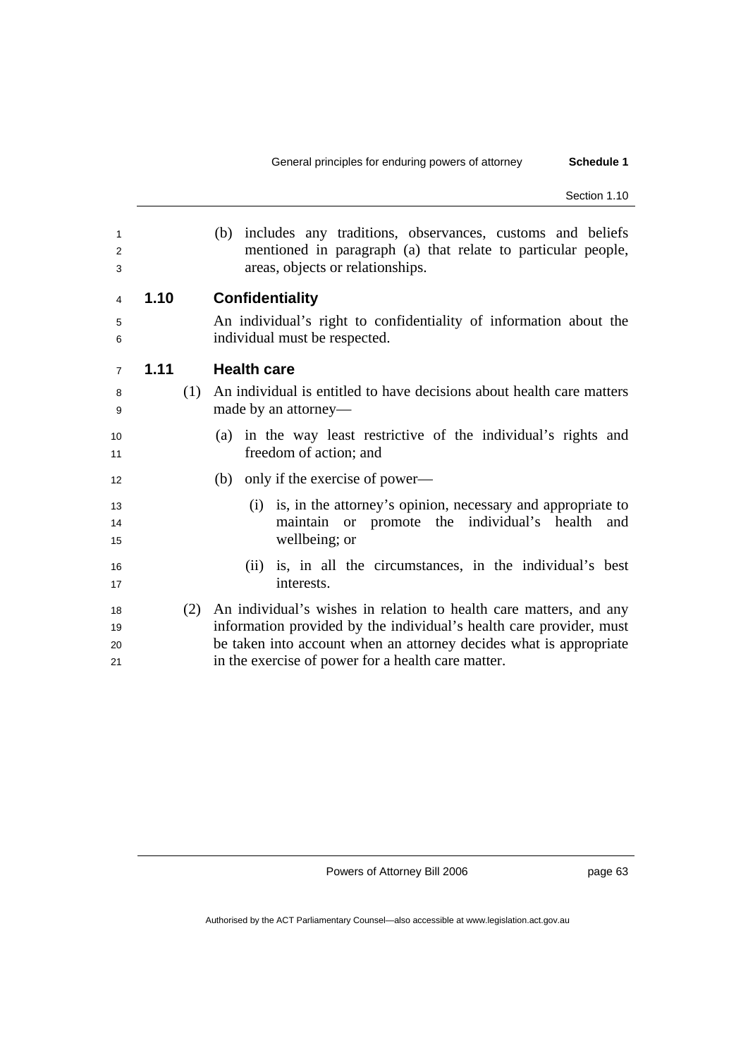| 1<br>2<br>3          |      | includes any traditions, observances, customs and beliefs<br>(b)<br>mentioned in paragraph (a) that relate to particular people,<br>areas, objects or relationships.                                                                                                  |
|----------------------|------|-----------------------------------------------------------------------------------------------------------------------------------------------------------------------------------------------------------------------------------------------------------------------|
| 4                    | 1.10 | <b>Confidentiality</b>                                                                                                                                                                                                                                                |
| 5<br>6               |      | An individual's right to confidentiality of information about the<br>individual must be respected.                                                                                                                                                                    |
| $\overline{7}$       | 1.11 | <b>Health care</b>                                                                                                                                                                                                                                                    |
| 8<br>9               | (1)  | An individual is entitled to have decisions about health care matters<br>made by an attorney—                                                                                                                                                                         |
| 10<br>11             |      | (a) in the way least restrictive of the individual's rights and<br>freedom of action; and                                                                                                                                                                             |
| 12                   |      | only if the exercise of power—<br>(b)                                                                                                                                                                                                                                 |
| 13<br>14<br>15       |      | is, in the attorney's opinion, necessary and appropriate to<br>(i)<br>maintain or promote the individual's health and<br>wellbeing; or                                                                                                                                |
| 16<br>17             |      | is, in all the circumstances, in the individual's best<br>(11)<br>interests.                                                                                                                                                                                          |
| 18<br>19<br>20<br>21 | (2)  | An individual's wishes in relation to health care matters, and any<br>information provided by the individual's health care provider, must<br>be taken into account when an attorney decides what is appropriate<br>in the exercise of power for a health care matter. |

page 63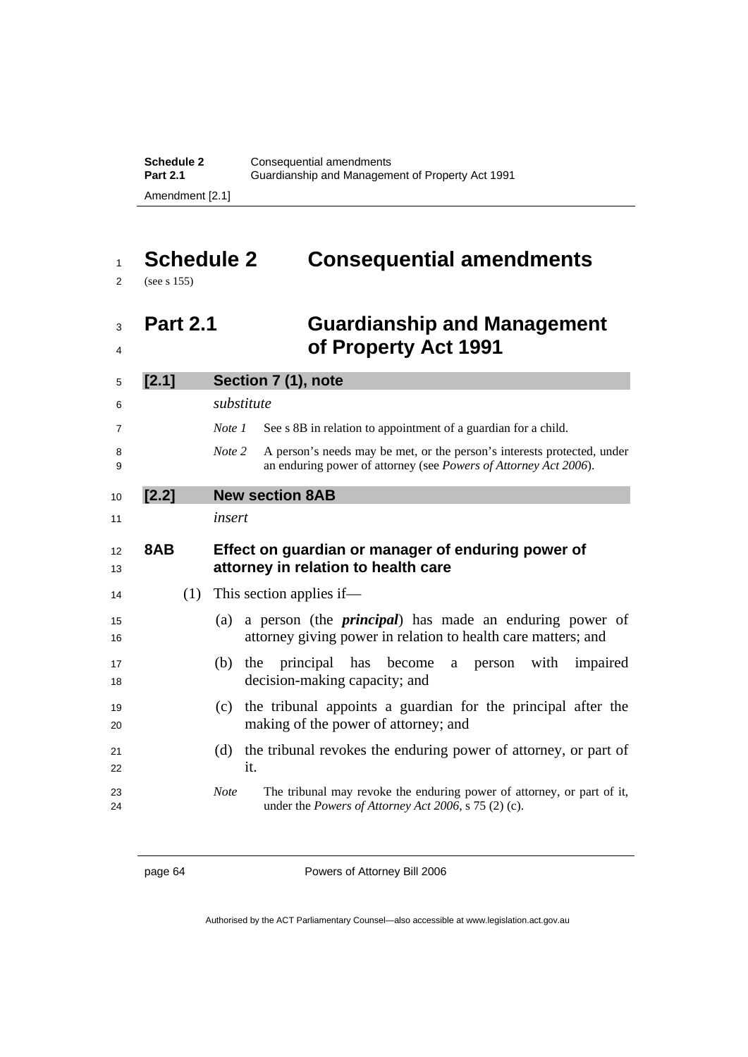**Schedule 2 Consequential amendments** Part 2.1 **Guardianship and Management of Property Act 1991** Amendment [2.1]

# **Schedule 2 Consequential amendments**

(see s 155)

## **Part 2.1 Guardianship and Management of Property Act 1991**

| [2.1] | Section 7 (1), note                                                                                                                                   |
|-------|-------------------------------------------------------------------------------------------------------------------------------------------------------|
|       | substitute                                                                                                                                            |
|       | Note 1<br>See s 8B in relation to appointment of a guardian for a child.                                                                              |
|       | Note 2<br>A person's needs may be met, or the person's interests protected, under<br>an enduring power of attorney (see Powers of Attorney Act 2006). |
| [2.2] | <b>New section 8AB</b>                                                                                                                                |
|       | insert                                                                                                                                                |
| 8AB   | Effect on guardian or manager of enduring power of<br>attorney in relation to health care                                                             |
|       | $(1)$ This section applies if—                                                                                                                        |
|       | a person (the <i>principal</i> ) has made an enduring power of<br>(a)<br>attorney giving power in relation to health care matters; and                |
|       | (b) the principal has become a person<br>with impaired<br>decision-making capacity; and                                                               |
|       | (c) the tribunal appoints a guardian for the principal after the<br>making of the power of attorney; and                                              |
|       | the tribunal revokes the enduring power of attorney, or part of<br>(d)<br>it.                                                                         |
|       | <b>Note</b><br>The tribunal may revoke the enduring power of attorney, or part of it,<br>under the Powers of Attorney Act 2006, s 75 (2) (c).         |

page 64 **Powers of Attorney Bill 2006**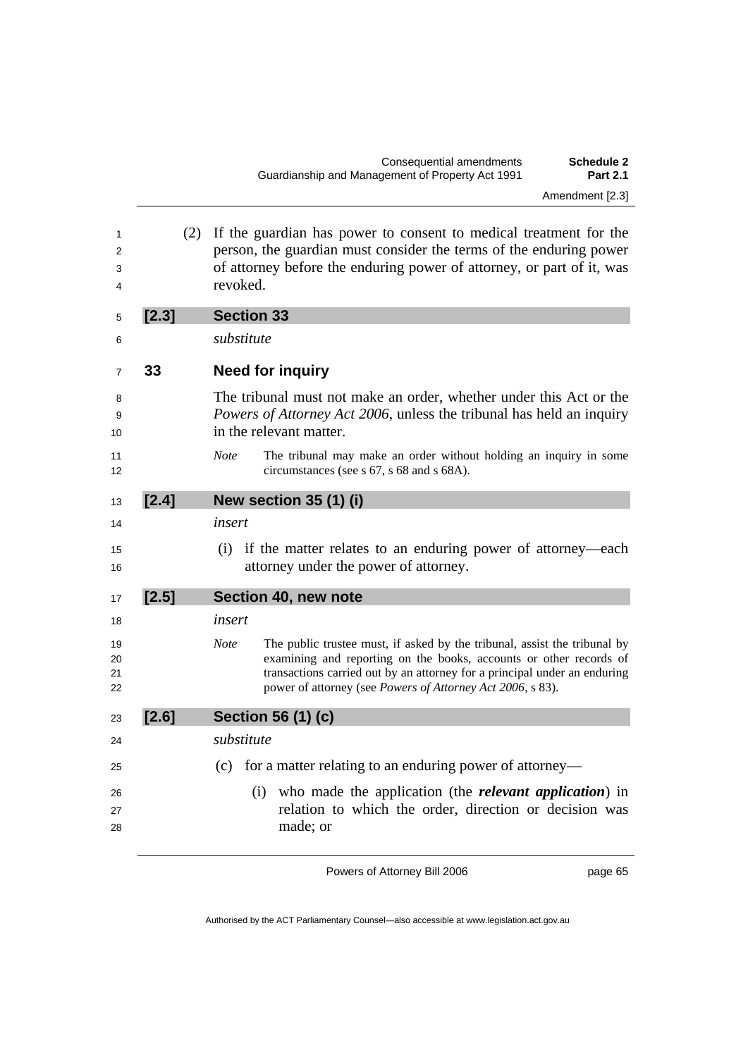| (2)   | If the guardian has power to consent to medical treatment for the<br>person, the guardian must consider the terms of the enduring power<br>of attorney before the enduring power of attorney, or part of it, was<br>revoked.                                                                              |
|-------|-----------------------------------------------------------------------------------------------------------------------------------------------------------------------------------------------------------------------------------------------------------------------------------------------------------|
| [2.3] | <b>Section 33</b>                                                                                                                                                                                                                                                                                         |
|       | substitute                                                                                                                                                                                                                                                                                                |
| 33    | <b>Need for inquiry</b>                                                                                                                                                                                                                                                                                   |
|       | The tribunal must not make an order, whether under this Act or the<br>Powers of Attorney Act 2006, unless the tribunal has held an inquiry<br>in the relevant matter.                                                                                                                                     |
|       | <b>Note</b><br>The tribunal may make an order without holding an inquiry in some<br>circumstances (see s 67, s 68 and s 68A).                                                                                                                                                                             |
| [2.4] | New section 35 (1) (i)                                                                                                                                                                                                                                                                                    |
|       | insert                                                                                                                                                                                                                                                                                                    |
|       | if the matter relates to an enduring power of attorney—each<br>(i)<br>attorney under the power of attorney.                                                                                                                                                                                               |
| [2.5] | Section 40, new note                                                                                                                                                                                                                                                                                      |
|       | insert                                                                                                                                                                                                                                                                                                    |
|       | <b>Note</b><br>The public trustee must, if asked by the tribunal, assist the tribunal by<br>examining and reporting on the books, accounts or other records of<br>transactions carried out by an attorney for a principal under an enduring<br>power of attorney (see Powers of Attorney Act 2006, s 83). |
| [2.6] | Section 56 (1) (c)                                                                                                                                                                                                                                                                                        |
|       | substitute                                                                                                                                                                                                                                                                                                |
|       | for a matter relating to an enduring power of attorney—<br>(c)                                                                                                                                                                                                                                            |
|       | who made the application (the <i>relevant application</i> ) in<br>(i)<br>relation to which the order, direction or decision was<br>made; or                                                                                                                                                               |
|       |                                                                                                                                                                                                                                                                                                           |

page 65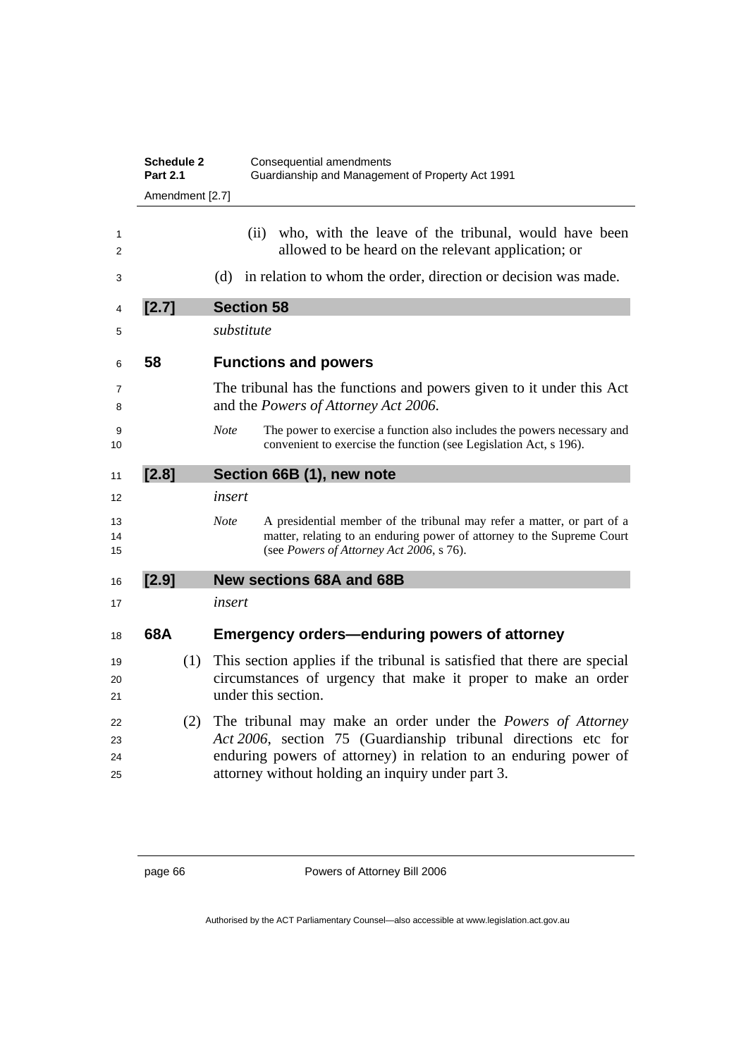|                      | <b>Schedule 2</b><br><b>Part 2.1</b> | Consequential amendments<br>Guardianship and Management of Property Act 1991                                                                                                                                                                                  |
|----------------------|--------------------------------------|---------------------------------------------------------------------------------------------------------------------------------------------------------------------------------------------------------------------------------------------------------------|
|                      | Amendment [2.7]                      |                                                                                                                                                                                                                                                               |
| 1<br>2               |                                      | who, with the leave of the tribunal, would have been<br>(i)<br>allowed to be heard on the relevant application; or                                                                                                                                            |
| 3                    |                                      | in relation to whom the order, direction or decision was made.<br>(d)                                                                                                                                                                                         |
| 4                    | [2.7]                                | <b>Section 58</b>                                                                                                                                                                                                                                             |
| 5                    |                                      | substitute                                                                                                                                                                                                                                                    |
| 6                    | 58                                   | <b>Functions and powers</b>                                                                                                                                                                                                                                   |
| 7<br>8               |                                      | The tribunal has the functions and powers given to it under this Act<br>and the Powers of Attorney Act 2006.                                                                                                                                                  |
| 9<br>10              |                                      | <b>Note</b><br>The power to exercise a function also includes the powers necessary and<br>convenient to exercise the function (see Legislation Act, s 196).                                                                                                   |
| 11                   | [2.8]                                | Section 66B (1), new note                                                                                                                                                                                                                                     |
| 12                   |                                      | insert                                                                                                                                                                                                                                                        |
| 13<br>14<br>15       |                                      | <b>Note</b><br>A presidential member of the tribunal may refer a matter, or part of a<br>matter, relating to an enduring power of attorney to the Supreme Court<br>(see Powers of Attorney Act 2006, s 76).                                                   |
| 16                   | [2.9]                                | <b>New sections 68A and 68B</b>                                                                                                                                                                                                                               |
| 17                   |                                      | insert                                                                                                                                                                                                                                                        |
| 18                   | 68A                                  | <b>Emergency orders-enduring powers of attorney</b>                                                                                                                                                                                                           |
| 19<br>20<br>21       | (1)                                  | This section applies if the tribunal is satisfied that there are special<br>circumstances of urgency that make it proper to make an order<br>under this section.                                                                                              |
| 22<br>23<br>24<br>25 | (2)                                  | The tribunal may make an order under the <i>Powers of Attorney</i><br>Act 2006, section 75 (Guardianship tribunal directions etc for<br>enduring powers of attorney) in relation to an enduring power of<br>attorney without holding an inquiry under part 3. |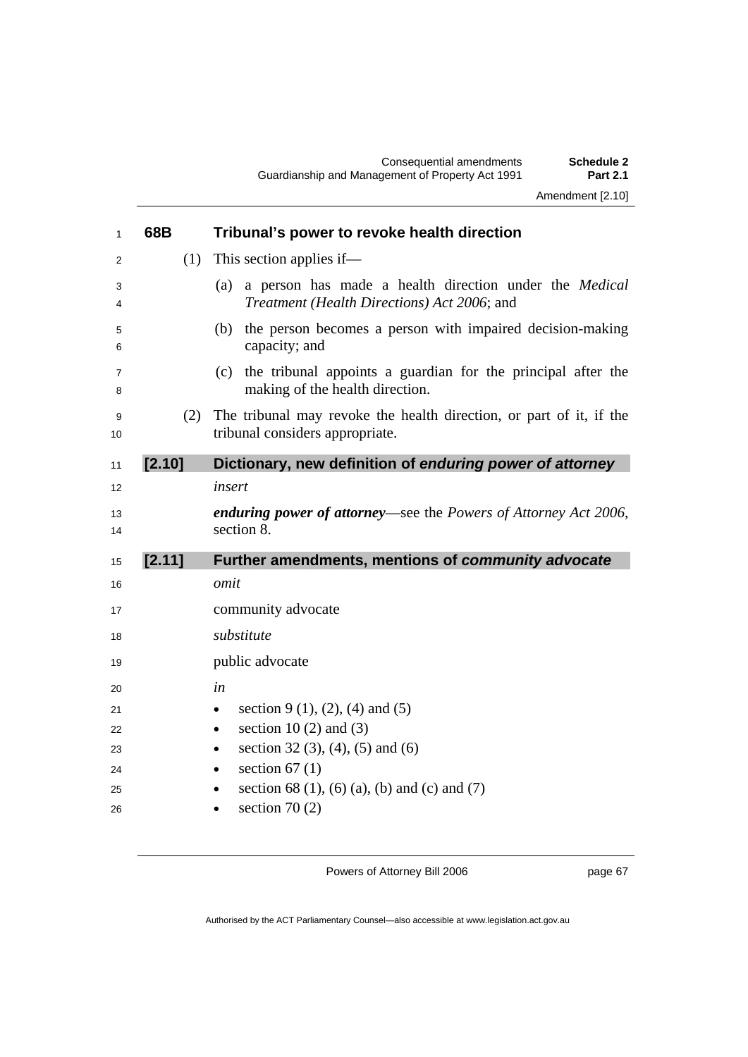| $\mathbf{1}$        | 68B    | Tribunal's power to revoke health direction                                                                         |
|---------------------|--------|---------------------------------------------------------------------------------------------------------------------|
| 2                   | (1)    | This section applies if—                                                                                            |
| 3<br>4              |        | a person has made a health direction under the <i>Medical</i><br>(a)<br>Treatment (Health Directions) Act 2006; and |
| 5<br>6              |        | the person becomes a person with impaired decision-making<br>(b)<br>capacity; and                                   |
| $\overline{7}$<br>8 |        | (c) the tribunal appoints a guardian for the principal after the<br>making of the health direction.                 |
| 9<br>10             | (2)    | The tribunal may revoke the health direction, or part of it, if the<br>tribunal considers appropriate.              |
| 11                  | [2.10] | Dictionary, new definition of enduring power of attorney                                                            |
| 12                  |        | insert                                                                                                              |
|                     |        |                                                                                                                     |
| 13<br>14            |        | enduring power of attorney-see the Powers of Attorney Act 2006,<br>section 8.                                       |
| 15                  | [2.11] | Further amendments, mentions of community advocate                                                                  |
| 16                  |        | omit                                                                                                                |
| 17                  |        | community advocate                                                                                                  |
| 18                  |        | substitute                                                                                                          |
| 19                  |        | public advocate                                                                                                     |
| 20                  |        | in                                                                                                                  |
| 21                  |        | section 9 (1), (2), (4) and (5)<br>$\bullet$                                                                        |
| 22                  |        | section 10 $(2)$ and $(3)$<br>$\bullet$                                                                             |
| 23                  |        | section 32 $(3)$ , $(4)$ , $(5)$ and $(6)$<br>$\bullet$                                                             |
| 24<br>25            |        | section $67(1)$<br>$\bullet$<br>section 68 (1), (6) (a), (b) and (c) and (7)<br>$\bullet$                           |

page 67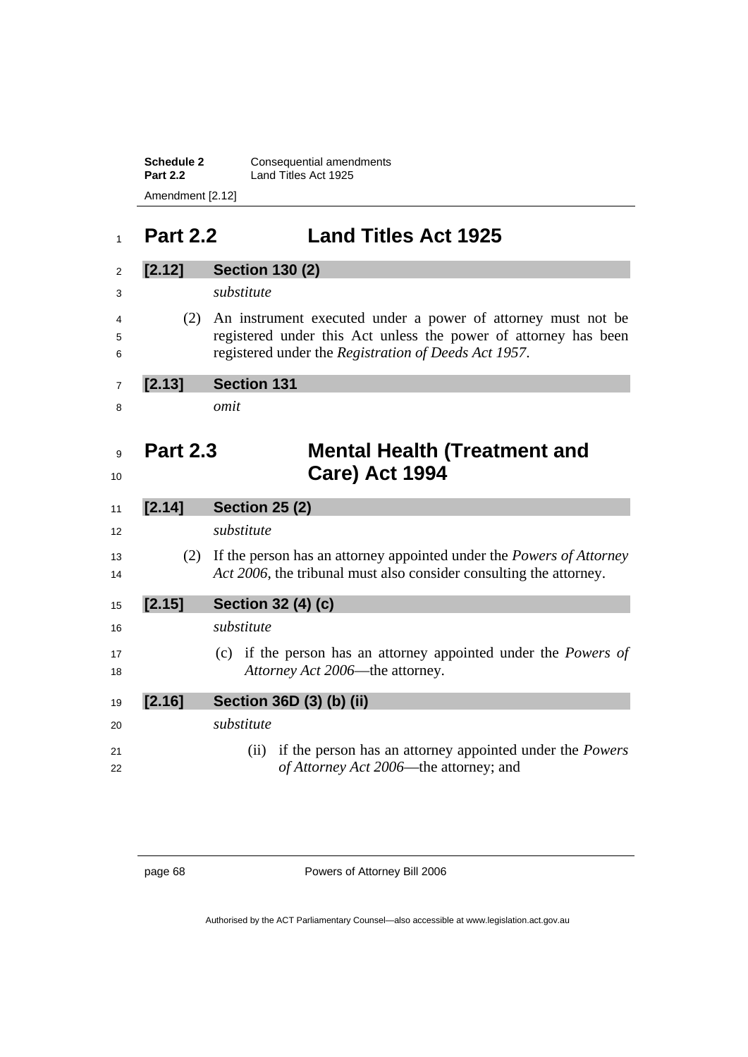**Schedule 2 Consequential amendments Part 2.2** Land Titles Act 1925 Amendment [2.12]

# **Part 2.2 Land Titles Act 1925**

| [2.12]          | <b>Section 130 (2)</b>                                                                                                                                                                  |
|-----------------|-----------------------------------------------------------------------------------------------------------------------------------------------------------------------------------------|
|                 | substitute                                                                                                                                                                              |
| (2)             | An instrument executed under a power of attorney must not be<br>registered under this Act unless the power of attorney has been<br>registered under the Registration of Deeds Act 1957. |
| [2.13]          | <b>Section 131</b>                                                                                                                                                                      |
|                 | omit                                                                                                                                                                                    |
| <b>Part 2.3</b> | <b>Mental Health (Treatment and</b><br><b>Care) Act 1994</b>                                                                                                                            |
| [2.14]          | <b>Section 25 (2)</b>                                                                                                                                                                   |
|                 | substitute                                                                                                                                                                              |
| (2)             | If the person has an attorney appointed under the <i>Powers of Attorney</i><br>Act 2006, the tribunal must also consider consulting the attorney.                                       |
| [2.15]          | <b>Section 32 (4) (c)</b>                                                                                                                                                               |
|                 | substitute                                                                                                                                                                              |
|                 | (c) if the person has an attorney appointed under the <i>Powers of</i><br>Attorney Act 2006—the attorney.                                                                               |
|                 |                                                                                                                                                                                         |
| [2.16]          | Section 36D (3) (b) (ii)                                                                                                                                                                |
|                 | substitute                                                                                                                                                                              |

page 68 Powers of Attorney Bill 2006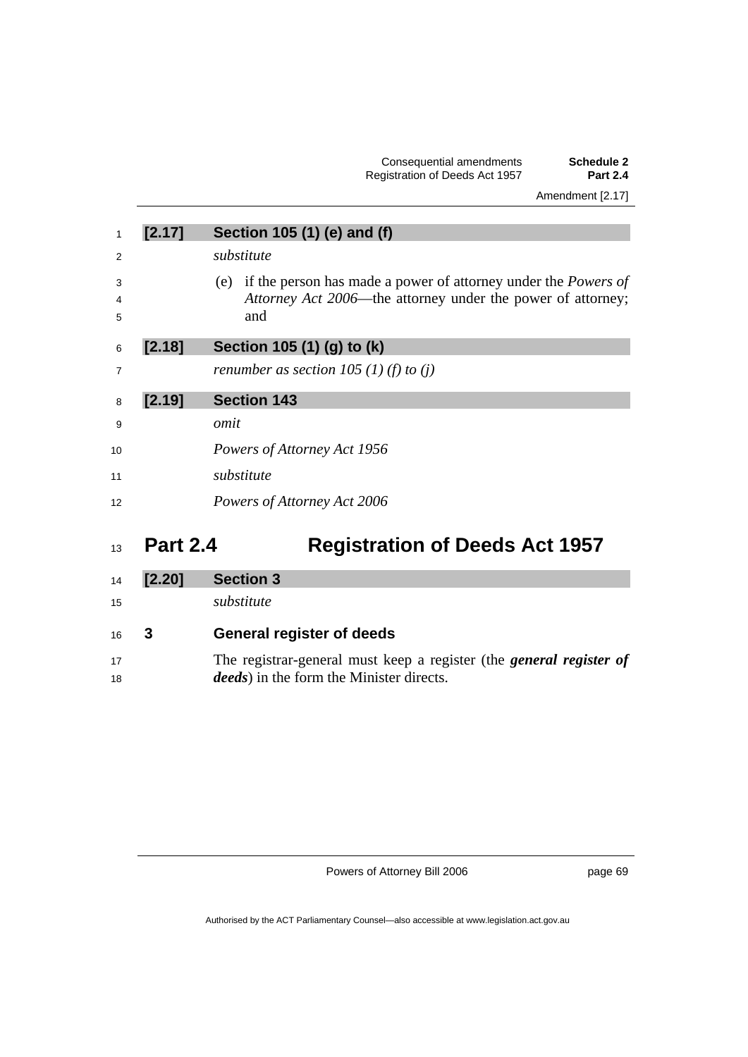#### Consequential amendments **Schedule 2**  Registration of Deeds Act 1957 **Part 2.4**  Amendment [2.17]

| 1              | [2.17] | Section 105 (1) (e) and (f)                                                                                                                     |
|----------------|--------|-------------------------------------------------------------------------------------------------------------------------------------------------|
| $\overline{2}$ |        | substitute                                                                                                                                      |
| 3<br>4<br>5    |        | (e) if the person has made a power of attorney under the <i>Powers of</i><br>Attorney Act 2006—the attorney under the power of attorney;<br>and |
| 6              | [2.18] | Section 105 (1) (g) to (k)                                                                                                                      |
| $\overline{7}$ |        | renumber as section 105 (1) (f) to (j)                                                                                                          |
| 8              | [2.19] | <b>Section 143</b>                                                                                                                              |
| 9              |        | omit                                                                                                                                            |
| 10             |        | Powers of Attorney Act 1956                                                                                                                     |
| 11             |        | substitute                                                                                                                                      |
| 12             |        | Powers of Attorney Act 2006                                                                                                                     |
|                |        |                                                                                                                                                 |

# **Part 2.4 Registration of Deeds Act 1957**

| 14 | [2.20] | <b>Section 3</b>                                                           |
|----|--------|----------------------------------------------------------------------------|
| 15 |        | substitute                                                                 |
| 16 | - 3    | <b>General register of deeds</b>                                           |
| 17 |        | The registrar-general must keep a register (the <i>general register of</i> |
| 18 |        | <i>deeds</i> ) in the form the Minister directs.                           |
|    |        |                                                                            |

Powers of Attorney Bill 2006

page 69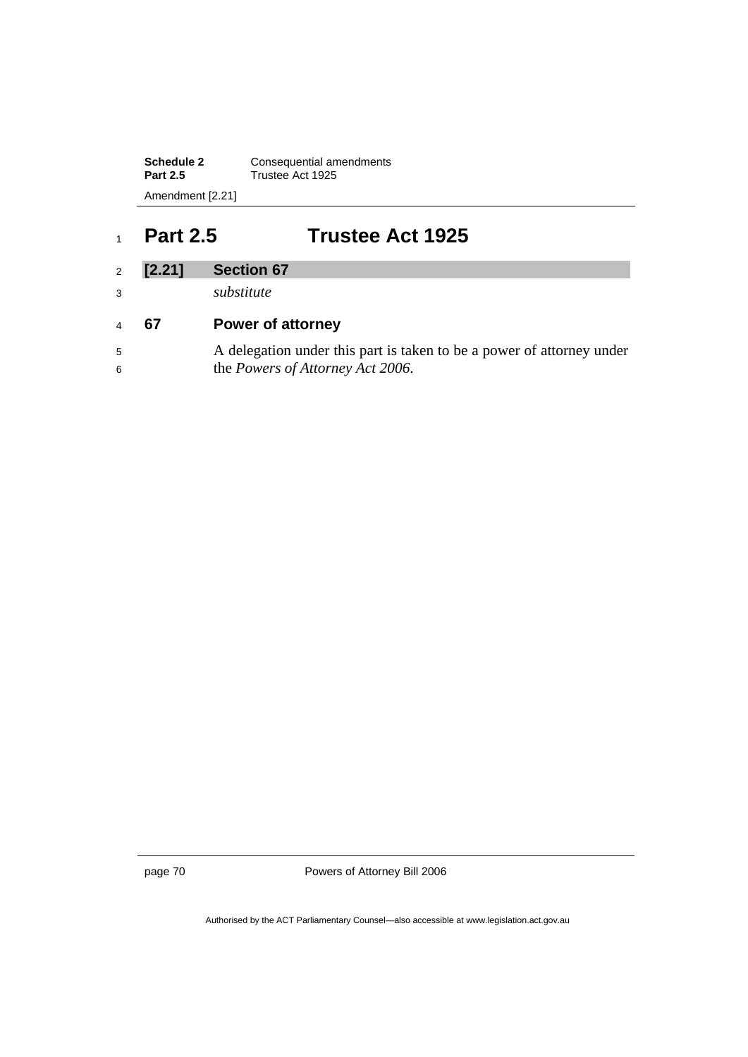**Schedule 2 Consequential amendments** Part 2.5 **Trustee Act 1925** Amendment [2.21]

### <sup>1</sup>**Part 2.5 Trustee Act 1925**

#### <sup>2</sup>**[2.21] Section 67**

<sup>3</sup>*substitute* 

### <sup>4</sup>**67 Power of attorney**

<sup>5</sup>A delegation under this part is taken to be a power of attorney under 6 the *Powers of Attorney Act 2006*.

page 70 Powers of Attorney Bill 2006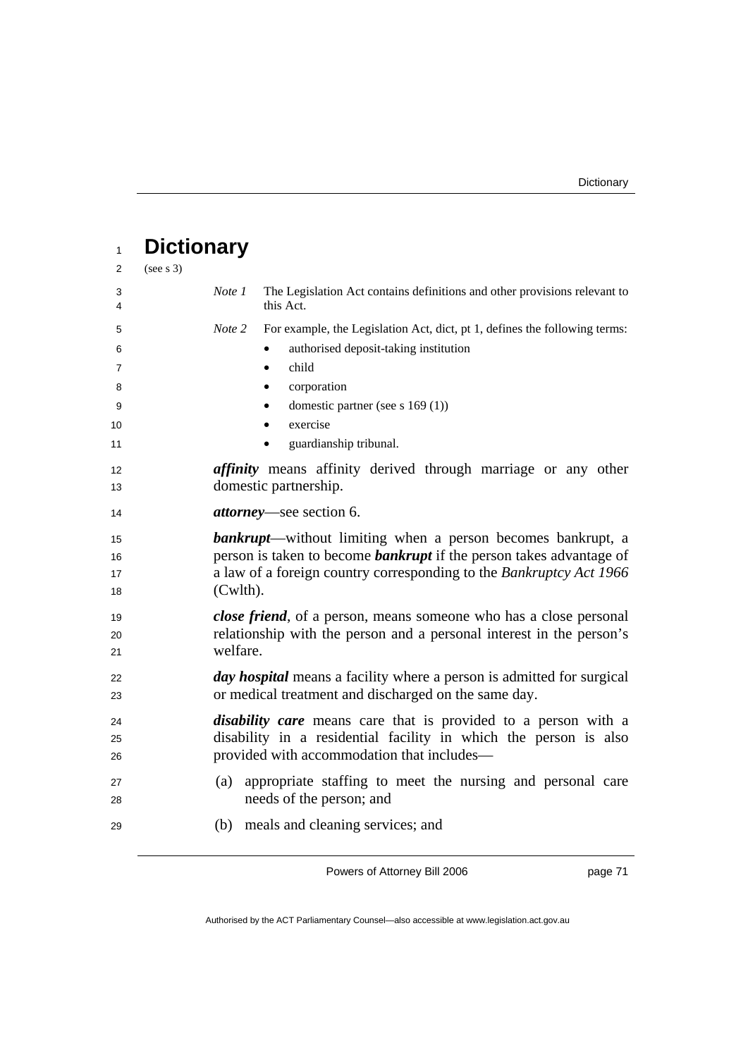| $\mathbf{1}$                | <b>Dictionary</b> |                                                                                                                                                                                                                          |
|-----------------------------|-------------------|--------------------------------------------------------------------------------------------------------------------------------------------------------------------------------------------------------------------------|
| 2                           | (see s 3)         |                                                                                                                                                                                                                          |
| 3<br>4                      | Note 1            | The Legislation Act contains definitions and other provisions relevant to<br>this Act.                                                                                                                                   |
| 5<br>6<br>7<br>8<br>9<br>10 | Note 2            | For example, the Legislation Act, dict, pt 1, defines the following terms:<br>authorised deposit-taking institution<br>child<br>$\bullet$<br>corporation<br>٠<br>domestic partner (see s $169(1)$ )<br>٠<br>exercise     |
| 11                          |                   | guardianship tribunal.                                                                                                                                                                                                   |
| 12<br>13                    |                   | <i>affinity</i> means affinity derived through marriage or any other<br>domestic partnership.                                                                                                                            |
| 14                          |                   | <i>attorney</i> —see section 6.                                                                                                                                                                                          |
| 15<br>16<br>17<br>18        | (Cwlth).          | <b>bankrupt</b> —without limiting when a person becomes bankrupt, a<br>person is taken to become <b>bankrupt</b> if the person takes advantage of<br>a law of a foreign country corresponding to the Bankruptcy Act 1966 |
| 19<br>20<br>21              | welfare.          | <i>close friend</i> , of a person, means someone who has a close personal<br>relationship with the person and a personal interest in the person's                                                                        |
| 22<br>23                    |                   | day hospital means a facility where a person is admitted for surgical<br>or medical treatment and discharged on the same day.                                                                                            |
| 24<br>25<br>26              |                   | <i>disability care</i> means care that is provided to a person with a<br>disability in a residential facility in which the person is also<br>provided with accommodation that includes—                                  |
| 27<br>28                    | (a)               | appropriate staffing to meet the nursing and personal care<br>needs of the person; and                                                                                                                                   |
| 29                          |                   | (b) meals and cleaning services; and                                                                                                                                                                                     |

page 71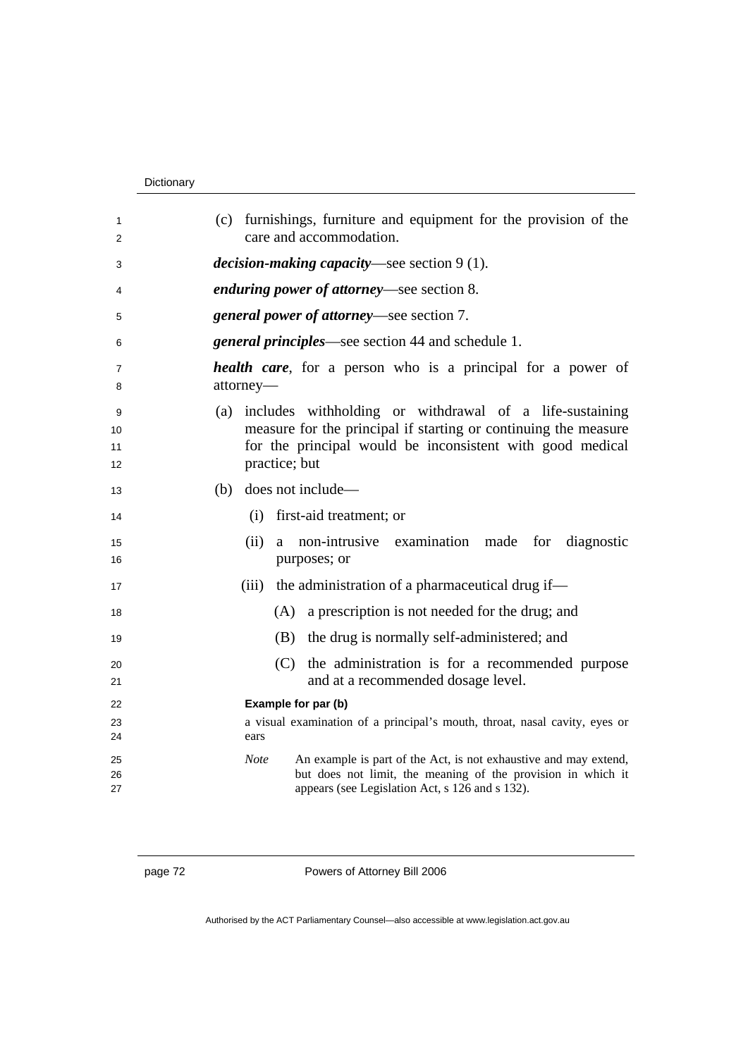#### Dictionary

| 1      | (c) furnishings, furniture and equipment for the provision of the                |
|--------|----------------------------------------------------------------------------------|
| 2      | care and accommodation.                                                          |
| 3      | <i>decision-making capacity</i> —see section $9(1)$ .                            |
| 4      | enduring power of attorney-see section 8.                                        |
| 5      | general power of attorney—see section 7.                                         |
| 6      | <i>general principles</i> —see section 44 and schedule 1.                        |
| 7<br>8 | <b>health care</b> , for a person who is a principal for a power of<br>attorney- |
| 9      | (a) includes withholding or withdrawal of a life-sustaining                      |
| 10     | measure for the principal if starting or continuing the measure                  |
| 11     | for the principal would be inconsistent with good medical                        |
| 12     | practice; but                                                                    |
| 13     | (b) does not include—                                                            |
| 14     | first-aid treatment; or<br>(i)                                                   |
| 15     | (ii)<br>non-intrusive examination made<br>for<br>diagnostic<br>a                 |
| 16     | purposes; or                                                                     |
| 17     | (iii) the administration of a pharmaceutical drug if—                            |
| 18     | (A) a prescription is not needed for the drug; and                               |
| 19     | the drug is normally self-administered; and<br>(B)                               |
| 20     | the administration is for a recommended purpose<br>(C)                           |
| 21     | and at a recommended dosage level.                                               |
| 22     | Example for par (b)                                                              |
| 23     | a visual examination of a principal's mouth, throat, nasal cavity, eyes or       |
| 24     | ears                                                                             |
| 25     | <b>Note</b><br>An example is part of the Act, is not exhaustive and may extend,  |
| 26     | but does not limit, the meaning of the provision in which it                     |
| 27     | appears (see Legislation Act, s 126 and s 132).                                  |

page 72 Powers of Attorney Bill 2006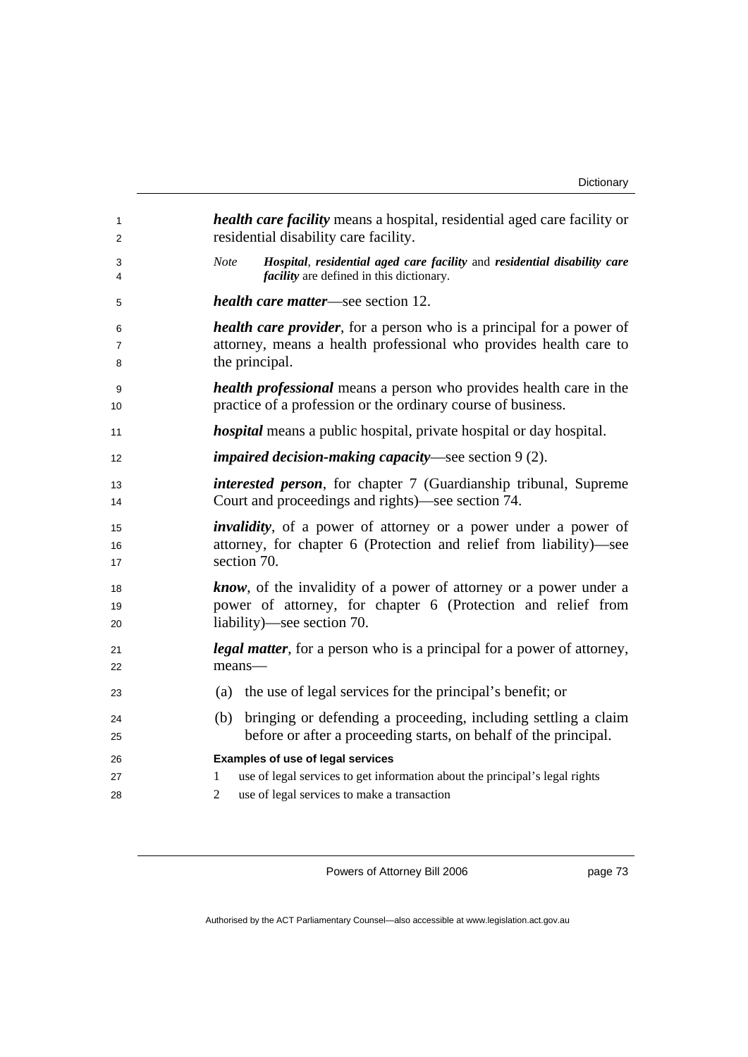| 1              | health care facility means a hospital, residential aged care facility or                                                                                                                      |
|----------------|-----------------------------------------------------------------------------------------------------------------------------------------------------------------------------------------------|
| 2              | residential disability care facility.                                                                                                                                                         |
| 3<br>4         | Hospital, residential aged care facility and residential disability care<br><b>Note</b><br><i>facility</i> are defined in this dictionary.                                                    |
| 5              | <i>health care matter—see section 12.</i>                                                                                                                                                     |
| 6              | <i>health care provider</i> , for a person who is a principal for a power of                                                                                                                  |
| $\overline{7}$ | attorney, means a health professional who provides health care to                                                                                                                             |
| 8              | the principal.                                                                                                                                                                                |
| 9              | <i>health professional</i> means a person who provides health care in the                                                                                                                     |
| 10             | practice of a profession or the ordinary course of business.                                                                                                                                  |
| 11             | <i>hospital</i> means a public hospital, private hospital or day hospital.                                                                                                                    |
| 12             | <i>impaired decision-making capacity</i> —see section $9(2)$ .                                                                                                                                |
| 13             | <i>interested person</i> , for chapter 7 (Guardianship tribunal, Supreme                                                                                                                      |
| 14             | Court and proceedings and rights)—see section 74.                                                                                                                                             |
| 15             | <i>invalidity</i> , of a power of attorney or a power under a power of                                                                                                                        |
| 16             | attorney, for chapter 6 (Protection and relief from liability)-see                                                                                                                            |
| 17             | section 70.                                                                                                                                                                                   |
| 18             | <b>know</b> , of the invalidity of a power of attorney or a power under a                                                                                                                     |
| 19             | power of attorney, for chapter 6 (Protection and relief from                                                                                                                                  |
| 20             | liability)—see section 70.                                                                                                                                                                    |
| 21             | <i>legal matter</i> , for a person who is a principal for a power of attorney,                                                                                                                |
| 22             | means-                                                                                                                                                                                        |
| 23             | (a) the use of legal services for the principal's benefit; or                                                                                                                                 |
| 24<br>25       | bringing or defending a proceeding, including settling a claim<br>(b)<br>before or after a proceeding starts, on behalf of the principal.                                                     |
| 26<br>27<br>28 | <b>Examples of use of legal services</b><br>use of legal services to get information about the principal's legal rights<br>1<br>use of legal services to make a transaction<br>$\overline{2}$ |

page 73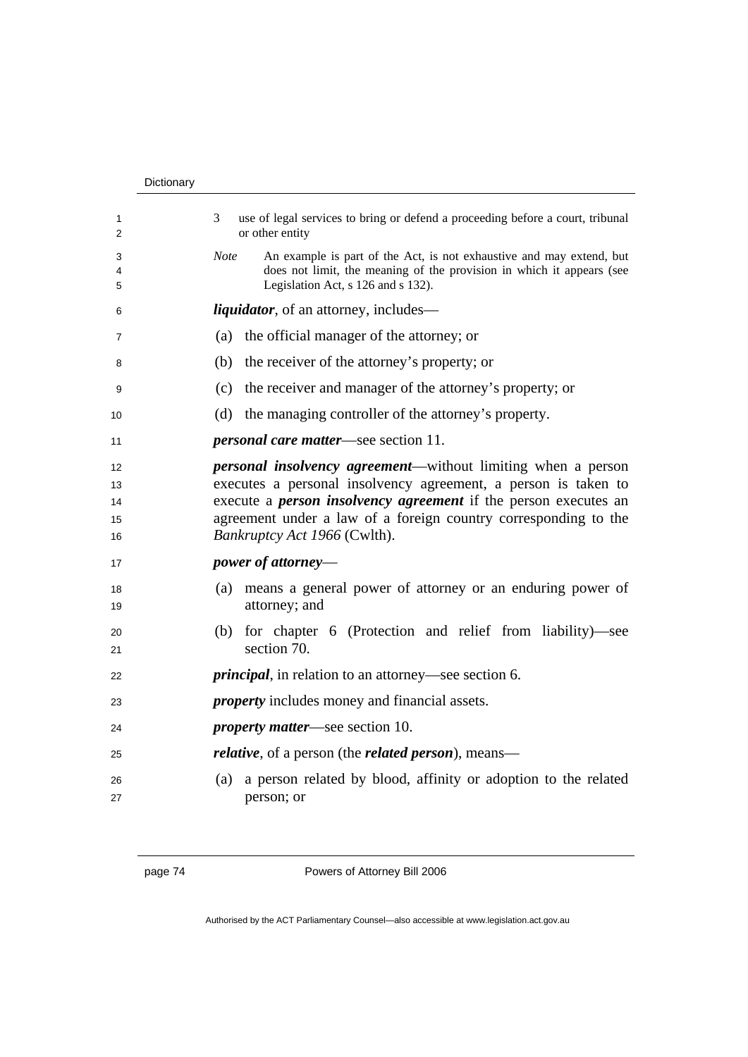| 1<br>2                     | 3<br>use of legal services to bring or defend a proceeding before a court, tribunal<br>or other entity                                                                                                                                                                                                             |
|----------------------------|--------------------------------------------------------------------------------------------------------------------------------------------------------------------------------------------------------------------------------------------------------------------------------------------------------------------|
| 3<br>4<br>5                | An example is part of the Act, is not exhaustive and may extend, but<br><b>Note</b><br>does not limit, the meaning of the provision in which it appears (see<br>Legislation Act, s 126 and s 132).                                                                                                                 |
| 6                          | <i>liquidator</i> , of an attorney, includes—                                                                                                                                                                                                                                                                      |
| 7                          | the official manager of the attorney; or<br>(a)                                                                                                                                                                                                                                                                    |
| 8                          | (b)<br>the receiver of the attorney's property; or                                                                                                                                                                                                                                                                 |
| 9                          | the receiver and manager of the attorney's property; or<br>(c)                                                                                                                                                                                                                                                     |
| 10                         | (d)<br>the managing controller of the attorney's property.                                                                                                                                                                                                                                                         |
| 11                         | <i>personal care matter</i> —see section 11.                                                                                                                                                                                                                                                                       |
| 12<br>13<br>14<br>15<br>16 | <i>personal insolvency agreement—without limiting when a person</i><br>executes a personal insolvency agreement, a person is taken to<br>execute a <i>person insolvency agreement</i> if the person executes an<br>agreement under a law of a foreign country corresponding to the<br>Bankruptcy Act 1966 (Cwlth). |
| 17                         | <i>power of attorney—</i>                                                                                                                                                                                                                                                                                          |
| 18<br>19                   | (a) means a general power of attorney or an enduring power of<br>attorney; and                                                                                                                                                                                                                                     |
| 20<br>21                   | for chapter 6 (Protection and relief from liability)—see<br>(b)<br>section 70.                                                                                                                                                                                                                                     |
| 22                         | <i>principal</i> , in relation to an attorney—see section 6.                                                                                                                                                                                                                                                       |
| 23                         | <i>property</i> includes money and financial assets.                                                                                                                                                                                                                                                               |
| 24                         | <i>property matter—see section 10.</i>                                                                                                                                                                                                                                                                             |
| 25                         | <i>relative</i> , of a person (the <i>related person</i> ), means—                                                                                                                                                                                                                                                 |
| 26<br>27                   | a person related by blood, affinity or adoption to the related<br>(a)<br>person; or                                                                                                                                                                                                                                |
|                            |                                                                                                                                                                                                                                                                                                                    |

page 74 Powers of Attorney Bill 2006